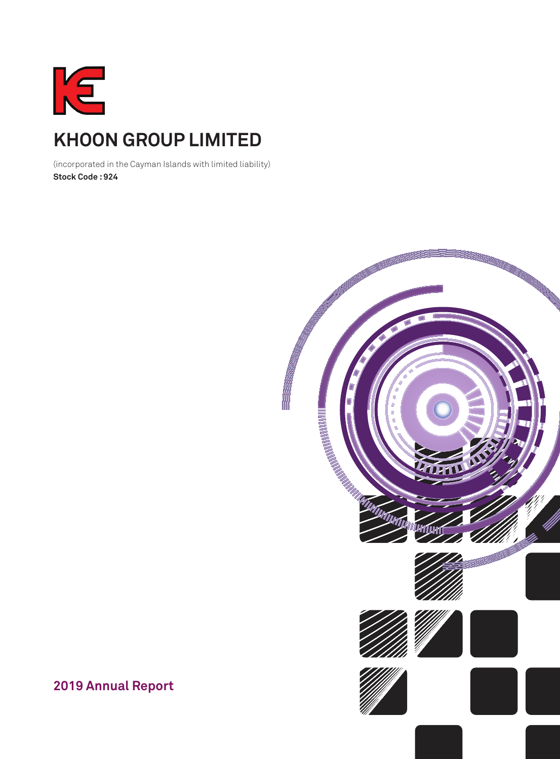

# **KHOON GROUP LIMITED**

(incorporated in the Cayman Islands with limited liability) **Stock Code : 924**



**2019 Annual Report**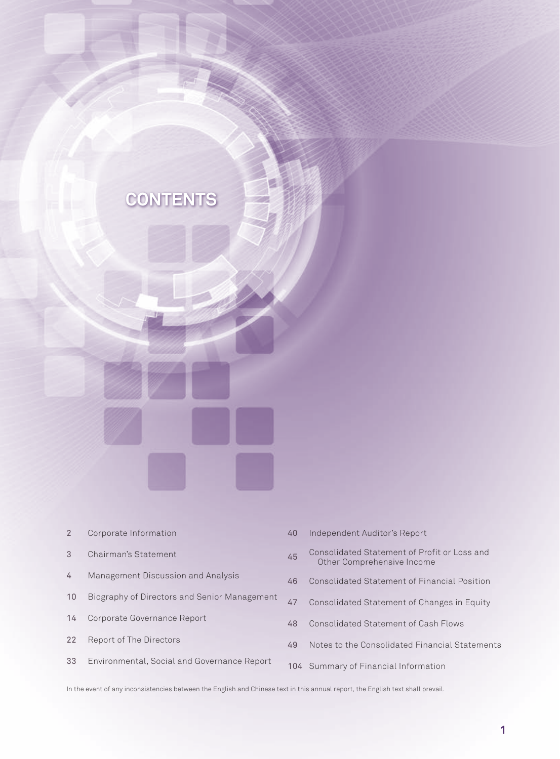

- Chairman's Statement Management Discussion and Analysis Biography of Directors and Senior Management Corporate Governance Report Report of The Directors Consolidated Statement of Profit or Loss and Other Comprehensive Income Consolidated Statement of Financial Position Consolidated Statement of Changes in Equity Consolidated Statement of Cash Flows
- Environmental, Social and Governance Report

Corporate Information

- Independent Auditor's Report
- 
- 
- 
- 
- Notes to the Consolidated Financial Statements
- Summary of Financial Information

In the event of any inconsistencies between the English and Chinese text in this annual report, the English text shall prevail.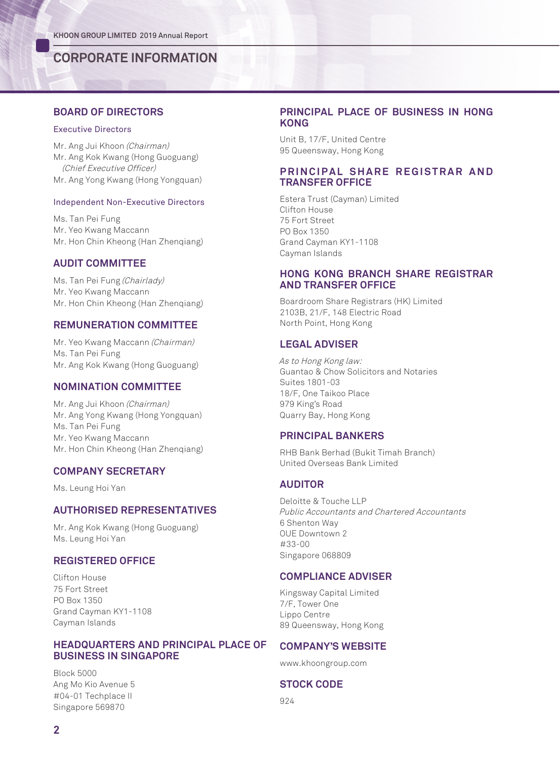**Corporate Information**

# **BOARD OF DIRECTORS**

### Executive Directors

Mr. Ang Jui Khoon (Chairman) Mr. Ang Kok Kwang (Hong Guoguang) (Chief Executive Officer) Mr. Ang Yong Kwang (Hong Yongquan)

#### Independent Non-Executive Directors

Ms. Tan Pei Fung Mr. Yeo Kwang Maccann Mr. Hon Chin Kheong (Han Zhenqiang)

# **AUDIT COMMITTEE**

Ms. Tan Pei Fung (Chairlady) Mr. Yeo Kwang Maccann Mr. Hon Chin Kheong (Han Zhenqiang)

# **REMUNERATION COMMITTEE**

Mr. Yeo Kwang Maccann (Chairman) Ms. Tan Pei Fung Mr. Ang Kok Kwang (Hong Guoguang)

# **NOMINATION COMMITTEE**

Mr. Ang Jui Khoon (Chairman) Mr. Ang Yong Kwang (Hong Yongquan) Ms. Tan Pei Fung Mr. Yeo Kwang Maccann Mr. Hon Chin Kheong (Han Zhenqiang)

# **COMPANY SECRETARY**

Ms. Leung Hoi Yan

# **AUTHORISED REPRESENTATIVES**

Mr. Ang Kok Kwang (Hong Guoguang) Ms. Leung Hoi Yan

# **REGISTERED OFFICE**

Clifton House 75 Fort Street PO Box 1350 Grand Cayman KY1-1108 Cayman Islands

# **HEADQUARTERS AND PRINCIPAL PLACE OF BUSINESS IN SINGAPORE**

Block 5000 Ang Mo Kio Avenue 5 #04-01 Techplace II Singapore 569870

# **PRINCIPAL PLACE OF BUSINESS IN HONG KONG**

Unit B, 17/F, United Centre 95 Queensway, Hong Kong

# **PRINCIPAL SHARE REGISTRAR AND TRANSFER OFFICE**

Estera Trust (Cayman) Limited Clifton House 75 Fort Street PO Box 1350 Grand Cayman KY1-1108 Cayman Islands

# **HONG KONG BRANCH SHARE REGISTRAR AND TRANSFER OFFICE**

Boardroom Share Registrars (HK) Limited 2103B, 21/F, 148 Electric Road North Point, Hong Kong

# **LEGAL ADVISER**

As to Hong Kong law: Guantao & Chow Solicitors and Notaries Suites 1801-03 18/F, One Taikoo Place 979 King's Road Quarry Bay, Hong Kong

# **PRINCIPAL BANKERS**

RHB Bank Berhad (Bukit Timah Branch) United Overseas Bank Limited

# **AUDITOR**

Deloitte & Touche LLP Public Accountants and Chartered Accountants 6 Shenton Way OUE Downtown 2 #33-00 Singapore 068809

# **COMPLIANCE ADVISER**

Kingsway Capital Limited 7/F, Tower One Lippo Centre 89 Queensway, Hong Kong

# **COMPANY'S WEBSITE**

www.khoongroup.com

# **STOCK CODE**

924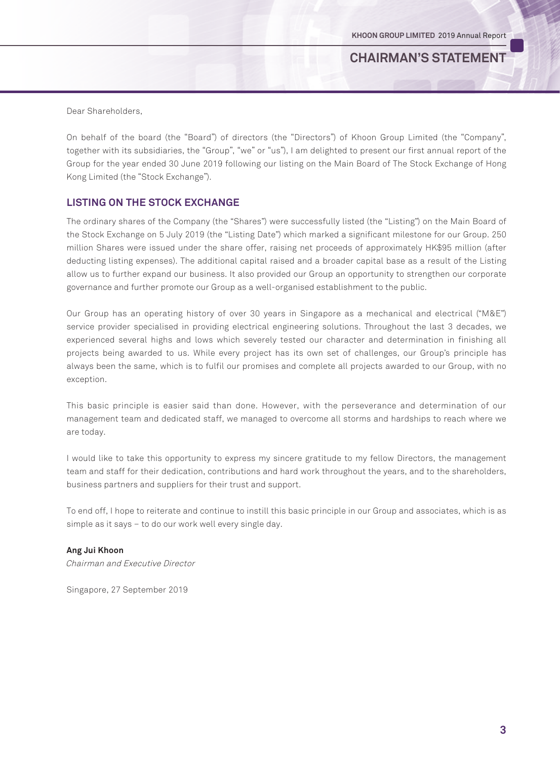**CHAIRMAN'S STATEMENT**

Dear Shareholders,

On behalf of the board (the "Board") of directors (the "Directors") of Khoon Group Limited (the "Company", together with its subsidiaries, the "Group", "we" or "us"), I am delighted to present our first annual report of the Group for the year ended 30 June 2019 following our listing on the Main Board of The Stock Exchange of Hong Kong Limited (the "Stock Exchange").

# **LISTING ON THE STOCK EXCHANGE**

The ordinary shares of the Company (the "Shares") were successfully listed (the "Listing") on the Main Board of the Stock Exchange on 5 July 2019 (the "Listing Date") which marked a significant milestone for our Group. 250 million Shares were issued under the share offer, raising net proceeds of approximately HK\$95 million (after deducting listing expenses). The additional capital raised and a broader capital base as a result of the Listing allow us to further expand our business. It also provided our Group an opportunity to strengthen our corporate governance and further promote our Group as a well-organised establishment to the public.

Our Group has an operating history of over 30 years in Singapore as a mechanical and electrical ("M&E") service provider specialised in providing electrical engineering solutions. Throughout the last 3 decades, we experienced several highs and lows which severely tested our character and determination in finishing all projects being awarded to us. While every project has its own set of challenges, our Group's principle has always been the same, which is to fulfil our promises and complete all projects awarded to our Group, with no exception.

This basic principle is easier said than done. However, with the perseverance and determination of our management team and dedicated staff, we managed to overcome all storms and hardships to reach where we are today.

I would like to take this opportunity to express my sincere gratitude to my fellow Directors, the management team and staff for their dedication, contributions and hard work throughout the years, and to the shareholders, business partners and suppliers for their trust and support.

To end off, I hope to reiterate and continue to instill this basic principle in our Group and associates, which is as simple as it says – to do our work well every single day.

#### **Ang Jui Khoon**

Chairman and Executive Director

Singapore, 27 September 2019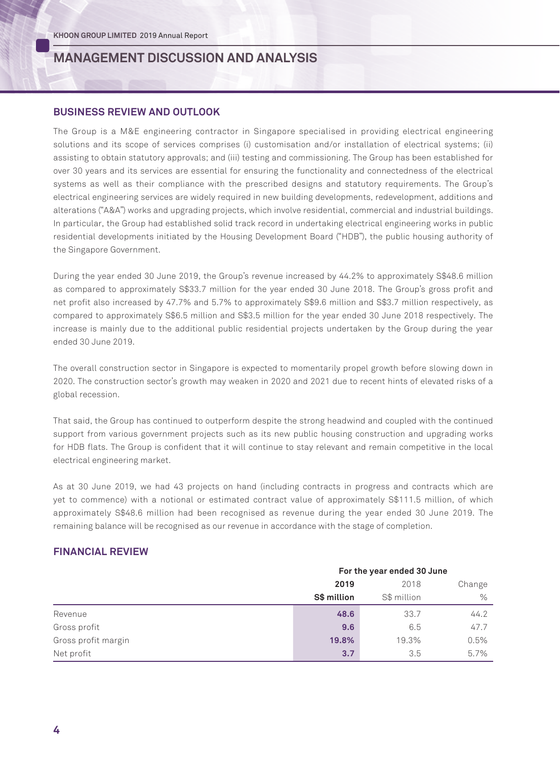# **BUSINESS REVIEW AND OUTLOOK**

The Group is a M&E engineering contractor in Singapore specialised in providing electrical engineering solutions and its scope of services comprises (i) customisation and/or installation of electrical systems; (ii) assisting to obtain statutory approvals; and (iii) testing and commissioning. The Group has been established for over 30 years and its services are essential for ensuring the functionality and connectedness of the electrical systems as well as their compliance with the prescribed designs and statutory requirements. The Group's electrical engineering services are widely required in new building developments, redevelopment, additions and alterations ("A&A") works and upgrading projects, which involve residential, commercial and industrial buildings. In particular, the Group had established solid track record in undertaking electrical engineering works in public residential developments initiated by the Housing Development Board ("HDB"), the public housing authority of the Singapore Government.

During the year ended 30 June 2019, the Group's revenue increased by 44.2% to approximately S\$48.6 million as compared to approximately S\$33.7 million for the year ended 30 June 2018. The Group's gross profit and net profit also increased by 47.7% and 5.7% to approximately S\$9.6 million and S\$3.7 million respectively, as compared to approximately S\$6.5 million and S\$3.5 million for the year ended 30 June 2018 respectively. The increase is mainly due to the additional public residential projects undertaken by the Group during the year ended 30 June 2019.

The overall construction sector in Singapore is expected to momentarily propel growth before slowing down in 2020. The construction sector's growth may weaken in 2020 and 2021 due to recent hints of elevated risks of a global recession.

That said, the Group has continued to outperform despite the strong headwind and coupled with the continued support from various government projects such as its new public housing construction and upgrading works for HDB flats. The Group is confident that it will continue to stay relevant and remain competitive in the local electrical engineering market.

As at 30 June 2019, we had 43 projects on hand (including contracts in progress and contracts which are yet to commence) with a notional or estimated contract value of approximately S\$111.5 million, of which approximately S\$48.6 million had been recognised as revenue during the year ended 30 June 2019. The remaining balance will be recognised as our revenue in accordance with the stage of completion.

# **FINANCIAL REVIEW**

|                     | For the year ended 30 June |             |        |  |
|---------------------|----------------------------|-------------|--------|--|
|                     | 2019                       | 2018        | Change |  |
|                     | S\$ million                | S\$ million | $\%$   |  |
| Revenue             | 48.6                       | 33.7        | 44.2   |  |
| Gross profit        | 9.6                        | 6.5         | 47.7   |  |
| Gross profit margin | 19.8%                      | 19.3%       | 0.5%   |  |
| Net profit          | 3.7                        | 3.5         | 5.7%   |  |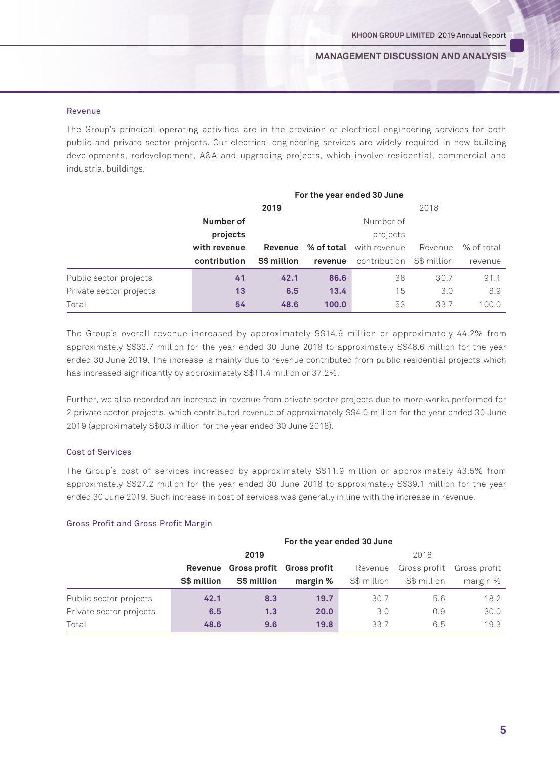#### Revenue

The Group's principal operating activities are in the provision of electrical engineering services for both public and private sector projects. Our electrical engineering services are widely required in new building developments, redevelopment, A&A and upgrading projects, which involve residential, commercial and industrial buildings.

|                         | For the year ended 30 June |             |            |                          |         |            |
|-------------------------|----------------------------|-------------|------------|--------------------------|---------|------------|
|                         |                            | 2019        |            |                          | 2018    |            |
|                         | Number of                  |             |            | Number of                |         |            |
|                         | projects                   |             |            | projects                 |         |            |
|                         | with revenue               | Revenue     | % of total | with revenue             | Revenue | % of total |
|                         | contribution               | S\$ million | revenue    | contribution S\$ million |         | revenue    |
| Public sector projects  | 41                         | 42.1        | 86.6       | 38                       | 30.7    | 91.1       |
| Private sector projects | 13                         | 6.5         | 13.4       | 15                       | 3.0     | 8.9        |
| Total                   | 54                         | 48.6        | 100.0      | 53                       | 33.7    | 100.0      |

The Group's overall revenue increased by approximately S\$14.9 million or approximately 44.2% from approximately S\$33.7 million for the year ended 30 June 2018 to approximately S\$48.6 million for the year ended 30 June 2019. The increase is mainly due to revenue contributed from public residential projects which has increased significantly by approximately S\$11.4 million or 37.2%.

Further, we also recorded an increase in revenue from private sector projects due to more works performed for 2 private sector projects, which contributed revenue of approximately S\$4.0 million for the year ended 30 June 2019 (approximately S\$0.3 million for the year ended 30 June 2018).

#### Cost of Services

The Group's cost of services increased by approximately S\$11.9 million or approximately 43.5% from approximately S\$27.2 million for the year ended 30 June 2018 to approximately S\$39.1 million for the year ended 30 June 2019. Such increase in cost of services was generally in line with the increase in revenue.

#### Gross Profit and Gross Profit Margin

|                         | For the year ended 30 June |                           |          |             |              |              |
|-------------------------|----------------------------|---------------------------|----------|-------------|--------------|--------------|
|                         |                            | 2019                      |          |             | 2018         |              |
|                         | Revenue                    | Gross profit Gross profit |          | Revenue     | Gross profit | Gross profit |
|                         | S\$ million                | S\$ million               | margin % | S\$ million | S\$ million  | margin %     |
| Public sector projects  | 42.1                       | 8.3                       | 19.7     | 30.7        | 5.6          | 18.2         |
| Private sector projects | 6.5                        | 1.3                       | 20.0     | 3.0         | 0.9          | 30.0         |
| Total                   | 48.6                       | 9.6                       | 19.8     | 33.7        | 6.5          | 19.3         |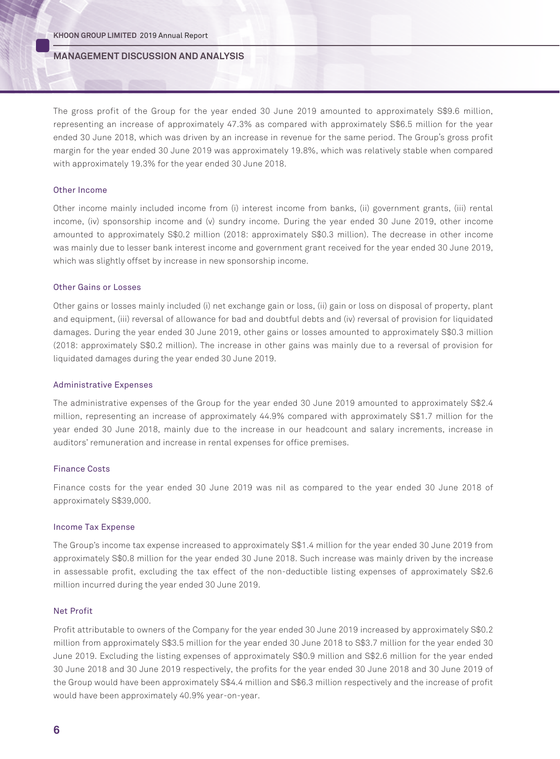The gross profit of the Group for the year ended 30 June 2019 amounted to approximately S\$9.6 million, representing an increase of approximately 47.3% as compared with approximately S\$6.5 million for the year ended 30 June 2018, which was driven by an increase in revenue for the same period. The Group's gross profit margin for the year ended 30 June 2019 was approximately 19.8%, which was relatively stable when compared with approximately 19.3% for the year ended 30 June 2018.

#### Other Income

Other income mainly included income from (i) interest income from banks, (ii) government grants, (iii) rental income, (iv) sponsorship income and (v) sundry income. During the year ended 30 June 2019, other income amounted to approximately S\$0.2 million (2018: approximately S\$0.3 million). The decrease in other income was mainly due to lesser bank interest income and government grant received for the year ended 30 June 2019, which was slightly offset by increase in new sponsorship income.

#### Other Gains or Losses

Other gains or losses mainly included (i) net exchange gain or loss, (ii) gain or loss on disposal of property, plant and equipment, (iii) reversal of allowance for bad and doubtful debts and (iv) reversal of provision for liquidated damages. During the year ended 30 June 2019, other gains or losses amounted to approximately S\$0.3 million (2018: approximately S\$0.2 million). The increase in other gains was mainly due to a reversal of provision for liquidated damages during the year ended 30 June 2019.

#### Administrative Expenses

The administrative expenses of the Group for the year ended 30 June 2019 amounted to approximately S\$2.4 million, representing an increase of approximately 44.9% compared with approximately S\$1.7 million for the year ended 30 June 2018, mainly due to the increase in our headcount and salary increments, increase in auditors' remuneration and increase in rental expenses for office premises.

#### Finance Costs

Finance costs for the year ended 30 June 2019 was nil as compared to the year ended 30 June 2018 of approximately S\$39,000.

#### Income Tax Expense

The Group's income tax expense increased to approximately S\$1.4 million for the year ended 30 June 2019 from approximately S\$0.8 million for the year ended 30 June 2018. Such increase was mainly driven by the increase in assessable profit, excluding the tax effect of the non-deductible listing expenses of approximately S\$2.6 million incurred during the year ended 30 June 2019.

#### Net Profit

Profit attributable to owners of the Company for the year ended 30 June 2019 increased by approximately S\$0.2 million from approximately S\$3.5 million for the year ended 30 June 2018 to S\$3.7 million for the year ended 30 June 2019. Excluding the listing expenses of approximately S\$0.9 million and S\$2.6 million for the year ended 30 June 2018 and 30 June 2019 respectively, the profits for the year ended 30 June 2018 and 30 June 2019 of the Group would have been approximately S\$4.4 million and S\$6.3 million respectively and the increase of profit would have been approximately 40.9% year-on-year.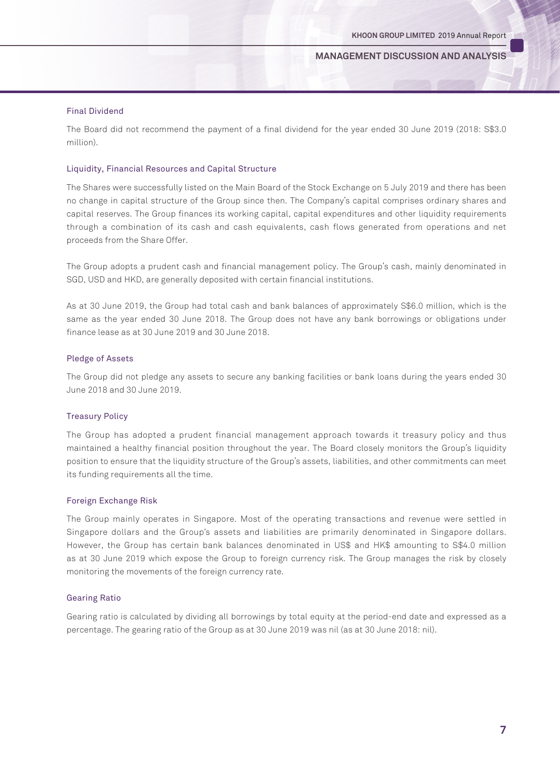#### Final Dividend

The Board did not recommend the payment of a final dividend for the year ended 30 June 2019 (2018: S\$3.0 million).

#### Liquidity, Financial Resources and Capital Structure

The Shares were successfully listed on the Main Board of the Stock Exchange on 5 July 2019 and there has been no change in capital structure of the Group since then. The Company's capital comprises ordinary shares and capital reserves. The Group finances its working capital, capital expenditures and other liquidity requirements through a combination of its cash and cash equivalents, cash flows generated from operations and net proceeds from the Share Offer.

The Group adopts a prudent cash and financial management policy. The Group's cash, mainly denominated in SGD, USD and HKD, are generally deposited with certain financial institutions.

As at 30 June 2019, the Group had total cash and bank balances of approximately S\$6.0 million, which is the same as the year ended 30 June 2018. The Group does not have any bank borrowings or obligations under finance lease as at 30 June 2019 and 30 June 2018.

#### Pledge of Assets

The Group did not pledge any assets to secure any banking facilities or bank loans during the years ended 30 June 2018 and 30 June 2019.

#### Treasury Policy

The Group has adopted a prudent financial management approach towards it treasury policy and thus maintained a healthy financial position throughout the year. The Board closely monitors the Group's liquidity position to ensure that the liquidity structure of the Group's assets, liabilities, and other commitments can meet its funding requirements all the time.

#### Foreign Exchange Risk

The Group mainly operates in Singapore. Most of the operating transactions and revenue were settled in Singapore dollars and the Group's assets and liabilities are primarily denominated in Singapore dollars. However, the Group has certain bank balances denominated in US\$ and HK\$ amounting to S\$4.0 million as at 30 June 2019 which expose the Group to foreign currency risk. The Group manages the risk by closely monitoring the movements of the foreign currency rate.

#### Gearing Ratio

Gearing ratio is calculated by dividing all borrowings by total equity at the period-end date and expressed as a percentage. The gearing ratio of the Group as at 30 June 2019 was nil (as at 30 June 2018: nil).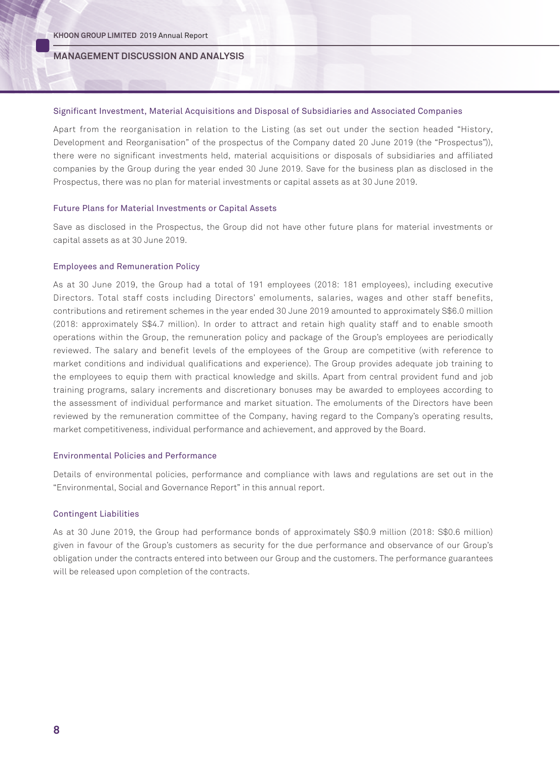#### Significant Investment, Material Acquisitions and Disposal of Subsidiaries and Associated Companies

Apart from the reorganisation in relation to the Listing (as set out under the section headed "History, Development and Reorganisation" of the prospectus of the Company dated 20 June 2019 (the "Prospectus")), there were no significant investments held, material acquisitions or disposals of subsidiaries and affiliated companies by the Group during the year ended 30 June 2019. Save for the business plan as disclosed in the Prospectus, there was no plan for material investments or capital assets as at 30 June 2019.

#### Future Plans for Material Investments or Capital Assets

Save as disclosed in the Prospectus, the Group did not have other future plans for material investments or capital assets as at 30 June 2019.

#### Employees and Remuneration Policy

As at 30 June 2019, the Group had a total of 191 employees (2018: 181 employees), including executive Directors. Total staff costs including Directors' emoluments, salaries, wages and other staff benefits, contributions and retirement schemes in the year ended 30 June 2019 amounted to approximately S\$6.0 million (2018: approximately S\$4.7 million). In order to attract and retain high quality staff and to enable smooth operations within the Group, the remuneration policy and package of the Group's employees are periodically reviewed. The salary and benefit levels of the employees of the Group are competitive (with reference to market conditions and individual qualifications and experience). The Group provides adequate job training to the employees to equip them with practical knowledge and skills. Apart from central provident fund and job training programs, salary increments and discretionary bonuses may be awarded to employees according to the assessment of individual performance and market situation. The emoluments of the Directors have been reviewed by the remuneration committee of the Company, having regard to the Company's operating results, market competitiveness, individual performance and achievement, and approved by the Board.

#### Environmental Policies and Performance

Details of environmental policies, performance and compliance with laws and regulations are set out in the "Environmental, Social and Governance Report" in this annual report.

#### Contingent Liabilities

As at 30 June 2019, the Group had performance bonds of approximately S\$0.9 million (2018: S\$0.6 million) given in favour of the Group's customers as security for the due performance and observance of our Group's obligation under the contracts entered into between our Group and the customers. The performance guarantees will be released upon completion of the contracts.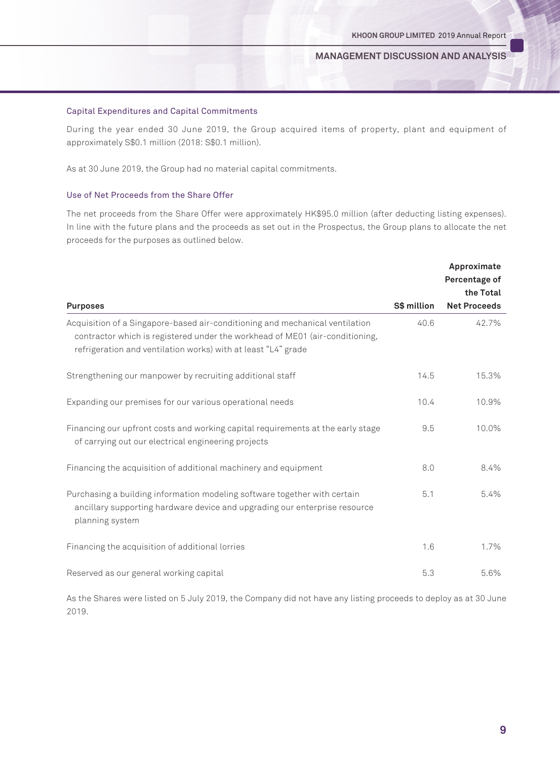#### Capital Expenditures and Capital Commitments

During the year ended 30 June 2019, the Group acquired items of property, plant and equipment of approximately S\$0.1 million (2018: S\$0.1 million).

As at 30 June 2019, the Group had no material capital commitments.

#### Use of Net Proceeds from the Share Offer

The net proceeds from the Share Offer were approximately HK\$95.0 million (after deducting listing expenses). In line with the future plans and the proceeds as set out in the Prospectus, the Group plans to allocate the net proceeds for the purposes as outlined below.

|                                                                                                                                                                                                                               |             | Approximate<br>Percentage of<br>the Total |
|-------------------------------------------------------------------------------------------------------------------------------------------------------------------------------------------------------------------------------|-------------|-------------------------------------------|
| <b>Purposes</b>                                                                                                                                                                                                               | S\$ million | <b>Net Proceeds</b>                       |
| Acquisition of a Singapore-based air-conditioning and mechanical ventilation<br>contractor which is registered under the workhead of ME01 (air-conditioning,<br>refrigeration and ventilation works) with at least "L4" grade | 40.6        | 42.7%                                     |
| Strengthening our manpower by recruiting additional staff                                                                                                                                                                     | 14.5        | 15.3%                                     |
| Expanding our premises for our various operational needs                                                                                                                                                                      | 10.4        | 10.9%                                     |
| Financing our upfront costs and working capital requirements at the early stage<br>of carrying out our electrical engineering projects                                                                                        | 9.5         | 10.0%                                     |
| Financing the acquisition of additional machinery and equipment                                                                                                                                                               | 8.0         | 8.4%                                      |
| Purchasing a building information modeling software together with certain<br>ancillary supporting hardware device and upgrading our enterprise resource<br>planning system                                                    | 5.1         | 5.4%                                      |
| Financing the acquisition of additional lorries                                                                                                                                                                               | 1.6         | 1.7%                                      |
| Reserved as our general working capital                                                                                                                                                                                       | 5.3         | 5.6%                                      |

As the Shares were listed on 5 July 2019, the Company did not have any listing proceeds to deploy as at 30 June 2019.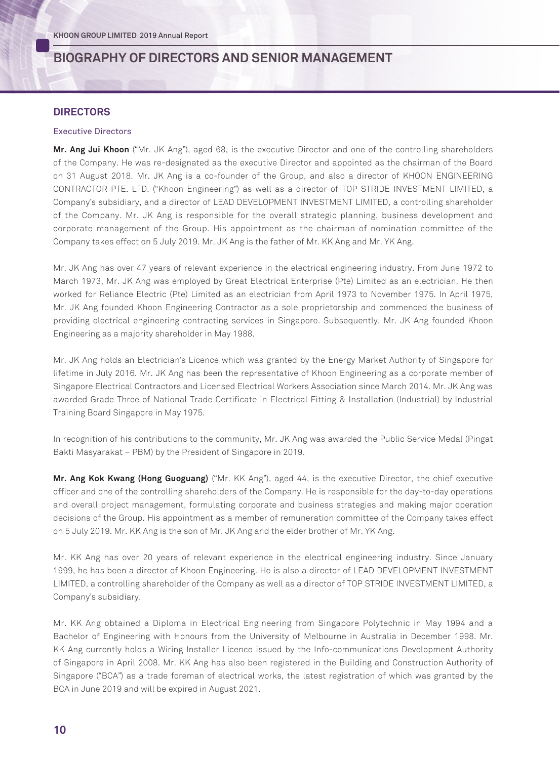# **BIOGRAPHY OF DIRECTORS AND SENIOR MANAGEMENT**

# **DIRECTORS**

#### Executive Directors

**Mr. Ang Jui Khoon** ("Mr. JK Ang"), aged 68, is the executive Director and one of the controlling shareholders of the Company. He was re-designated as the executive Director and appointed as the chairman of the Board on 31 August 2018. Mr. JK Ang is a co-founder of the Group, and also a director of KHOON ENGINEERING CONTRACTOR PTE. LTD. ("Khoon Engineering") as well as a director of TOP STRIDE INVESTMENT LIMITED, a Company's subsidiary, and a director of LEAD DEVELOPMENT INVESTMENT LIMITED, a controlling shareholder of the Company. Mr. JK Ang is responsible for the overall strategic planning, business development and corporate management of the Group. His appointment as the chairman of nomination committee of the Company takes effect on 5 July 2019. Mr. JK Ang is the father of Mr. KK Ang and Mr. YK Ang.

Mr. JK Ang has over 47 years of relevant experience in the electrical engineering industry. From June 1972 to March 1973, Mr. JK Ang was employed by Great Electrical Enterprise (Pte) Limited as an electrician. He then worked for Reliance Electric (Pte) Limited as an electrician from April 1973 to November 1975. In April 1975, Mr. JK Ang founded Khoon Engineering Contractor as a sole proprietorship and commenced the business of providing electrical engineering contracting services in Singapore. Subsequently, Mr. JK Ang founded Khoon Engineering as a majority shareholder in May 1988.

Mr. JK Ang holds an Electrician's Licence which was granted by the Energy Market Authority of Singapore for lifetime in July 2016. Mr. JK Ang has been the representative of Khoon Engineering as a corporate member of Singapore Electrical Contractors and Licensed Electrical Workers Association since March 2014. Mr. JK Ang was awarded Grade Three of National Trade Certificate in Electrical Fitting & Installation (Industrial) by Industrial Training Board Singapore in May 1975.

In recognition of his contributions to the community, Mr. JK Ang was awarded the Public Service Medal (Pingat Bakti Masyarakat – PBM) by the President of Singapore in 2019.

**Mr. Ang Kok Kwang (Hong Guoguang)** ("Mr. KK Ang"), aged 44, is the executive Director, the chief executive officer and one of the controlling shareholders of the Company. He is responsible for the day-to-day operations and overall project management, formulating corporate and business strategies and making major operation decisions of the Group. His appointment as a member of remuneration committee of the Company takes effect on 5 July 2019. Mr. KK Ang is the son of Mr. JK Ang and the elder brother of Mr. YK Ang.

Mr. KK Ang has over 20 years of relevant experience in the electrical engineering industry. Since January 1999, he has been a director of Khoon Engineering. He is also a director of LEAD DEVELOPMENT INVESTMENT LIMITED, a controlling shareholder of the Company as well as a director of TOP STRIDE INVESTMENT LIMITED, a Company's subsidiary.

Mr. KK Ang obtained a Diploma in Electrical Engineering from Singapore Polytechnic in May 1994 and a Bachelor of Engineering with Honours from the University of Melbourne in Australia in December 1998. Mr. KK Ang currently holds a Wiring Installer Licence issued by the Info-communications Development Authority of Singapore in April 2008. Mr. KK Ang has also been registered in the Building and Construction Authority of Singapore ("BCA") as a trade foreman of electrical works, the latest registration of which was granted by the BCA in June 2019 and will be expired in August 2021.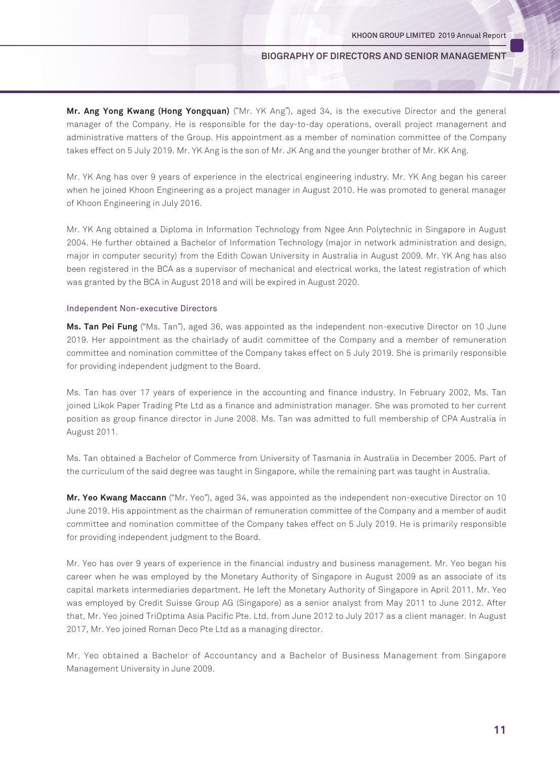# **BIOGRAPHY OF DIRECTORS AND SENIOR MANAGEMENT**

**Mr. Ang Yong Kwang (Hong Yongquan)** ("Mr. YK Ang"), aged 34, is the executive Director and the general manager of the Company. He is responsible for the day-to-day operations, overall project management and administrative matters of the Group. His appointment as a member of nomination committee of the Company takes effect on 5 July 2019. Mr. YK Ang is the son of Mr. JK Ang and the younger brother of Mr. KK Ang.

Mr. YK Ang has over 9 years of experience in the electrical engineering industry. Mr. YK Ang began his career when he joined Khoon Engineering as a project manager in August 2010. He was promoted to general manager of Khoon Engineering in July 2016.

Mr. YK Ang obtained a Diploma in Information Technology from Ngee Ann Polytechnic in Singapore in August 2004. He further obtained a Bachelor of Information Technology (major in network administration and design, major in computer security) from the Edith Cowan University in Australia in August 2009. Mr. YK Ang has also been registered in the BCA as a supervisor of mechanical and electrical works, the latest registration of which was granted by the BCA in August 2018 and will be expired in August 2020.

#### Independent Non-executive Directors

**Ms. Tan Pei Fung** ("Ms. Tan"), aged 36, was appointed as the independent non-executive Director on 10 June 2019. Her appointment as the chairlady of audit committee of the Company and a member of remuneration committee and nomination committee of the Company takes effect on 5 July 2019. She is primarily responsible for providing independent judgment to the Board.

Ms. Tan has over 17 years of experience in the accounting and finance industry. In February 2002, Ms. Tan joined Likok Paper Trading Pte Ltd as a finance and administration manager. She was promoted to her current position as group finance director in June 2008. Ms. Tan was admitted to full membership of CPA Australia in August 2011.

Ms. Tan obtained a Bachelor of Commerce from University of Tasmania in Australia in December 2005. Part of the curriculum of the said degree was taught in Singapore, while the remaining part was taught in Australia.

**Mr. Yeo Kwang Maccann** ("Mr. Yeo"), aged 34, was appointed as the independent non-executive Director on 10 June 2019. His appointment as the chairman of remuneration committee of the Company and a member of audit committee and nomination committee of the Company takes effect on 5 July 2019. He is primarily responsible for providing independent judgment to the Board.

Mr. Yeo has over 9 years of experience in the financial industry and business management. Mr. Yeo began his career when he was employed by the Monetary Authority of Singapore in August 2009 as an associate of its capital markets intermediaries department. He left the Monetary Authority of Singapore in April 2011. Mr. Yeo was employed by Credit Suisse Group AG (Singapore) as a senior analyst from May 2011 to June 2012. After that, Mr. Yeo joined TriOptima Asia Pacific Pte. Ltd. from June 2012 to July 2017 as a client manager. In August 2017, Mr. Yeo joined Roman Deco Pte Ltd as a managing director.

Mr. Yeo obtained a Bachelor of Accountancy and a Bachelor of Business Management from Singapore Management University in June 2009.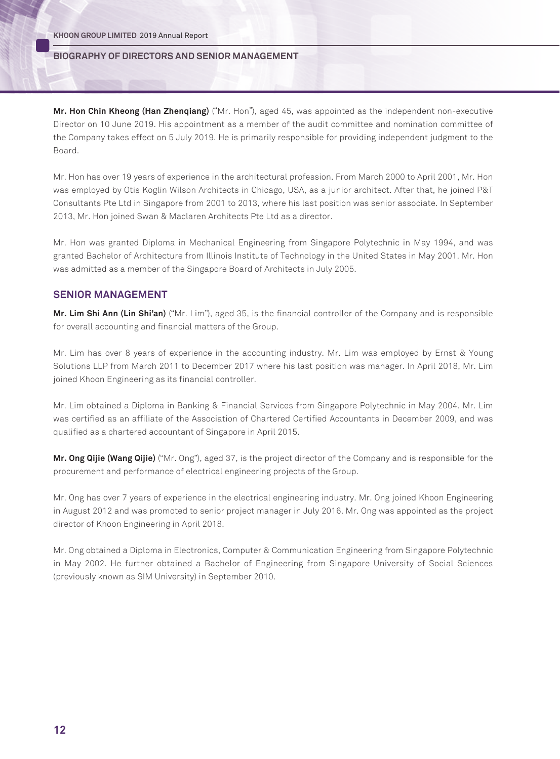**Khoon Group Limited** 2019 Annual Report

#### **BIOGRAPHY OF DIRECTORS AND SENIOR MANAGEMENT**

**Mr. Hon Chin Kheong (Han Zhenqiang)** ("Mr. Hon"), aged 45, was appointed as the independent non-executive Director on 10 June 2019. His appointment as a member of the audit committee and nomination committee of the Company takes effect on 5 July 2019. He is primarily responsible for providing independent judgment to the Board.

Mr. Hon has over 19 years of experience in the architectural profession. From March 2000 to April 2001, Mr. Hon was employed by Otis Koglin Wilson Architects in Chicago, USA, as a junior architect. After that, he joined P&T Consultants Pte Ltd in Singapore from 2001 to 2013, where his last position was senior associate. In September 2013, Mr. Hon joined Swan & Maclaren Architects Pte Ltd as a director.

Mr. Hon was granted Diploma in Mechanical Engineering from Singapore Polytechnic in May 1994, and was granted Bachelor of Architecture from Illinois Institute of Technology in the United States in May 2001. Mr. Hon was admitted as a member of the Singapore Board of Architects in July 2005.

# **SENIOR MANAGEMENT**

**Mr. Lim Shi Ann (Lin Shi'an)** ("Mr. Lim"), aged 35, is the financial controller of the Company and is responsible for overall accounting and financial matters of the Group.

Mr. Lim has over 8 years of experience in the accounting industry. Mr. Lim was employed by Ernst & Young Solutions LLP from March 2011 to December 2017 where his last position was manager. In April 2018, Mr. Lim joined Khoon Engineering as its financial controller.

Mr. Lim obtained a Diploma in Banking & Financial Services from Singapore Polytechnic in May 2004. Mr. Lim was certified as an affiliate of the Association of Chartered Certified Accountants in December 2009, and was qualified as a chartered accountant of Singapore in April 2015.

**Mr. Ong Qijie (Wang Qijie)** ("Mr. Ong"), aged 37, is the project director of the Company and is responsible for the procurement and performance of electrical engineering projects of the Group.

Mr. Ong has over 7 years of experience in the electrical engineering industry. Mr. Ong joined Khoon Engineering in August 2012 and was promoted to senior project manager in July 2016. Mr. Ong was appointed as the project director of Khoon Engineering in April 2018.

Mr. Ong obtained a Diploma in Electronics, Computer & Communication Engineering from Singapore Polytechnic in May 2002. He further obtained a Bachelor of Engineering from Singapore University of Social Sciences (previously known as SIM University) in September 2010.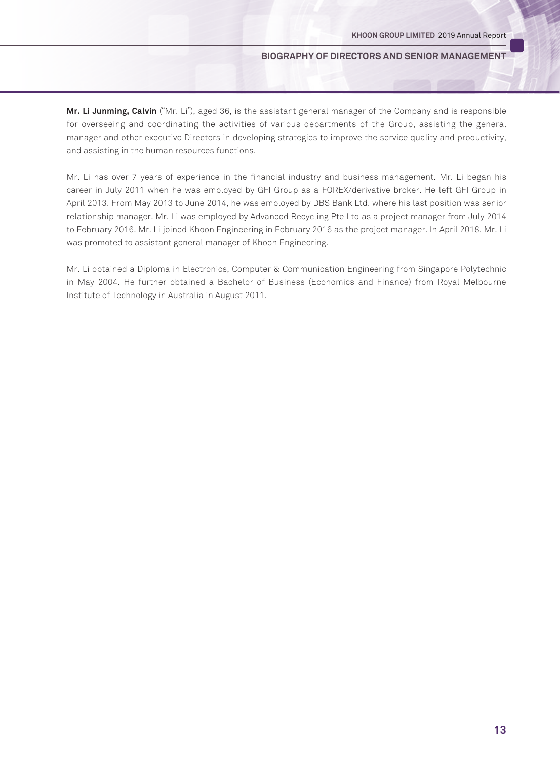# **BIOGRAPHY OF DIRECTORS AND SENIOR MANAGEMENT**

**Mr. Li Junming, Calvin** ("Mr. Li"), aged 36, is the assistant general manager of the Company and is responsible for overseeing and coordinating the activities of various departments of the Group, assisting the general manager and other executive Directors in developing strategies to improve the service quality and productivity, and assisting in the human resources functions.

Mr. Li has over 7 years of experience in the financial industry and business management. Mr. Li began his career in July 2011 when he was employed by GFI Group as a FOREX/derivative broker. He left GFI Group in April 2013. From May 2013 to June 2014, he was employed by DBS Bank Ltd. where his last position was senior relationship manager. Mr. Li was employed by Advanced Recycling Pte Ltd as a project manager from July 2014 to February 2016. Mr. Li joined Khoon Engineering in February 2016 as the project manager. In April 2018, Mr. Li was promoted to assistant general manager of Khoon Engineering.

Mr. Li obtained a Diploma in Electronics, Computer & Communication Engineering from Singapore Polytechnic in May 2004. He further obtained a Bachelor of Business (Economics and Finance) from Royal Melbourne Institute of Technology in Australia in August 2011.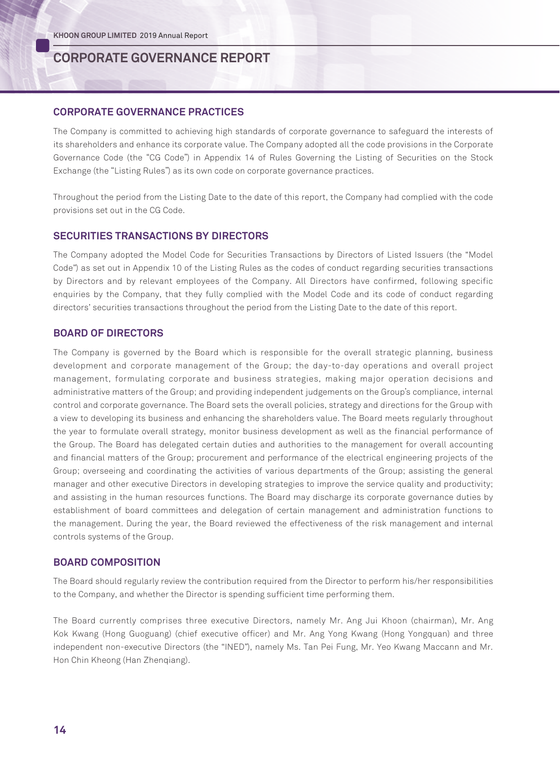# **CORPORATE GOVERNANCE PRACTICES**

The Company is committed to achieving high standards of corporate governance to safeguard the interests of its shareholders and enhance its corporate value. The Company adopted all the code provisions in the Corporate Governance Code (the "CG Code") in Appendix 14 of Rules Governing the Listing of Securities on the Stock Exchange (the "Listing Rules") as its own code on corporate governance practices.

Throughout the period from the Listing Date to the date of this report, the Company had complied with the code provisions set out in the CG Code.

#### **SECURITIES TRANSACTIONS BY DIRECTORS**

The Company adopted the Model Code for Securities Transactions by Directors of Listed Issuers (the "Model Code") as set out in Appendix 10 of the Listing Rules as the codes of conduct regarding securities transactions by Directors and by relevant employees of the Company. All Directors have confirmed, following specific enquiries by the Company, that they fully complied with the Model Code and its code of conduct regarding directors' securities transactions throughout the period from the Listing Date to the date of this report.

# **BOARD OF DIRECTORS**

The Company is governed by the Board which is responsible for the overall strategic planning, business development and corporate management of the Group; the day-to-day operations and overall project management, formulating corporate and business strategies, making major operation decisions and administrative matters of the Group; and providing independent judgements on the Group's compliance, internal control and corporate governance. The Board sets the overall policies, strategy and directions for the Group with a view to developing its business and enhancing the shareholders value. The Board meets regularly throughout the year to formulate overall strategy, monitor business development as well as the financial performance of the Group. The Board has delegated certain duties and authorities to the management for overall accounting and financial matters of the Group; procurement and performance of the electrical engineering projects of the Group; overseeing and coordinating the activities of various departments of the Group; assisting the general manager and other executive Directors in developing strategies to improve the service quality and productivity; and assisting in the human resources functions. The Board may discharge its corporate governance duties by establishment of board committees and delegation of certain management and administration functions to the management. During the year, the Board reviewed the effectiveness of the risk management and internal controls systems of the Group.

### **BOARD COMPOSITION**

The Board should regularly review the contribution required from the Director to perform his/her responsibilities to the Company, and whether the Director is spending sufficient time performing them.

The Board currently comprises three executive Directors, namely Mr. Ang Jui Khoon (chairman), Mr. Ang Kok Kwang (Hong Guoguang) (chief executive officer) and Mr. Ang Yong Kwang (Hong Yongquan) and three independent non-executive Directors (the "INED"), namely Ms. Tan Pei Fung, Mr. Yeo Kwang Maccann and Mr. Hon Chin Kheong (Han Zhenqiang).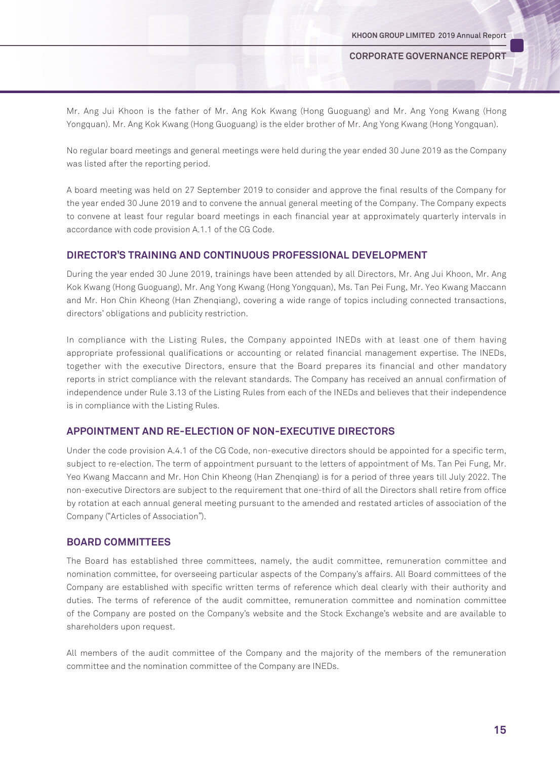Mr. Ang Jui Khoon is the father of Mr. Ang Kok Kwang (Hong Guoguang) and Mr. Ang Yong Kwang (Hong Yongquan). Mr. Ang Kok Kwang (Hong Guoguang) is the elder brother of Mr. Ang Yong Kwang (Hong Yongquan).

No regular board meetings and general meetings were held during the year ended 30 June 2019 as the Company was listed after the reporting period.

A board meeting was held on 27 September 2019 to consider and approve the final results of the Company for the year ended 30 June 2019 and to convene the annual general meeting of the Company. The Company expects to convene at least four regular board meetings in each financial year at approximately quarterly intervals in accordance with code provision A.1.1 of the CG Code.

# **DIRECTOR'S TRAINING AND CONTINUOUS PROFESSIONAL DEVELOPMENT**

During the year ended 30 June 2019, trainings have been attended by all Directors, Mr. Ang Jui Khoon, Mr. Ang Kok Kwang (Hong Guoguang), Mr. Ang Yong Kwang (Hong Yongquan), Ms. Tan Pei Fung, Mr. Yeo Kwang Maccann and Mr. Hon Chin Kheong (Han Zhenqiang), covering a wide range of topics including connected transactions, directors' obligations and publicity restriction.

In compliance with the Listing Rules, the Company appointed INEDs with at least one of them having appropriate professional qualifications or accounting or related financial management expertise. The INEDs, together with the executive Directors, ensure that the Board prepares its financial and other mandatory reports in strict compliance with the relevant standards. The Company has received an annual confirmation of independence under Rule 3.13 of the Listing Rules from each of the INEDs and believes that their independence is in compliance with the Listing Rules.

# **APPOINTMENT AND RE-ELECTION OF NON-EXECUTIVE DIRECTORS**

Under the code provision A.4.1 of the CG Code, non-executive directors should be appointed for a specific term, subject to re-election. The term of appointment pursuant to the letters of appointment of Ms. Tan Pei Fung, Mr. Yeo Kwang Maccann and Mr. Hon Chin Kheong (Han Zhenqiang) is for a period of three years till July 2022. The non-executive Directors are subject to the requirement that one-third of all the Directors shall retire from office by rotation at each annual general meeting pursuant to the amended and restated articles of association of the Company ("Articles of Association").

# **BOARD COMMITTEES**

The Board has established three committees, namely, the audit committee, remuneration committee and nomination committee, for overseeing particular aspects of the Company's affairs. All Board committees of the Company are established with specific written terms of reference which deal clearly with their authority and duties. The terms of reference of the audit committee, remuneration committee and nomination committee of the Company are posted on the Company's website and the Stock Exchange's website and are available to shareholders upon request.

All members of the audit committee of the Company and the majority of the members of the remuneration committee and the nomination committee of the Company are INEDs.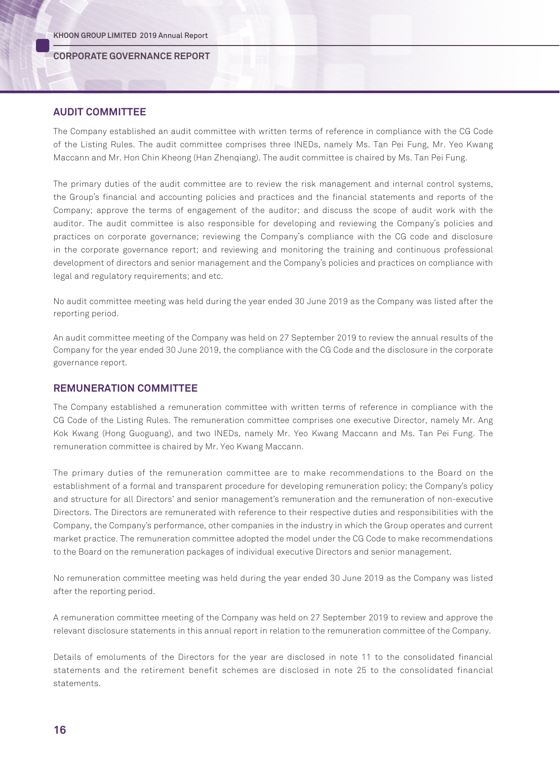### **AUDIT COMMITTEE**

The Company established an audit committee with written terms of reference in compliance with the CG Code of the Listing Rules. The audit committee comprises three INEDs, namely Ms. Tan Pei Fung, Mr. Yeo Kwang Maccann and Mr. Hon Chin Kheong (Han Zhenqiang). The audit committee is chaired by Ms. Tan Pei Fung.

The primary duties of the audit committee are to review the risk management and internal control systems, the Group's financial and accounting policies and practices and the financial statements and reports of the Company; approve the terms of engagement of the auditor; and discuss the scope of audit work with the auditor. The audit committee is also responsible for developing and reviewing the Company's policies and practices on corporate governance; reviewing the Company's compliance with the CG code and disclosure in the corporate governance report; and reviewing and monitoring the training and continuous professional development of directors and senior management and the Company's policies and practices on compliance with legal and regulatory requirements; and etc.

No audit committee meeting was held during the year ended 30 June 2019 as the Company was listed after the reporting period.

An audit committee meeting of the Company was held on 27 September 2019 to review the annual results of the Company for the year ended 30 June 2019, the compliance with the CG Code and the disclosure in the corporate governance report.

# **REMUNERATION COMMITTEE**

The Company established a remuneration committee with written terms of reference in compliance with the CG Code of the Listing Rules. The remuneration committee comprises one executive Director, namely Mr. Ang Kok Kwang (Hong Guoguang), and two INEDs, namely Mr. Yeo Kwang Maccann and Ms. Tan Pei Fung. The remuneration committee is chaired by Mr. Yeo Kwang Maccann.

The primary duties of the remuneration committee are to make recommendations to the Board on the establishment of a formal and transparent procedure for developing remuneration policy; the Company's policy and structure for all Directors' and senior management's remuneration and the remuneration of non-executive Directors. The Directors are remunerated with reference to their respective duties and responsibilities with the Company, the Company's performance, other companies in the industry in which the Group operates and current market practice. The remuneration committee adopted the model under the CG Code to make recommendations to the Board on the remuneration packages of individual executive Directors and senior management.

No remuneration committee meeting was held during the year ended 30 June 2019 as the Company was listed after the reporting period.

A remuneration committee meeting of the Company was held on 27 September 2019 to review and approve the relevant disclosure statements in this annual report in relation to the remuneration committee of the Company.

Details of emoluments of the Directors for the year are disclosed in note 11 to the consolidated financial statements and the retirement benefit schemes are disclosed in note 25 to the consolidated financial statements.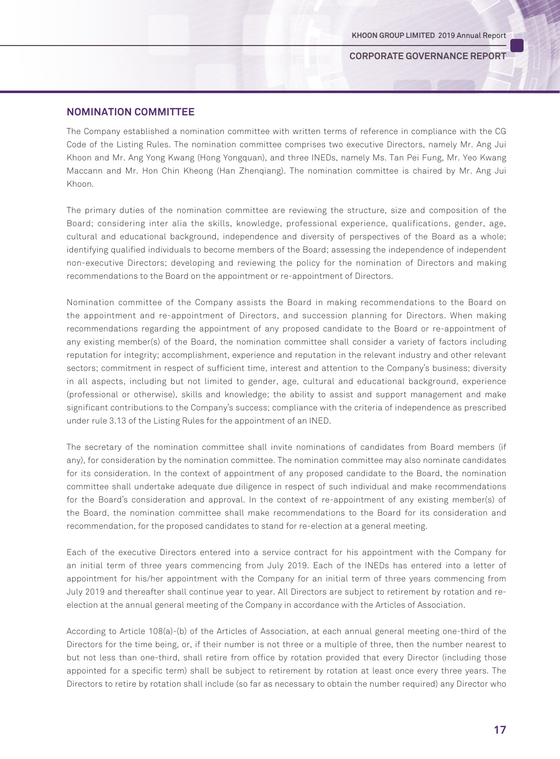# **NOMINATION COMMITTEE**

The Company established a nomination committee with written terms of reference in compliance with the CG Code of the Listing Rules. The nomination committee comprises two executive Directors, namely Mr. Ang Jui Khoon and Mr. Ang Yong Kwang (Hong Yongquan), and three INEDs, namely Ms. Tan Pei Fung, Mr. Yeo Kwang Maccann and Mr. Hon Chin Kheong (Han Zhenqiang). The nomination committee is chaired by Mr. Ang Jui Khoon.

The primary duties of the nomination committee are reviewing the structure, size and composition of the Board; considering inter alia the skills, knowledge, professional experience, qualifications, gender, age, cultural and educational background, independence and diversity of perspectives of the Board as a whole; identifying qualified individuals to become members of the Board; assessing the independence of independent non-executive Directors; developing and reviewing the policy for the nomination of Directors and making recommendations to the Board on the appointment or re-appointment of Directors.

Nomination committee of the Company assists the Board in making recommendations to the Board on the appointment and re-appointment of Directors, and succession planning for Directors. When making recommendations regarding the appointment of any proposed candidate to the Board or re-appointment of any existing member(s) of the Board, the nomination committee shall consider a variety of factors including reputation for integrity; accomplishment, experience and reputation in the relevant industry and other relevant sectors; commitment in respect of sufficient time, interest and attention to the Company's business; diversity in all aspects, including but not limited to gender, age, cultural and educational background, experience (professional or otherwise), skills and knowledge; the ability to assist and support management and make significant contributions to the Company's success; compliance with the criteria of independence as prescribed under rule 3.13 of the Listing Rules for the appointment of an INED.

The secretary of the nomination committee shall invite nominations of candidates from Board members (if any), for consideration by the nomination committee. The nomination committee may also nominate candidates for its consideration. In the context of appointment of any proposed candidate to the Board, the nomination committee shall undertake adequate due diligence in respect of such individual and make recommendations for the Board's consideration and approval. In the context of re-appointment of any existing member(s) of the Board, the nomination committee shall make recommendations to the Board for its consideration and recommendation, for the proposed candidates to stand for re-election at a general meeting.

Each of the executive Directors entered into a service contract for his appointment with the Company for an initial term of three years commencing from July 2019. Each of the INEDs has entered into a letter of appointment for his/her appointment with the Company for an initial term of three years commencing from July 2019 and thereafter shall continue year to year. All Directors are subject to retirement by rotation and reelection at the annual general meeting of the Company in accordance with the Articles of Association.

According to Article 108(a)-(b) of the Articles of Association, at each annual general meeting one-third of the Directors for the time being, or, if their number is not three or a multiple of three, then the number nearest to but not less than one-third, shall retire from office by rotation provided that every Director (including those appointed for a specific term) shall be subject to retirement by rotation at least once every three years. The Directors to retire by rotation shall include (so far as necessary to obtain the number required) any Director who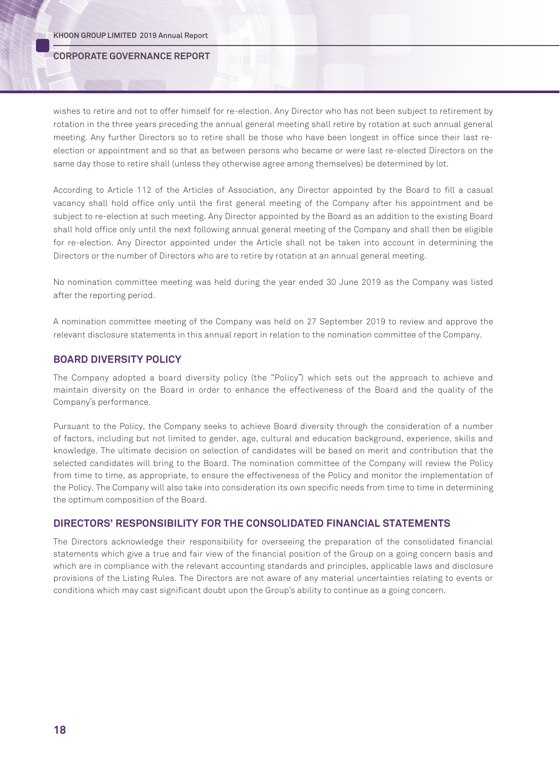wishes to retire and not to offer himself for re-election. Any Director who has not been subject to retirement by rotation in the three years preceding the annual general meeting shall retire by rotation at such annual general meeting. Any further Directors so to retire shall be those who have been longest in office since their last reelection or appointment and so that as between persons who became or were last re-elected Directors on the same day those to retire shall (unless they otherwise agree among themselves) be determined by lot.

According to Article 112 of the Articles of Association, any Director appointed by the Board to fill a casual vacancy shall hold office only until the first general meeting of the Company after his appointment and be subject to re-election at such meeting. Any Director appointed by the Board as an addition to the existing Board shall hold office only until the next following annual general meeting of the Company and shall then be eligible for re-election. Any Director appointed under the Article shall not be taken into account in determining the Directors or the number of Directors who are to retire by rotation at an annual general meeting.

No nomination committee meeting was held during the year ended 30 June 2019 as the Company was listed after the reporting period.

A nomination committee meeting of the Company was held on 27 September 2019 to review and approve the relevant disclosure statements in this annual report in relation to the nomination committee of the Company.

# **BOARD DIVERSITY POLICY**

The Company adopted a board diversity policy (the "Policy") which sets out the approach to achieve and maintain diversity on the Board in order to enhance the effectiveness of the Board and the quality of the Company's performance.

Pursuant to the Policy, the Company seeks to achieve Board diversity through the consideration of a number of factors, including but not limited to gender, age, cultural and education background, experience, skills and knowledge. The ultimate decision on selection of candidates will be based on merit and contribution that the selected candidates will bring to the Board. The nomination committee of the Company will review the Policy from time to time, as appropriate, to ensure the effectiveness of the Policy and monitor the implementation of the Policy. The Company will also take into consideration its own specific needs from time to time in determining the optimum composition of the Board.

# **DIRECTORS' RESPONSIBILITY FOR THE CONSOLIDATED FINANCIAL STATEMENTS**

The Directors acknowledge their responsibility for overseeing the preparation of the consolidated financial statements which give a true and fair view of the financial position of the Group on a going concern basis and which are in compliance with the relevant accounting standards and principles, applicable laws and disclosure provisions of the Listing Rules. The Directors are not aware of any material uncertainties relating to events or conditions which may cast significant doubt upon the Group's ability to continue as a going concern.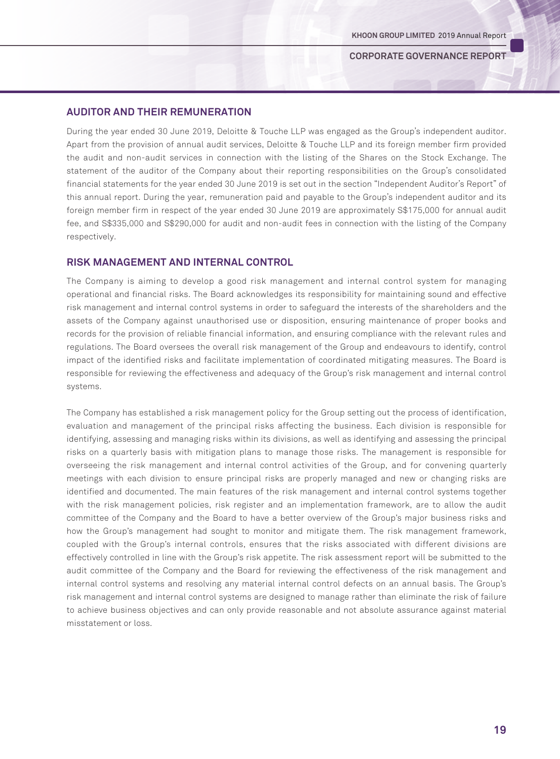# **AUDITOR AND THEIR REMUNERATION**

During the year ended 30 June 2019, Deloitte & Touche LLP was engaged as the Group's independent auditor. Apart from the provision of annual audit services, Deloitte & Touche LLP and its foreign member firm provided the audit and non-audit services in connection with the listing of the Shares on the Stock Exchange. The statement of the auditor of the Company about their reporting responsibilities on the Group's consolidated financial statements for the year ended 30 June 2019 is set out in the section "Independent Auditor's Report" of this annual report. During the year, remuneration paid and payable to the Group's independent auditor and its foreign member firm in respect of the year ended 30 June 2019 are approximately S\$175,000 for annual audit fee, and S\$335,000 and S\$290,000 for audit and non-audit fees in connection with the listing of the Company respectively.

# **RISK MANAGEMENT AND INTERNAL CONTROL**

The Company is aiming to develop a good risk management and internal control system for managing operational and financial risks. The Board acknowledges its responsibility for maintaining sound and effective risk management and internal control systems in order to safeguard the interests of the shareholders and the assets of the Company against unauthorised use or disposition, ensuring maintenance of proper books and records for the provision of reliable financial information, and ensuring compliance with the relevant rules and regulations. The Board oversees the overall risk management of the Group and endeavours to identify, control impact of the identified risks and facilitate implementation of coordinated mitigating measures. The Board is responsible for reviewing the effectiveness and adequacy of the Group's risk management and internal control systems.

The Company has established a risk management policy for the Group setting out the process of identification, evaluation and management of the principal risks affecting the business. Each division is responsible for identifying, assessing and managing risks within its divisions, as well as identifying and assessing the principal risks on a quarterly basis with mitigation plans to manage those risks. The management is responsible for overseeing the risk management and internal control activities of the Group, and for convening quarterly meetings with each division to ensure principal risks are properly managed and new or changing risks are identified and documented. The main features of the risk management and internal control systems together with the risk management policies, risk register and an implementation framework, are to allow the audit committee of the Company and the Board to have a better overview of the Group's major business risks and how the Group's management had sought to monitor and mitigate them. The risk management framework, coupled with the Group's internal controls, ensures that the risks associated with different divisions are effectively controlled in line with the Group's risk appetite. The risk assessment report will be submitted to the audit committee of the Company and the Board for reviewing the effectiveness of the risk management and internal control systems and resolving any material internal control defects on an annual basis. The Group's risk management and internal control systems are designed to manage rather than eliminate the risk of failure to achieve business objectives and can only provide reasonable and not absolute assurance against material misstatement or loss.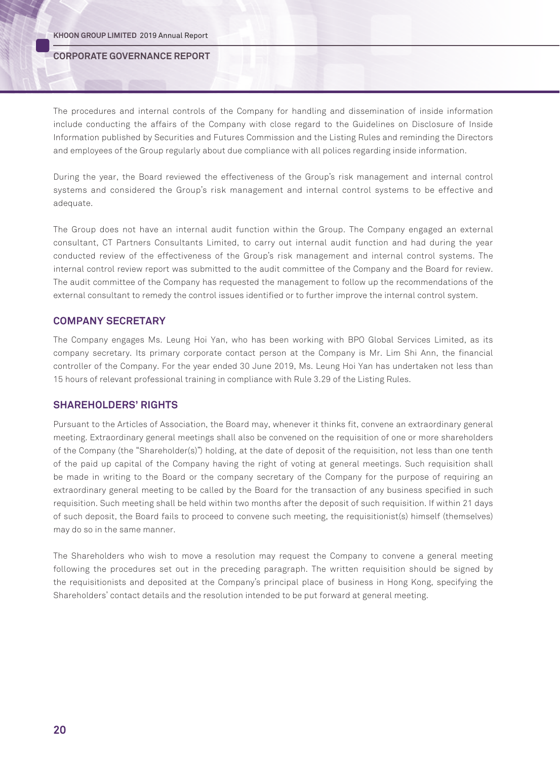The procedures and internal controls of the Company for handling and dissemination of inside information include conducting the affairs of the Company with close regard to the Guidelines on Disclosure of Inside Information published by Securities and Futures Commission and the Listing Rules and reminding the Directors and employees of the Group regularly about due compliance with all polices regarding inside information.

During the year, the Board reviewed the effectiveness of the Group's risk management and internal control systems and considered the Group's risk management and internal control systems to be effective and adequate.

The Group does not have an internal audit function within the Group. The Company engaged an external consultant, CT Partners Consultants Limited, to carry out internal audit function and had during the year conducted review of the effectiveness of the Group's risk management and internal control systems. The internal control review report was submitted to the audit committee of the Company and the Board for review. The audit committee of the Company has requested the management to follow up the recommendations of the external consultant to remedy the control issues identified or to further improve the internal control system.

# **COMPANY SECRETARY**

The Company engages Ms. Leung Hoi Yan, who has been working with BPO Global Services Limited, as its company secretary. Its primary corporate contact person at the Company is Mr. Lim Shi Ann, the financial controller of the Company. For the year ended 30 June 2019, Ms. Leung Hoi Yan has undertaken not less than 15 hours of relevant professional training in compliance with Rule 3.29 of the Listing Rules.

# **SHAREHOLDERS' RIGHTS**

Pursuant to the Articles of Association, the Board may, whenever it thinks fit, convene an extraordinary general meeting. Extraordinary general meetings shall also be convened on the requisition of one or more shareholders of the Company (the "Shareholder(s)") holding, at the date of deposit of the requisition, not less than one tenth of the paid up capital of the Company having the right of voting at general meetings. Such requisition shall be made in writing to the Board or the company secretary of the Company for the purpose of requiring an extraordinary general meeting to be called by the Board for the transaction of any business specified in such requisition. Such meeting shall be held within two months after the deposit of such requisition. If within 21 days of such deposit, the Board fails to proceed to convene such meeting, the requisitionist(s) himself (themselves) may do so in the same manner.

The Shareholders who wish to move a resolution may request the Company to convene a general meeting following the procedures set out in the preceding paragraph. The written requisition should be signed by the requisitionists and deposited at the Company's principal place of business in Hong Kong, specifying the Shareholders' contact details and the resolution intended to be put forward at general meeting.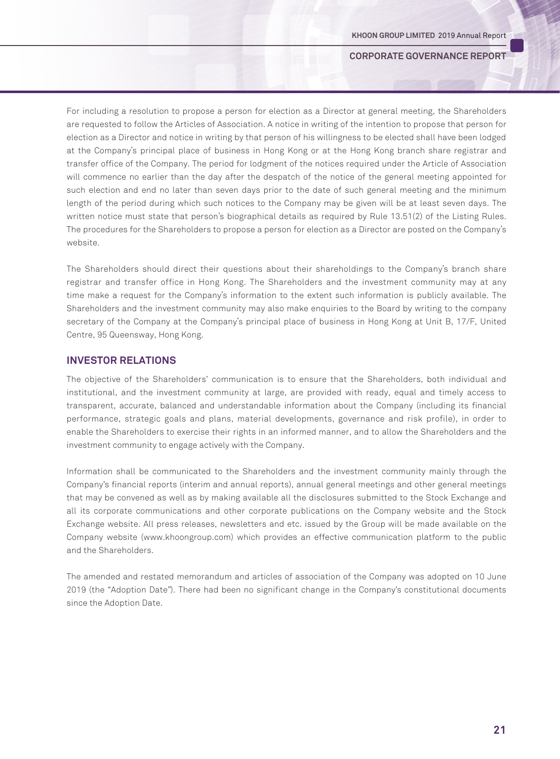For including a resolution to propose a person for election as a Director at general meeting, the Shareholders are requested to follow the Articles of Association. A notice in writing of the intention to propose that person for election as a Director and notice in writing by that person of his willingness to be elected shall have been lodged at the Company's principal place of business in Hong Kong or at the Hong Kong branch share registrar and transfer office of the Company. The period for lodgment of the notices required under the Article of Association will commence no earlier than the day after the despatch of the notice of the general meeting appointed for such election and end no later than seven days prior to the date of such general meeting and the minimum length of the period during which such notices to the Company may be given will be at least seven days. The written notice must state that person's biographical details as required by Rule 13.51(2) of the Listing Rules. The procedures for the Shareholders to propose a person for election as a Director are posted on the Company's website.

The Shareholders should direct their questions about their shareholdings to the Company's branch share registrar and transfer office in Hong Kong. The Shareholders and the investment community may at any time make a request for the Company's information to the extent such information is publicly available. The Shareholders and the investment community may also make enquiries to the Board by writing to the company secretary of the Company at the Company's principal place of business in Hong Kong at Unit B, 17/F, United Centre, 95 Queensway, Hong Kong.

# **INVESTOR RELATIONS**

The objective of the Shareholders' communication is to ensure that the Shareholders, both individual and institutional, and the investment community at large, are provided with ready, equal and timely access to transparent, accurate, balanced and understandable information about the Company (including its financial performance, strategic goals and plans, material developments, governance and risk profile), in order to enable the Shareholders to exercise their rights in an informed manner, and to allow the Shareholders and the investment community to engage actively with the Company.

Information shall be communicated to the Shareholders and the investment community mainly through the Company's financial reports (interim and annual reports), annual general meetings and other general meetings that may be convened as well as by making available all the disclosures submitted to the Stock Exchange and all its corporate communications and other corporate publications on the Company website and the Stock Exchange website. All press releases, newsletters and etc. issued by the Group will be made available on the Company website (www.khoongroup.com) which provides an effective communication platform to the public and the Shareholders.

The amended and restated memorandum and articles of association of the Company was adopted on 10 June 2019 (the "Adoption Date"). There had been no significant change in the Company's constitutional documents since the Adoption Date.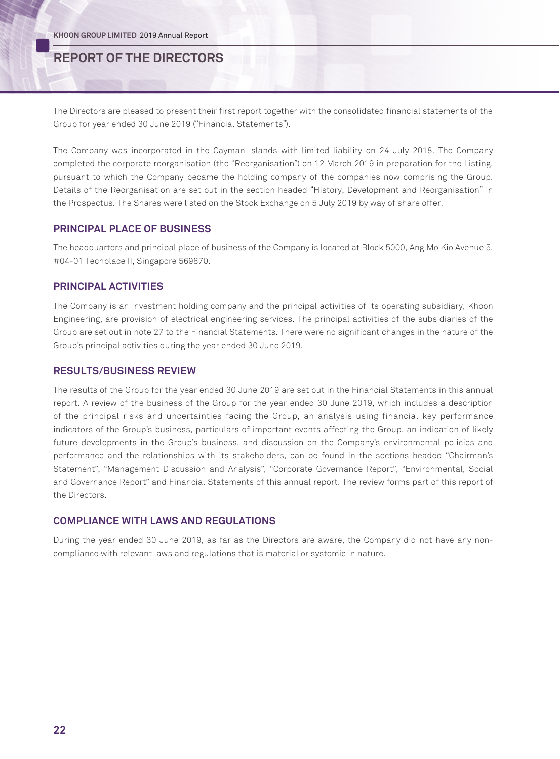**Khoon Group Limited** 2019 Annual Report

# **REPORT OF THE DIRECTORS**

The Directors are pleased to present their first report together with the consolidated financial statements of the Group for year ended 30 June 2019 ("Financial Statements").

The Company was incorporated in the Cayman Islands with limited liability on 24 July 2018. The Company completed the corporate reorganisation (the "Reorganisation") on 12 March 2019 in preparation for the Listing, pursuant to which the Company became the holding company of the companies now comprising the Group. Details of the Reorganisation are set out in the section headed "History, Development and Reorganisation" in the Prospectus. The Shares were listed on the Stock Exchange on 5 July 2019 by way of share offer.

# **PRINCIPAL PLACE OF BUSINESS**

The headquarters and principal place of business of the Company is located at Block 5000, Ang Mo Kio Avenue 5, #04-01 Techplace II, Singapore 569870.

# **PRINCIPAL ACTIVITIES**

The Company is an investment holding company and the principal activities of its operating subsidiary, Khoon Engineering, are provision of electrical engineering services. The principal activities of the subsidiaries of the Group are set out in note 27 to the Financial Statements. There were no significant changes in the nature of the Group's principal activities during the year ended 30 June 2019.

# **RESULTS/BUSINESS REVIEW**

The results of the Group for the year ended 30 June 2019 are set out in the Financial Statements in this annual report. A review of the business of the Group for the year ended 30 June 2019, which includes a description of the principal risks and uncertainties facing the Group, an analysis using financial key performance indicators of the Group's business, particulars of important events affecting the Group, an indication of likely future developments in the Group's business, and discussion on the Company's environmental policies and performance and the relationships with its stakeholders, can be found in the sections headed "Chairman's Statement", "Management Discussion and Analysis", "Corporate Governance Report", "Environmental, Social and Governance Report" and Financial Statements of this annual report. The review forms part of this report of the Directors.

# **COMPLIANCE WITH LAWS AND REGULATIONS**

During the year ended 30 June 2019, as far as the Directors are aware, the Company did not have any noncompliance with relevant laws and regulations that is material or systemic in nature.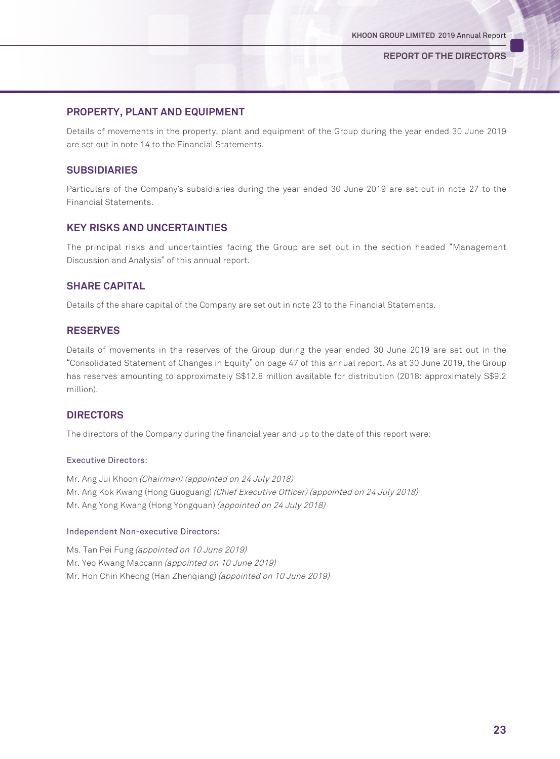# **PROPERTY, PLANT AND EQUIPMENT**

Details of movements in the property, plant and equipment of the Group during the year ended 30 June 2019 are set out in note 14 to the Financial Statements.

# **SUBSIDIARIES**

Particulars of the Company's subsidiaries during the year ended 30 June 2019 are set out in note 27 to the Financial Statements.

# **KEY RISKS AND UNCERTAINTIES**

The principal risks and uncertainties facing the Group are set out in the section headed "Management Discussion and Analysis" of this annual report.

# **SHARE CAPITAL**

Details of the share capital of the Company are set out in note 23 to the Financial Statements.

# **RESERVES**

Details of movements in the reserves of the Group during the year ended 30 June 2019 are set out in the "Consolidated Statement of Changes in Equity" on page 47 of this annual report. As at 30 June 2019, the Group has reserves amounting to approximately S\$12.8 million available for distribution (2018: approximately S\$9.2) million).

# **DIRECTORS**

The directors of the Company during the financial year and up to the date of this report were:

#### Executive Directors:

Mr. Ang Jui Khoon (Chairman) (appointed on 24 July 2018) Mr. Ang Kok Kwang (Hong Guoguang) (Chief Executive Officer) (appointed on 24 July 2018) Mr. Ang Yong Kwang (Hong Yongquan) (appointed on 24 July 2018)

#### Independent Non-executive Directors:

Ms. Tan Pei Fung (appointed on 10 June 2019) Mr. Yeo Kwang Maccann (appointed on 10 June 2019) Mr. Hon Chin Kheong (Han Zhenqiang) (appointed on 10 June 2019)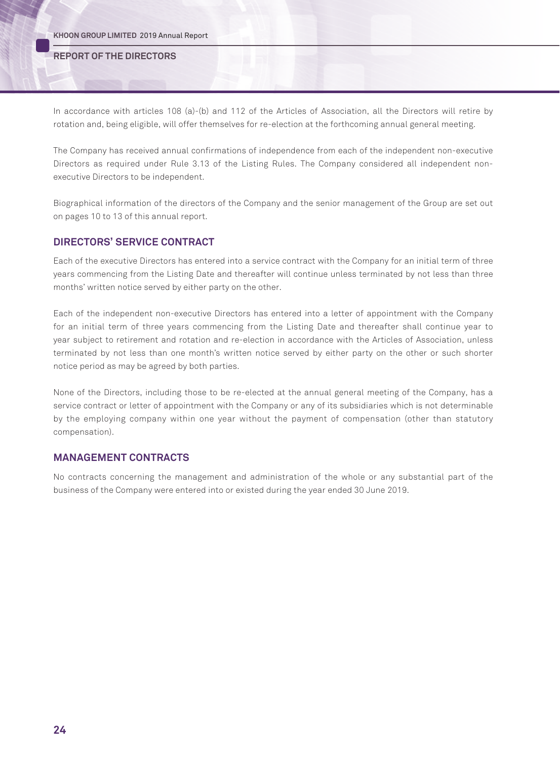**Khoon Group Limited** 2019 Annual Report

#### **REPORT OF THE DIRECTORS**

In accordance with articles 108 (a)-(b) and 112 of the Articles of Association, all the Directors will retire by rotation and, being eligible, will offer themselves for re-election at the forthcoming annual general meeting.

The Company has received annual confirmations of independence from each of the independent non-executive Directors as required under Rule 3.13 of the Listing Rules. The Company considered all independent nonexecutive Directors to be independent.

Biographical information of the directors of the Company and the senior management of the Group are set out on pages 10 to 13 of this annual report.

# **DIRECTORS' SERVICE CONTRACT**

Each of the executive Directors has entered into a service contract with the Company for an initial term of three years commencing from the Listing Date and thereafter will continue unless terminated by not less than three months' written notice served by either party on the other.

Each of the independent non-executive Directors has entered into a letter of appointment with the Company for an initial term of three years commencing from the Listing Date and thereafter shall continue year to year subject to retirement and rotation and re-election in accordance with the Articles of Association, unless terminated by not less than one month's written notice served by either party on the other or such shorter notice period as may be agreed by both parties.

None of the Directors, including those to be re-elected at the annual general meeting of the Company, has a service contract or letter of appointment with the Company or any of its subsidiaries which is not determinable by the employing company within one year without the payment of compensation (other than statutory compensation).

# **MANAGEMENT CONTRACTS**

No contracts concerning the management and administration of the whole or any substantial part of the business of the Company were entered into or existed during the year ended 30 June 2019.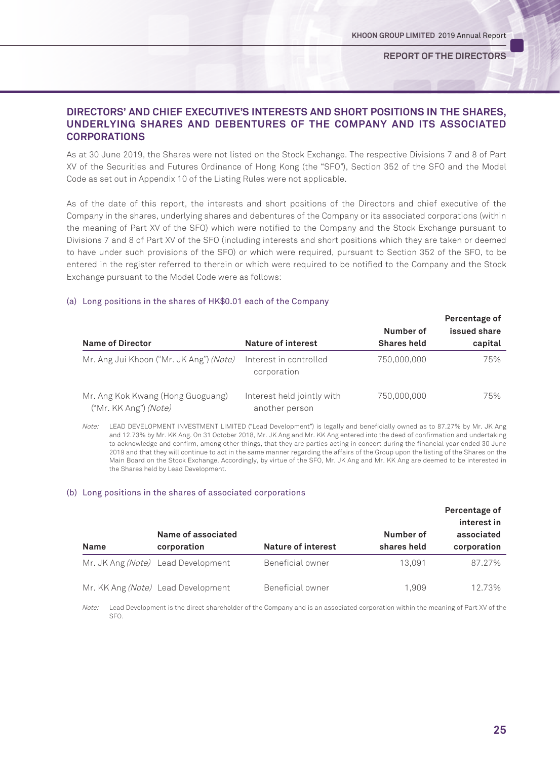# **DIRECTORS' AND CHIEF EXECUTIVE'S INTERESTS AND SHORT POSITIONS IN THE SHARES, UNDERLYING SHARES AND DEBENTURES OF THE COMPANY AND ITS ASSOCIATED CORPORATIONS**

As at 30 June 2019, the Shares were not listed on the Stock Exchange. The respective Divisions 7 and 8 of Part XV of the Securities and Futures Ordinance of Hong Kong (the "SFO"), Section 352 of the SFO and the Model Code as set out in Appendix 10 of the Listing Rules were not applicable.

As of the date of this report, the interests and short positions of the Directors and chief executive of the Company in the shares, underlying shares and debentures of the Company or its associated corporations (within the meaning of Part XV of the SFO) which were notified to the Company and the Stock Exchange pursuant to Divisions 7 and 8 of Part XV of the SFO (including interests and short positions which they are taken or deemed to have under such provisions of the SFO) or which were required, pursuant to Section 352 of the SFO, to be entered in the register referred to therein or which were required to be notified to the Company and the Stock Exchange pursuant to the Model Code were as follows:

#### (a) Long positions in the shares of HK\$0.01 each of the Company

|                                                                   |                                              | Number of          | Percentage of<br>issued share |
|-------------------------------------------------------------------|----------------------------------------------|--------------------|-------------------------------|
| Name of Director                                                  | <b>Nature of interest</b>                    | <b>Shares held</b> | capital                       |
| Mr. Ang Jui Khoon ("Mr. JK Ang") <i>(Note)</i>                    | Interest in controlled<br>corporation        | 750,000,000        | 75%                           |
| Mr. Ang Kok Kwang (Hong Guoguang)<br>("Mr. KK Ang") <i>(Note)</i> | Interest held jointly with<br>another person | 750,000,000        | 75%                           |

Note: LEAD DEVELOPMENT INVESTMENT LIMITED ("Lead Development") is legally and beneficially owned as to 87.27% by Mr. JK Ang and 12.73% by Mr. KK Ang. On 31 October 2018, Mr. JK Ang and Mr. KK Ang entered into the deed of confirmation and undertaking to acknowledge and confirm, among other things, that they are parties acting in concert during the financial year ended 30 June 2019 and that they will continue to act in the same manner regarding the affairs of the Group upon the listing of the Shares on the Main Board on the Stock Exchange. Accordingly, by virtue of the SFO, Mr. JK Ang and Mr. KK Ang are deemed to be interested in the Shares held by Lead Development.

#### (b) Long positions in the shares of associated corporations

| <b>Name</b> | Name of associated<br>corporation  | <b>Nature of interest</b> | Number of<br>shares held | Percentage of<br>interest in<br>associated<br>corporation |
|-------------|------------------------------------|---------------------------|--------------------------|-----------------------------------------------------------|
|             | Mr. JK Ang (Note) Lead Development | Beneficial owner          | 13.091                   | 87.27%                                                    |
|             | Mr. KK Ang (Note) Lead Development | Beneficial owner          | 1.909                    | 12.73%                                                    |

Note: Lead Development is the direct shareholder of the Company and is an associated corporation within the meaning of Part XV of the SFO.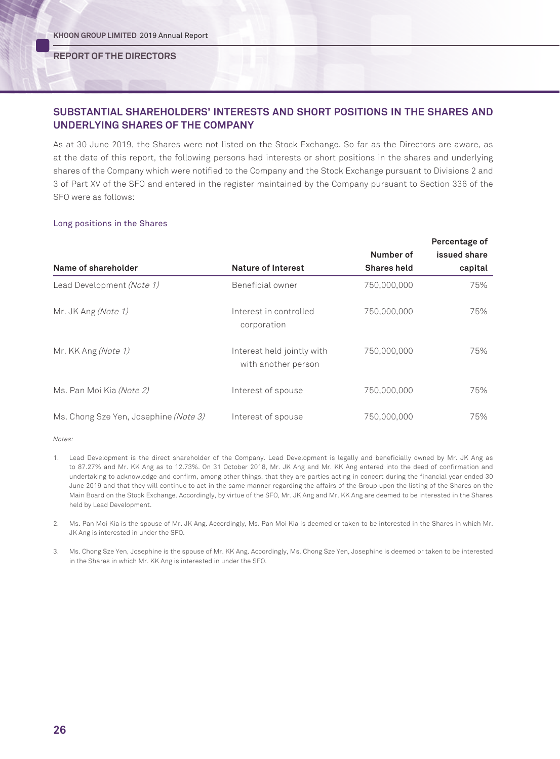# **SUBSTANTIAL SHAREHOLDERS' INTERESTS AND SHORT POSITIONS IN THE SHARES AND UNDERLYING SHARES OF THE COMPANY**

As at 30 June 2019, the Shares were not listed on the Stock Exchange. So far as the Directors are aware, as at the date of this report, the following persons had interests or short positions in the shares and underlying shares of the Company which were notified to the Company and the Stock Exchange pursuant to Divisions 2 and 3 of Part XV of the SFO and entered in the register maintained by the Company pursuant to Section 336 of the SFO were as follows:

#### Long positions in the Shares

|                                       |                                                   |                    | Percentage of |
|---------------------------------------|---------------------------------------------------|--------------------|---------------|
|                                       |                                                   | Number of          | issued share  |
| Name of shareholder                   | <b>Nature of Interest</b>                         | <b>Shares held</b> | capital       |
| Lead Development (Note 1)             | Beneficial owner                                  | 750,000,000        | 75%           |
| Mr. JK Ang (Note 1)                   | Interest in controlled<br>corporation             | 750,000,000        | 75%           |
| Mr. KK Ang (Note 1)                   | Interest held jointly with<br>with another person | 750,000,000        | 75%           |
| Ms. Pan Moi Kia (Note 2)              | Interest of spouse                                | 750,000,000        | 75%           |
| Ms. Chong Sze Yen, Josephine (Note 3) | Interest of spouse                                | 750,000,000        | 75%           |

Notes:

- 1. Lead Development is the direct shareholder of the Company. Lead Development is legally and beneficially owned by Mr. JK Ang as to 87.27% and Mr. KK Ang as to 12.73%. On 31 October 2018, Mr. JK Ang and Mr. KK Ang entered into the deed of confirmation and undertaking to acknowledge and confirm, among other things, that they are parties acting in concert during the financial year ended 30 June 2019 and that they will continue to act in the same manner regarding the affairs of the Group upon the listing of the Shares on the Main Board on the Stock Exchange. Accordingly, by virtue of the SFO, Mr. JK Ang and Mr. KK Ang are deemed to be interested in the Shares held by Lead Development.
- 2. Ms. Pan Moi Kia is the spouse of Mr. JK Ang. Accordingly, Ms. Pan Moi Kia is deemed or taken to be interested in the Shares in which Mr. JK Ang is interested in under the SFO.
- 3. Ms. Chong Sze Yen, Josephine is the spouse of Mr. KK Ang. Accordingly, Ms. Chong Sze Yen, Josephine is deemed or taken to be interested in the Shares in which Mr. KK Ang is interested in under the SFO.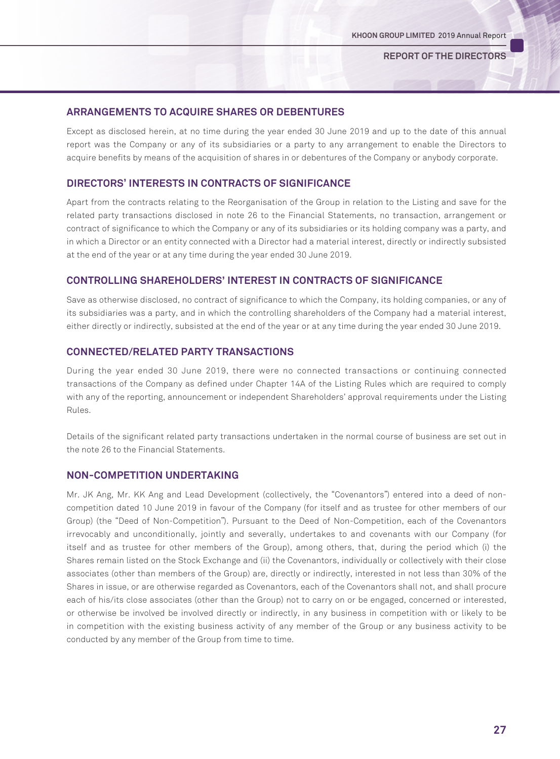# **ARRANGEMENTS TO ACQUIRE SHARES OR DEBENTURES**

Except as disclosed herein, at no time during the year ended 30 June 2019 and up to the date of this annual report was the Company or any of its subsidiaries or a party to any arrangement to enable the Directors to acquire benefits by means of the acquisition of shares in or debentures of the Company or anybody corporate.

# **DIRECTORS' INTERESTS IN CONTRACTS OF SIGNIFICANCE**

Apart from the contracts relating to the Reorganisation of the Group in relation to the Listing and save for the related party transactions disclosed in note 26 to the Financial Statements, no transaction, arrangement or contract of significance to which the Company or any of its subsidiaries or its holding company was a party, and in which a Director or an entity connected with a Director had a material interest, directly or indirectly subsisted at the end of the year or at any time during the year ended 30 June 2019.

# **CONTROLLING SHAREHOLDERS' INTEREST IN CONTRACTS OF SIGNIFICANCE**

Save as otherwise disclosed, no contract of significance to which the Company, its holding companies, or any of its subsidiaries was a party, and in which the controlling shareholders of the Company had a material interest, either directly or indirectly, subsisted at the end of the year or at any time during the year ended 30 June 2019.

# **CONNECTED/RELATED PARTY TRANSACTIONS**

During the year ended 30 June 2019, there were no connected transactions or continuing connected transactions of the Company as defined under Chapter 14A of the Listing Rules which are required to comply with any of the reporting, announcement or independent Shareholders' approval requirements under the Listing Rules.

Details of the significant related party transactions undertaken in the normal course of business are set out in the note 26 to the Financial Statements.

# **NON-COMPETITION UNDERTAKING**

Mr. JK Ang, Mr. KK Ang and Lead Development (collectively, the "Covenantors") entered into a deed of noncompetition dated 10 June 2019 in favour of the Company (for itself and as trustee for other members of our Group) (the "Deed of Non-Competition"). Pursuant to the Deed of Non-Competition, each of the Covenantors irrevocably and unconditionally, jointly and severally, undertakes to and covenants with our Company (for itself and as trustee for other members of the Group), among others, that, during the period which (i) the Shares remain listed on the Stock Exchange and (ii) the Covenantors, individually or collectively with their close associates (other than members of the Group) are, directly or indirectly, interested in not less than 30% of the Shares in issue, or are otherwise regarded as Covenantors, each of the Covenantors shall not, and shall procure each of his/its close associates (other than the Group) not to carry on or be engaged, concerned or interested, or otherwise be involved be involved directly or indirectly, in any business in competition with or likely to be in competition with the existing business activity of any member of the Group or any business activity to be conducted by any member of the Group from time to time.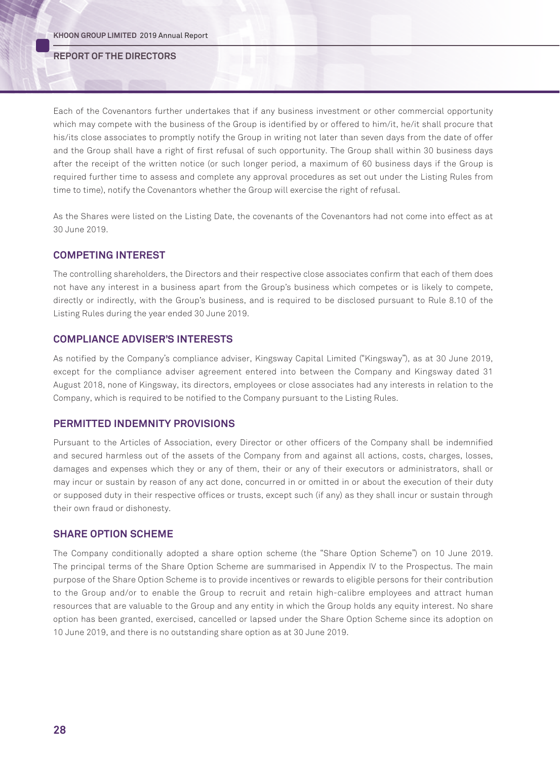**Khoon Group Limited** 2019 Annual Report

#### **REPORT OF THE DIRECTORS**

Each of the Covenantors further undertakes that if any business investment or other commercial opportunity which may compete with the business of the Group is identified by or offered to him/it, he/it shall procure that his/its close associates to promptly notify the Group in writing not later than seven days from the date of offer and the Group shall have a right of first refusal of such opportunity. The Group shall within 30 business days after the receipt of the written notice (or such longer period, a maximum of 60 business days if the Group is required further time to assess and complete any approval procedures as set out under the Listing Rules from time to time), notify the Covenantors whether the Group will exercise the right of refusal.

As the Shares were listed on the Listing Date, the covenants of the Covenantors had not come into effect as at 30 June 2019.

# **COMPETING INTEREST**

The controlling shareholders, the Directors and their respective close associates confirm that each of them does not have any interest in a business apart from the Group's business which competes or is likely to compete, directly or indirectly, with the Group's business, and is required to be disclosed pursuant to Rule 8.10 of the Listing Rules during the year ended 30 June 2019.

### **COMPLIANCE ADVISER'S INTERESTS**

As notified by the Company's compliance adviser, Kingsway Capital Limited ("Kingsway"), as at 30 June 2019, except for the compliance adviser agreement entered into between the Company and Kingsway dated 31 August 2018, none of Kingsway, its directors, employees or close associates had any interests in relation to the Company, which is required to be notified to the Company pursuant to the Listing Rules.

# **PERMITTED INDEMNITY PROVISIONS**

Pursuant to the Articles of Association, every Director or other officers of the Company shall be indemnified and secured harmless out of the assets of the Company from and against all actions, costs, charges, losses, damages and expenses which they or any of them, their or any of their executors or administrators, shall or may incur or sustain by reason of any act done, concurred in or omitted in or about the execution of their duty or supposed duty in their respective offices or trusts, except such (if any) as they shall incur or sustain through their own fraud or dishonesty.

# **SHARE OPTION SCHEME**

The Company conditionally adopted a share option scheme (the "Share Option Scheme") on 10 June 2019. The principal terms of the Share Option Scheme are summarised in Appendix IV to the Prospectus. The main purpose of the Share Option Scheme is to provide incentives or rewards to eligible persons for their contribution to the Group and/or to enable the Group to recruit and retain high-calibre employees and attract human resources that are valuable to the Group and any entity in which the Group holds any equity interest. No share option has been granted, exercised, cancelled or lapsed under the Share Option Scheme since its adoption on 10 June 2019, and there is no outstanding share option as at 30 June 2019.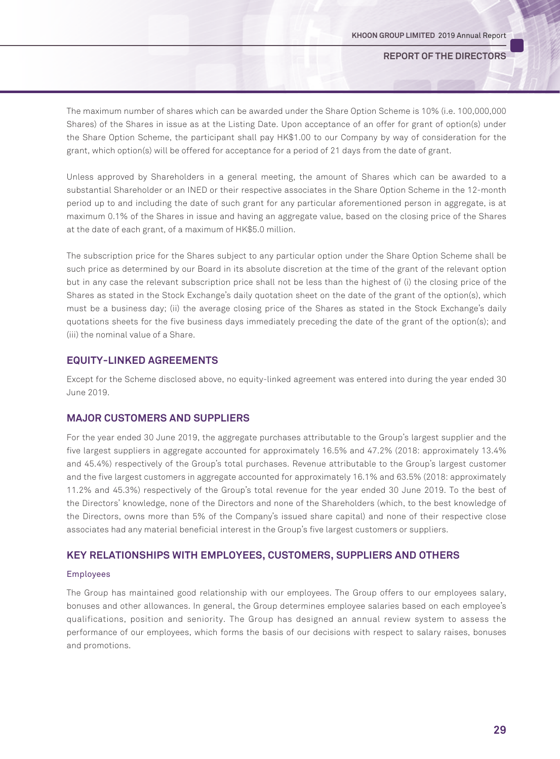The maximum number of shares which can be awarded under the Share Option Scheme is 10% (i.e. 100,000,000 Shares) of the Shares in issue as at the Listing Date. Upon acceptance of an offer for grant of option(s) under the Share Option Scheme, the participant shall pay HK\$1.00 to our Company by way of consideration for the grant, which option(s) will be offered for acceptance for a period of 21 days from the date of grant.

Unless approved by Shareholders in a general meeting, the amount of Shares which can be awarded to a substantial Shareholder or an INED or their respective associates in the Share Option Scheme in the 12-month period up to and including the date of such grant for any particular aforementioned person in aggregate, is at maximum 0.1% of the Shares in issue and having an aggregate value, based on the closing price of the Shares at the date of each grant, of a maximum of HK\$5.0 million.

The subscription price for the Shares subject to any particular option under the Share Option Scheme shall be such price as determined by our Board in its absolute discretion at the time of the grant of the relevant option but in any case the relevant subscription price shall not be less than the highest of (i) the closing price of the Shares as stated in the Stock Exchange's daily quotation sheet on the date of the grant of the option(s), which must be a business day; (ii) the average closing price of the Shares as stated in the Stock Exchange's daily quotations sheets for the five business days immediately preceding the date of the grant of the option(s); and (iii) the nominal value of a Share.

# **EQUITY-LINKED AGREEMENTS**

Except for the Scheme disclosed above, no equity-linked agreement was entered into during the year ended 30 June 2019.

# **MAJOR CUSTOMERS AND SUPPLIERS**

For the year ended 30 June 2019, the aggregate purchases attributable to the Group's largest supplier and the five largest suppliers in aggregate accounted for approximately 16.5% and 47.2% (2018: approximately 13.4% and 45.4%) respectively of the Group's total purchases. Revenue attributable to the Group's largest customer and the five largest customers in aggregate accounted for approximately 16.1% and 63.5% (2018: approximately 11.2% and 45.3%) respectively of the Group's total revenue for the year ended 30 June 2019. To the best of the Directors' knowledge, none of the Directors and none of the Shareholders (which, to the best knowledge of the Directors, owns more than 5% of the Company's issued share capital) and none of their respective close associates had any material beneficial interest in the Group's five largest customers or suppliers.

# **KEY RELATIONSHIPS WITH EMPLOYEES, CUSTOMERS, SUPPLIERS AND OTHERS**

#### Employees

The Group has maintained good relationship with our employees. The Group offers to our employees salary, bonuses and other allowances. In general, the Group determines employee salaries based on each employee's qualifications, position and seniority. The Group has designed an annual review system to assess the performance of our employees, which forms the basis of our decisions with respect to salary raises, bonuses and promotions.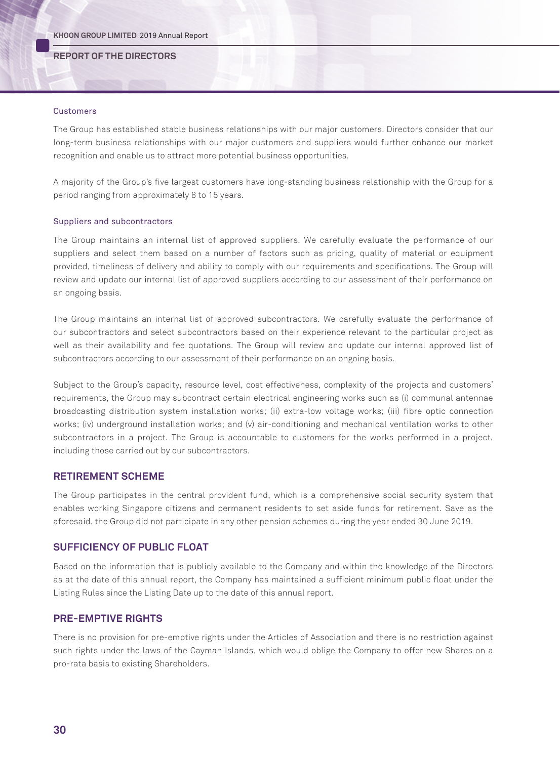#### **Customers**

The Group has established stable business relationships with our major customers. Directors consider that our long-term business relationships with our major customers and suppliers would further enhance our market recognition and enable us to attract more potential business opportunities.

A majority of the Group's five largest customers have long-standing business relationship with the Group for a period ranging from approximately 8 to 15 years.

#### Suppliers and subcontractors

The Group maintains an internal list of approved suppliers. We carefully evaluate the performance of our suppliers and select them based on a number of factors such as pricing, quality of material or equipment provided, timeliness of delivery and ability to comply with our requirements and specifications. The Group will review and update our internal list of approved suppliers according to our assessment of their performance on an ongoing basis.

The Group maintains an internal list of approved subcontractors. We carefully evaluate the performance of our subcontractors and select subcontractors based on their experience relevant to the particular project as well as their availability and fee quotations. The Group will review and update our internal approved list of subcontractors according to our assessment of their performance on an ongoing basis.

Subject to the Group's capacity, resource level, cost effectiveness, complexity of the projects and customers' requirements, the Group may subcontract certain electrical engineering works such as (i) communal antennae broadcasting distribution system installation works; (ii) extra-low voltage works; (iii) fibre optic connection works; (iv) underground installation works; and (v) air-conditioning and mechanical ventilation works to other subcontractors in a project. The Group is accountable to customers for the works performed in a project, including those carried out by our subcontractors.

# **RETIREMENT SCHEME**

The Group participates in the central provident fund, which is a comprehensive social security system that enables working Singapore citizens and permanent residents to set aside funds for retirement. Save as the aforesaid, the Group did not participate in any other pension schemes during the year ended 30 June 2019.

# **SUFFICIENCY OF PUBLIC FLOAT**

Based on the information that is publicly available to the Company and within the knowledge of the Directors as at the date of this annual report, the Company has maintained a sufficient minimum public float under the Listing Rules since the Listing Date up to the date of this annual report.

# **PRE-EMPTIVE RIGHTS**

There is no provision for pre-emptive rights under the Articles of Association and there is no restriction against such rights under the laws of the Cayman Islands, which would oblige the Company to offer new Shares on a pro-rata basis to existing Shareholders.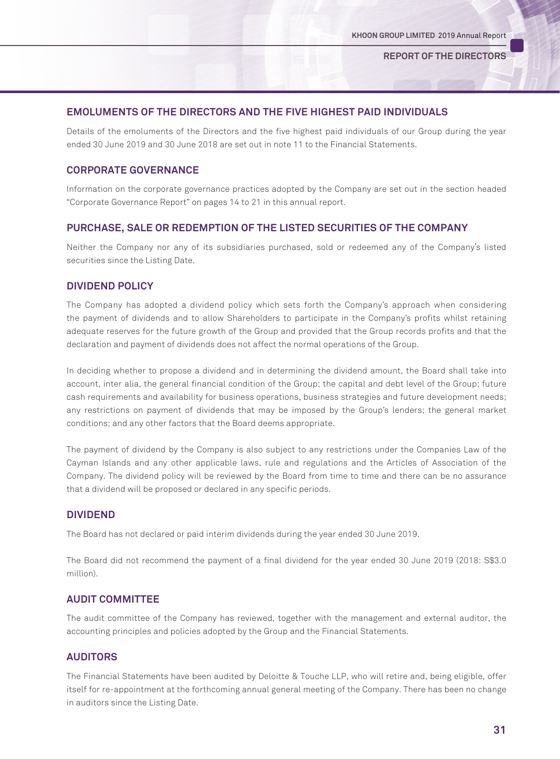# **EMOLUMENTS OF THE DIRECTORS AND THE FIVE HIGHEST PAID INDIVIDUALS**

Details of the emoluments of the Directors and the five highest paid individuals of our Group during the year ended 30 June 2019 and 30 June 2018 are set out in note 11 to the Financial Statements.

# **CORPORATE GOVERNANCE**

Information on the corporate governance practices adopted by the Company are set out in the section headed "Corporate Governance Report" on pages 14 to 21 in this annual report.

# **PURCHASE, SALE OR REDEMPTION OF THE LISTED SECURITIES OF THE COMPANY**

Neither the Company nor any of its subsidiaries purchased, sold or redeemed any of the Company's listed securities since the Listing Date.

# **DIVIDEND POLICY**

The Company has adopted a dividend policy which sets forth the Company's approach when considering the payment of dividends and to allow Shareholders to participate in the Company's profits whilst retaining adequate reserves for the future growth of the Group and provided that the Group records profits and that the declaration and payment of dividends does not affect the normal operations of the Group.

In deciding whether to propose a dividend and in determining the dividend amount, the Board shall take into account, inter alia, the general financial condition of the Group; the capital and debt level of the Group; future cash requirements and availability for business operations, business strategies and future development needs; any restrictions on payment of dividends that may be imposed by the Group's lenders; the general market conditions; and any other factors that the Board deems appropriate.

The payment of dividend by the Company is also subject to any restrictions under the Companies Law of the Cayman Islands and any other applicable laws, rule and regulations and the Articles of Association of the Company. The dividend policy will be reviewed by the Board from time to time and there can be no assurance that a dividend will be proposed or declared in any specific periods.

# **DIVIDEND**

The Board has not declared or paid interim dividends during the year ended 30 June 2019.

The Board did not recommend the payment of a final dividend for the year ended 30 June 2019 (2018: S\$3.0 million).

# **AUDIT COMMITTEE**

The audit committee of the Company has reviewed, together with the management and external auditor, the accounting principles and policies adopted by the Group and the Financial Statements.

# **AUDITORS**

The Financial Statements have been audited by Deloitte & Touche LLP, who will retire and, being eligible, offer itself for re-appointment at the forthcoming annual general meeting of the Company. There has been no change in auditors since the Listing Date.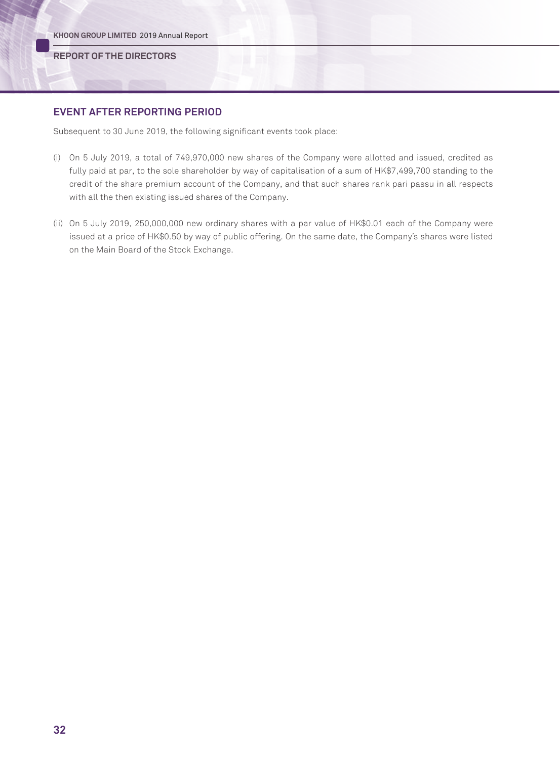**Khoon Group Limited** 2019 Annual Report

#### **REPORT OF THE DIRECTORS**

# **EVENT AFTER REPORTING PERIOD**

Subsequent to 30 June 2019, the following significant events took place:

- (i) On 5 July 2019, a total of 749,970,000 new shares of the Company were allotted and issued, credited as fully paid at par, to the sole shareholder by way of capitalisation of a sum of HK\$7,499,700 standing to the credit of the share premium account of the Company, and that such shares rank pari passu in all respects with all the then existing issued shares of the Company.
- (ii) On 5 July 2019, 250,000,000 new ordinary shares with a par value of HK\$0.01 each of the Company were issued at a price of HK\$0.50 by way of public offering. On the same date, the Company's shares were listed on the Main Board of the Stock Exchange.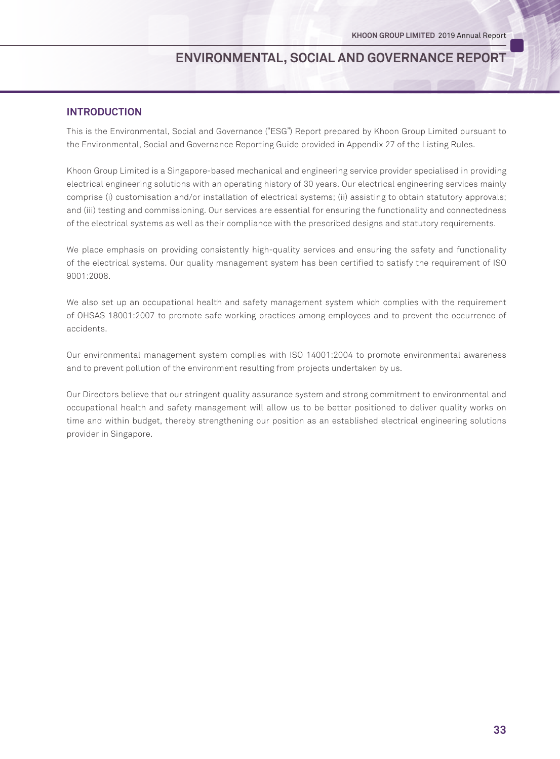# **ENVIRONMENTAL, SOCIAL AND GOVERNANCE REPORT**

# **INTRODUCTION**

This is the Environmental, Social and Governance ("ESG") Report prepared by Khoon Group Limited pursuant to the Environmental, Social and Governance Reporting Guide provided in Appendix 27 of the Listing Rules.

Khoon Group Limited is a Singapore-based mechanical and engineering service provider specialised in providing electrical engineering solutions with an operating history of 30 years. Our electrical engineering services mainly comprise (i) customisation and/or installation of electrical systems; (ii) assisting to obtain statutory approvals; and (iii) testing and commissioning. Our services are essential for ensuring the functionality and connectedness of the electrical systems as well as their compliance with the prescribed designs and statutory requirements.

We place emphasis on providing consistently high-quality services and ensuring the safety and functionality of the electrical systems. Our quality management system has been certified to satisfy the requirement of ISO 9001:2008.

We also set up an occupational health and safety management system which complies with the requirement of OHSAS 18001:2007 to promote safe working practices among employees and to prevent the occurrence of accidents.

Our environmental management system complies with ISO 14001:2004 to promote environmental awareness and to prevent pollution of the environment resulting from projects undertaken by us.

Our Directors believe that our stringent quality assurance system and strong commitment to environmental and occupational health and safety management will allow us to be better positioned to deliver quality works on time and within budget, thereby strengthening our position as an established electrical engineering solutions provider in Singapore.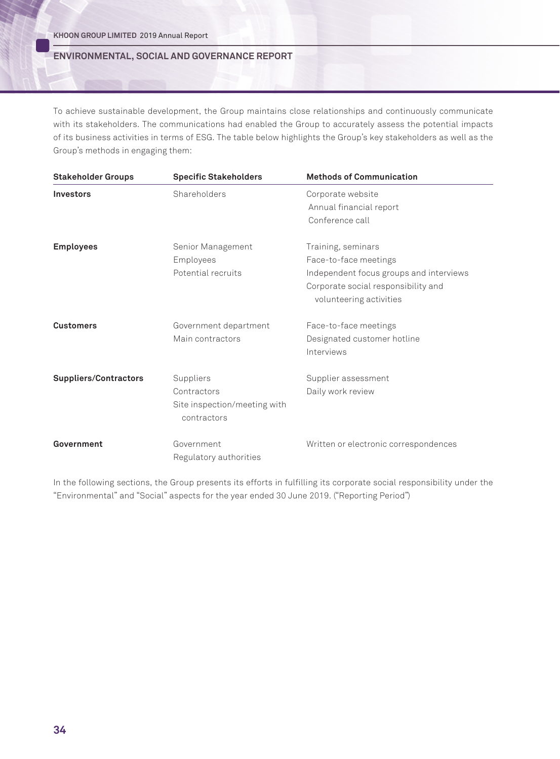# **ENVIRONMENTAL, SOCIAL AND GOVERNANCE REPORT**

To achieve sustainable development, the Group maintains close relationships and continuously communicate with its stakeholders. The communications had enabled the Group to accurately assess the potential impacts of its business activities in terms of ESG. The table below highlights the Group's key stakeholders as well as the Group's methods in engaging them:

| <b>Stakeholder Groups</b>    | <b>Specific Stakeholders</b> | <b>Methods of Communication</b>         |
|------------------------------|------------------------------|-----------------------------------------|
| <b>Investors</b>             | Shareholders                 | Corporate website                       |
|                              |                              | Annual financial report                 |
|                              |                              | Conference call                         |
| <b>Employees</b>             | Senior Management            | Training, seminars                      |
|                              | Employees                    | Face-to-face meetings                   |
|                              | Potential recruits           | Independent focus groups and interviews |
|                              |                              | Corporate social responsibility and     |
|                              |                              | volunteering activities                 |
| <b>Customers</b>             | Government department        | Face-to-face meetings                   |
|                              | Main contractors             | Designated customer hotline             |
|                              |                              | Interviews                              |
| <b>Suppliers/Contractors</b> | Suppliers                    | Supplier assessment                     |
|                              | Contractors                  | Daily work review                       |
|                              | Site inspection/meeting with |                                         |
|                              | contractors                  |                                         |
| Government                   | Government                   | Written or electronic correspondences   |
|                              | Regulatory authorities       |                                         |

In the following sections, the Group presents its efforts in fulfilling its corporate social responsibility under the "Environmental" and "Social" aspects for the year ended 30 June 2019. ("Reporting Period")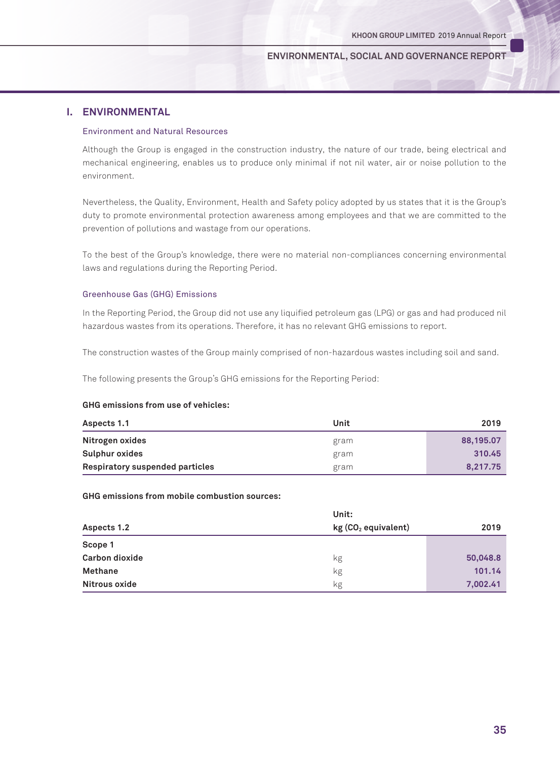# **ENVIRONMENTAL, SOCIAL AND GOVERNANCE REPORT**

# **I. ENVIRONMENTAL**

#### Environment and Natural Resources

Although the Group is engaged in the construction industry, the nature of our trade, being electrical and mechanical engineering, enables us to produce only minimal if not nil water, air or noise pollution to the environment.

Nevertheless, the Quality, Environment, Health and Safety policy adopted by us states that it is the Group's duty to promote environmental protection awareness among employees and that we are committed to the prevention of pollutions and wastage from our operations.

To the best of the Group's knowledge, there were no material non-compliances concerning environmental laws and regulations during the Reporting Period.

# Greenhouse Gas (GHG) Emissions

In the Reporting Period, the Group did not use any liquified petroleum gas (LPG) or gas and had produced nil hazardous wastes from its operations. Therefore, it has no relevant GHG emissions to report.

The construction wastes of the Group mainly comprised of non-hazardous wastes including soil and sand.

The following presents the Group's GHG emissions for the Reporting Period:

#### **GHG emissions from use of vehicles:**

| Aspects 1.1                     | Unit | 2019      |
|---------------------------------|------|-----------|
| Nitrogen oxides                 | gram | 88.195.07 |
| <b>Sulphur oxides</b>           | gram | 310.45    |
| Respiratory suspended particles | gram | 8.217.75  |

#### **GHG emissions from mobile combustion sources:**

|                | Unit:                           |          |  |
|----------------|---------------------------------|----------|--|
| Aspects 1.2    | kg (CO <sub>2</sub> equivalent) | 2019     |  |
| Scope 1        |                                 |          |  |
| Carbon dioxide | kg                              | 50,048.8 |  |
| <b>Methane</b> | kg                              | 101.14   |  |
| Nitrous oxide  | kg                              | 7,002.41 |  |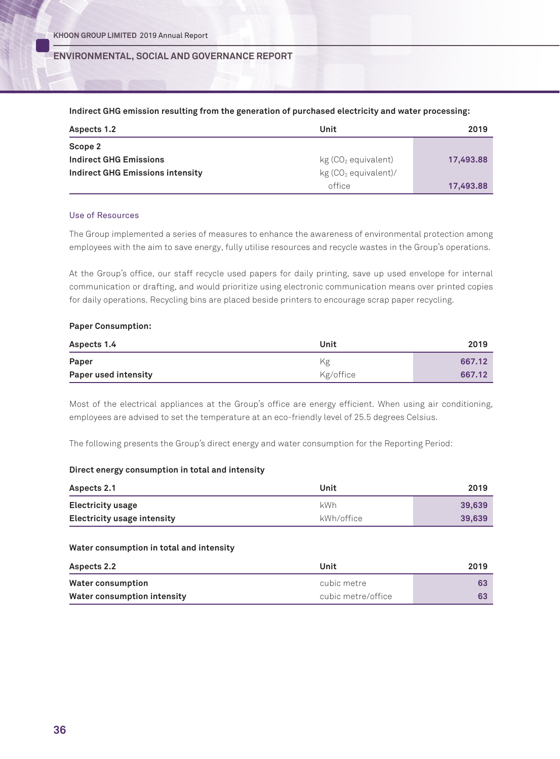### **Indirect GHG emission resulting from the generation of purchased electricity and water processing:**

| Aspects 1.2                      | Unit                    | 2019      |
|----------------------------------|-------------------------|-----------|
| Scope 2                          |                         |           |
| <b>Indirect GHG Emissions</b>    | $kg (CO2$ equivalent)   | 17,493.88 |
| Indirect GHG Emissions intensity | $kg (CO2 equivalent)$ / |           |
|                                  | office                  | 17,493.88 |

### Use of Resources

The Group implemented a series of measures to enhance the awareness of environmental protection among employees with the aim to save energy, fully utilise resources and recycle wastes in the Group's operations.

At the Group's office, our staff recycle used papers for daily printing, save up used envelope for internal communication or drafting, and would prioritize using electronic communication means over printed copies for daily operations. Recycling bins are placed beside printers to encourage scrap paper recycling.

#### **Paper Consumption:**

| Aspects 1.4          | Unit      | 2019   |
|----------------------|-----------|--------|
| Paper                | Κg        | 667.12 |
| Paper used intensity | Kg/office | 667.12 |

Most of the electrical appliances at the Group's office are energy efficient. When using air conditioning, employees are advised to set the temperature at an eco-friendly level of 25.5 degrees Celsius.

The following presents the Group's direct energy and water consumption for the Reporting Period:

#### **Direct energy consumption in total and intensity**

| Aspects 2.1                 | Unit       | 2019   |
|-----------------------------|------------|--------|
| <b>Electricity usage</b>    | kWh        | 39,639 |
| Electricity usage intensity | kWh/office | 39,639 |

#### **Water consumption in total and intensity**

| Aspects 2.2                 | Unit               | 2019 |
|-----------------------------|--------------------|------|
| Water consumption           | cubic metre        | 63   |
| Water consumption intensity | cubic metre/office | 63   |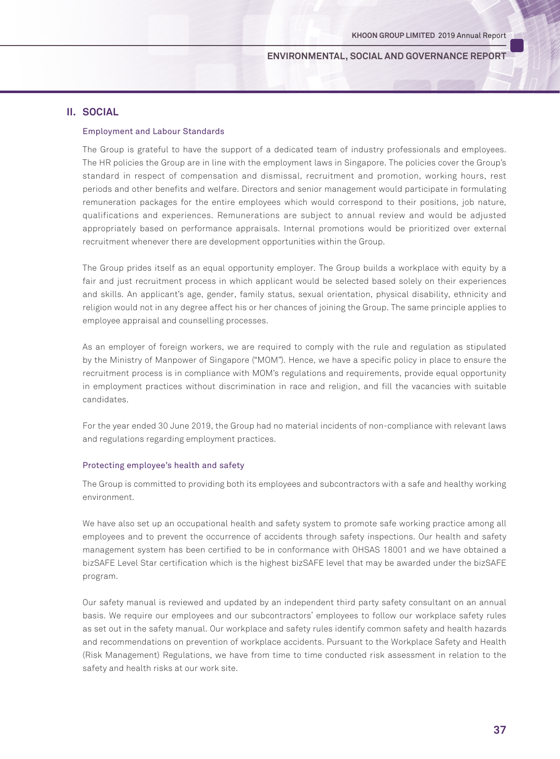# **II. SOCIAL**

### Employment and Labour Standards

The Group is grateful to have the support of a dedicated team of industry professionals and employees. The HR policies the Group are in line with the employment laws in Singapore. The policies cover the Group's standard in respect of compensation and dismissal, recruitment and promotion, working hours, rest periods and other benefits and welfare. Directors and senior management would participate in formulating remuneration packages for the entire employees which would correspond to their positions, job nature, qualifications and experiences. Remunerations are subject to annual review and would be adjusted appropriately based on performance appraisals. Internal promotions would be prioritized over external recruitment whenever there are development opportunities within the Group.

The Group prides itself as an equal opportunity employer. The Group builds a workplace with equity by a fair and just recruitment process in which applicant would be selected based solely on their experiences and skills. An applicant's age, gender, family status, sexual orientation, physical disability, ethnicity and religion would not in any degree affect his or her chances of joining the Group. The same principle applies to employee appraisal and counselling processes.

As an employer of foreign workers, we are required to comply with the rule and regulation as stipulated by the Ministry of Manpower of Singapore ("MOM"). Hence, we have a specific policy in place to ensure the recruitment process is in compliance with MOM's regulations and requirements, provide equal opportunity in employment practices without discrimination in race and religion, and fill the vacancies with suitable candidates.

For the year ended 30 June 2019, the Group had no material incidents of non-compliance with relevant laws and regulations regarding employment practices.

#### Protecting employee's health and safety

The Group is committed to providing both its employees and subcontractors with a safe and healthy working environment.

We have also set up an occupational health and safety system to promote safe working practice among all employees and to prevent the occurrence of accidents through safety inspections. Our health and safety management system has been certified to be in conformance with OHSAS 18001 and we have obtained a bizSAFE Level Star certification which is the highest bizSAFE level that may be awarded under the bizSAFE program.

Our safety manual is reviewed and updated by an independent third party safety consultant on an annual basis. We require our employees and our subcontractors' employees to follow our workplace safety rules as set out in the safety manual. Our workplace and safety rules identify common safety and health hazards and recommendations on prevention of workplace accidents. Pursuant to the Workplace Safety and Health (Risk Management) Regulations, we have from time to time conducted risk assessment in relation to the safety and health risks at our work site.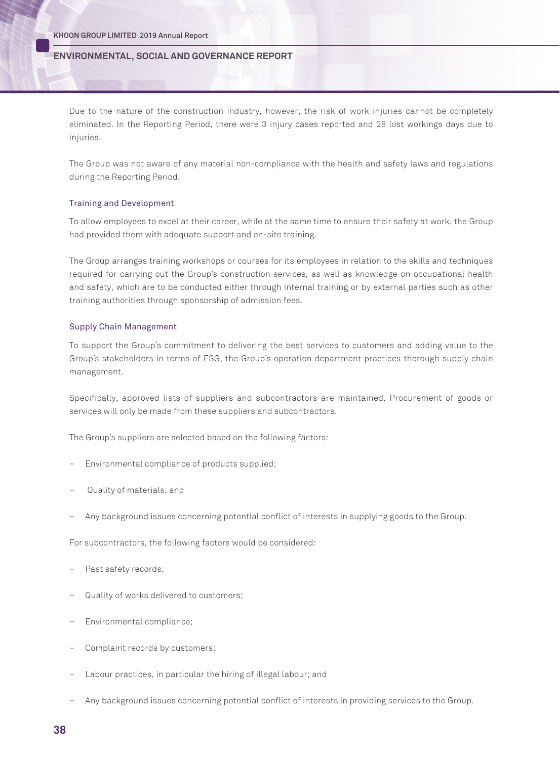Due to the nature of the construction industry, however, the risk of work injuries cannot be completely eliminated. In the Reporting Period, there were 3 injury cases reported and 28 lost workings days due to injuries.

The Group was not aware of any material non-compliance with the health and safety laws and regulations during the Reporting Period.

### Training and Development

To allow employees to excel at their career, while at the same time to ensure their safety at work, the Group had provided them with adequate support and on-site training.

The Group arranges training workshops or courses for its employees in relation to the skills and techniques required for carrying out the Group's construction services, as well as knowledge on occupational health and safety, which are to be conducted either through internal training or by external parties such as other training authorities through sponsorship of admission fees.

### Supply Chain Management

To support the Group's commitment to delivering the best services to customers and adding value to the Group's stakeholders in terms of ESG, the Group's operation department practices thorough supply chain management.

Specifically, approved lists of suppliers and subcontractors are maintained. Procurement of goods or services will only be made from these suppliers and subcontractors.

The Group's suppliers are selected based on the following factors:

- Environmental compliance of products supplied;
- Quality of materials; and
- Any background issues concerning potential conflict of interests in supplying goods to the Group.

For subcontractors, the following factors would be considered:

- Past safety records;
- Quality of works delivered to customers;
- Environmental compliance;
- Complaint records by customers;
- Labour practices, in particular the hiring of illegal labour; and
- Any background issues concerning potential conflict of interests in providing services to the Group.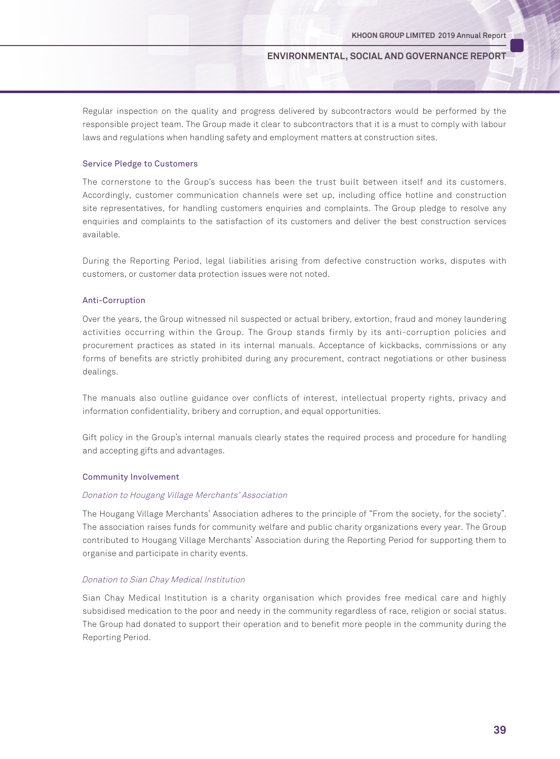Regular inspection on the quality and progress delivered by subcontractors would be performed by the responsible project team. The Group made it clear to subcontractors that it is a must to comply with labour laws and regulations when handling safety and employment matters at construction sites.

#### Service Pledge to Customers

The cornerstone to the Group's success has been the trust built between itself and its customers. Accordingly, customer communication channels were set up, including office hotline and construction site representatives, for handling customers enquiries and complaints. The Group pledge to resolve any enquiries and complaints to the satisfaction of its customers and deliver the best construction services available.

During the Reporting Period, legal liabilities arising from defective construction works, disputes with customers, or customer data protection issues were not noted.

#### Anti-Corruption

Over the years, the Group witnessed nil suspected or actual bribery, extortion, fraud and money laundering activities occurring within the Group. The Group stands firmly by its anti-corruption policies and procurement practices as stated in its internal manuals. Acceptance of kickbacks, commissions or any forms of benefits are strictly prohibited during any procurement, contract negotiations or other business dealings.

The manuals also outline guidance over conflicts of interest, intellectual property rights, privacy and information confidentiality, bribery and corruption, and equal opportunities.

Gift policy in the Group's internal manuals clearly states the required process and procedure for handling and accepting gifts and advantages.

### Community Involvement

#### Donation to Hougang Village Merchants' Association

The Hougang Village Merchants' Association adheres to the principle of "From the society, for the society". The association raises funds for community welfare and public charity organizations every year. The Group contributed to Hougang Village Merchants' Association during the Reporting Period for supporting them to organise and participate in charity events.

#### Donation to Sian Chay Medical Institution

Sian Chay Medical Institution is a charity organisation which provides free medical care and highly subsidised medication to the poor and needy in the community regardless of race, religion or social status. The Group had donated to support their operation and to benefit more people in the community during the Reporting Period.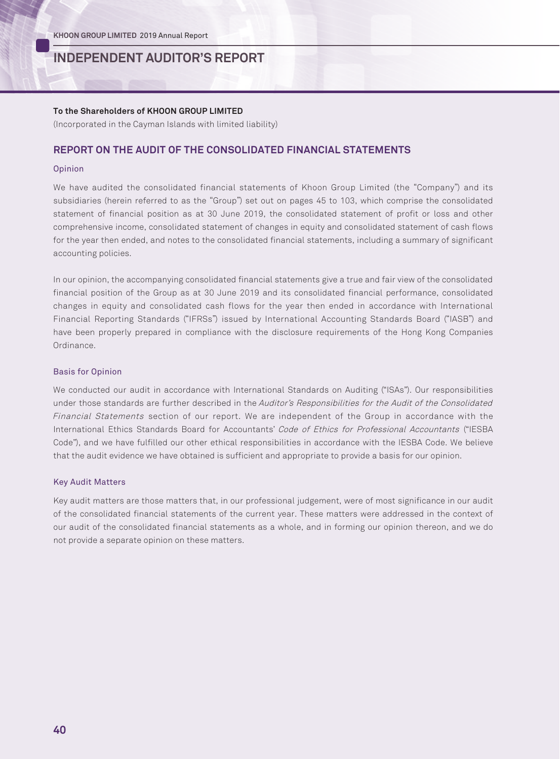# **INDEPENDENT AUDITOR'S REPORT**

### **To the Shareholders of KHOON GROUP LIMITED**

(Incorporated in the Cayman Islands with limited liability)

# **REPORT ON THE AUDIT OF THE CONSOLIDATED FINANCIAL STATEMENTS**

### Opinion

We have audited the consolidated financial statements of Khoon Group Limited (the "Company") and its subsidiaries (herein referred to as the "Group") set out on pages 45 to 103, which comprise the consolidated statement of financial position as at 30 June 2019, the consolidated statement of profit or loss and other comprehensive income, consolidated statement of changes in equity and consolidated statement of cash flows for the year then ended, and notes to the consolidated financial statements, including a summary of significant accounting policies.

In our opinion, the accompanying consolidated financial statements give a true and fair view of the consolidated financial position of the Group as at 30 June 2019 and its consolidated financial performance, consolidated changes in equity and consolidated cash flows for the year then ended in accordance with International Financial Reporting Standards ("IFRSs") issued by International Accounting Standards Board ("IASB") and have been properly prepared in compliance with the disclosure requirements of the Hong Kong Companies Ordinance.

### Basis for Opinion

We conducted our audit in accordance with International Standards on Auditing ("ISAs"). Our responsibilities under those standards are further described in the Auditor's Responsibilities for the Audit of the Consolidated Financial Statements section of our report. We are independent of the Group in accordance with the International Ethics Standards Board for Accountants' Code of Ethics for Professional Accountants ("IESBA Code"), and we have fulfilled our other ethical responsibilities in accordance with the IESBA Code. We believe that the audit evidence we have obtained is sufficient and appropriate to provide a basis for our opinion.

### Key Audit Matters

Key audit matters are those matters that, in our professional judgement, were of most significance in our audit of the consolidated financial statements of the current year. These matters were addressed in the context of our audit of the consolidated financial statements as a whole, and in forming our opinion thereon, and we do not provide a separate opinion on these matters.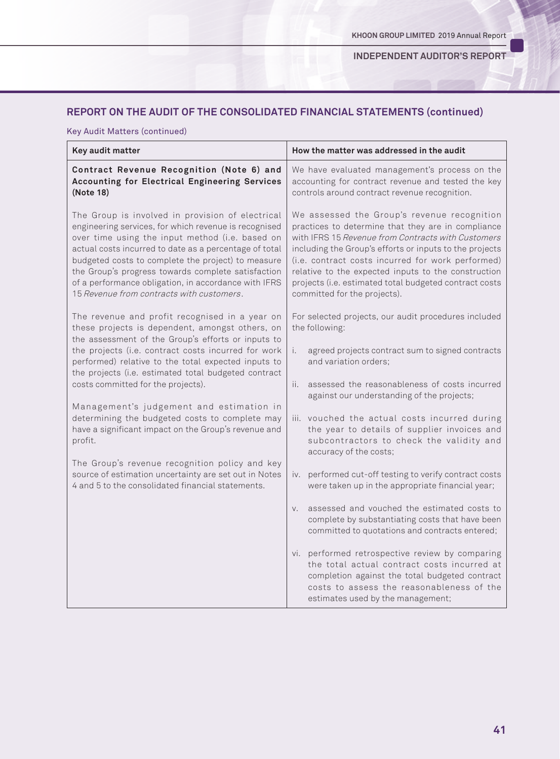**INDEPENDENT AUDITOR'S REPORT**

# **REPORT ON THE AUDIT OF THE CONSOLIDATED FINANCIAL STATEMENTS (continued)**

# Key Audit Matters (continued)

| Key audit matter                                                                                                                                        | How the matter was addressed in the audit                                                                                                                                                                                          |
|---------------------------------------------------------------------------------------------------------------------------------------------------------|------------------------------------------------------------------------------------------------------------------------------------------------------------------------------------------------------------------------------------|
| Contract Revenue Recognition (Note 6) and                                                                                                               | We have evaluated management's process on the                                                                                                                                                                                      |
| <b>Accounting for Electrical Engineering Services</b>                                                                                                   | accounting for contract revenue and tested the key                                                                                                                                                                                 |
| (Note 18)                                                                                                                                               | controls around contract revenue recognition.                                                                                                                                                                                      |
| The Group is involved in provision of electrical                                                                                                        | We assessed the Group's revenue recognition                                                                                                                                                                                        |
| engineering services, for which revenue is recognised                                                                                                   | practices to determine that they are in compliance                                                                                                                                                                                 |
| over time using the input method (i.e. based on                                                                                                         | with IFRS 15 Revenue from Contracts with Customers                                                                                                                                                                                 |
| actual costs incurred to date as a percentage of total                                                                                                  | including the Group's efforts or inputs to the projects                                                                                                                                                                            |
| budgeted costs to complete the project) to measure                                                                                                      | (i.e. contract costs incurred for work performed)                                                                                                                                                                                  |
| the Group's progress towards complete satisfaction                                                                                                      | relative to the expected inputs to the construction                                                                                                                                                                                |
| of a performance obligation, in accordance with IFRS                                                                                                    | projects (i.e. estimated total budgeted contract costs                                                                                                                                                                             |
| 15 Revenue from contracts with customers.                                                                                                               | committed for the projects).                                                                                                                                                                                                       |
| The revenue and profit recognised in a year on<br>these projects is dependent, amongst others, on<br>the assessment of the Group's efforts or inputs to | For selected projects, our audit procedures included<br>the following:                                                                                                                                                             |
| the projects (i.e. contract costs incurred for work                                                                                                     | i.                                                                                                                                                                                                                                 |
| performed) relative to the total expected inputs to                                                                                                     | agreed projects contract sum to signed contracts                                                                                                                                                                                   |
| the projects (i.e. estimated total budgeted contract                                                                                                    | and variation orders;                                                                                                                                                                                                              |
| costs committed for the projects).                                                                                                                      | assessed the reasonableness of costs incurred<br>ii.<br>against our understanding of the projects;                                                                                                                                 |
| Management's judgement and estimation in                                                                                                                | iii. vouched the actual costs incurred during                                                                                                                                                                                      |
| determining the budgeted costs to complete may                                                                                                          | the year to details of supplier invoices and                                                                                                                                                                                       |
| have a significant impact on the Group's revenue and                                                                                                    | subcontractors to check the validity and                                                                                                                                                                                           |
| profit.                                                                                                                                                 | accuracy of the costs;                                                                                                                                                                                                             |
| The Group's revenue recognition policy and key                                                                                                          | performed cut-off testing to verify contract costs                                                                                                                                                                                 |
| source of estimation uncertainty are set out in Notes                                                                                                   | iv.                                                                                                                                                                                                                                |
| 4 and 5 to the consolidated financial statements.                                                                                                       | were taken up in the appropriate financial year;                                                                                                                                                                                   |
|                                                                                                                                                         | assessed and vouched the estimated costs to<br>V.<br>complete by substantiating costs that have been<br>committed to quotations and contracts entered;                                                                             |
|                                                                                                                                                         | vi. performed retrospective review by comparing<br>the total actual contract costs incurred at<br>completion against the total budgeted contract<br>costs to assess the reasonableness of the<br>estimates used by the management; |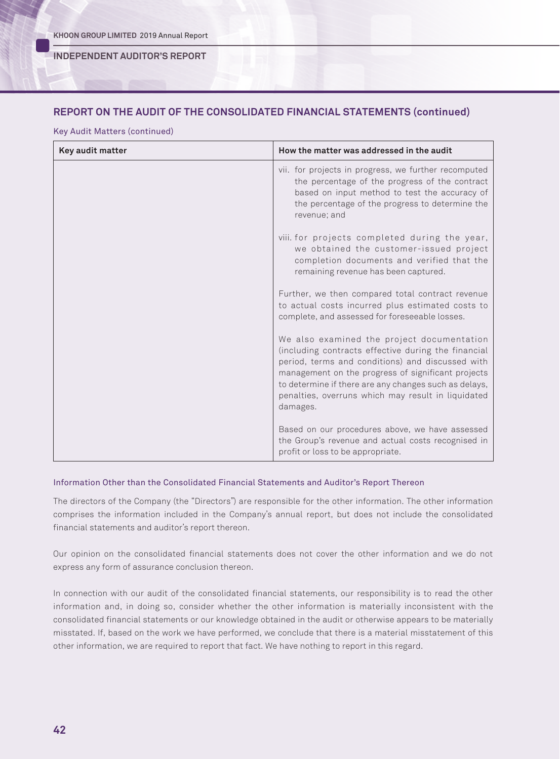**Khoon Group Limited** 2019 Annual Report

**INDEPENDENT AUDITOR'S REPORT**

# **REPORT ON THE AUDIT OF THE CONSOLIDATED FINANCIAL STATEMENTS (continued)**

### Key Audit Matters (continued)

| Key audit matter | How the matter was addressed in the audit                                                                                                                                                                                                                                                                                              |
|------------------|----------------------------------------------------------------------------------------------------------------------------------------------------------------------------------------------------------------------------------------------------------------------------------------------------------------------------------------|
|                  | vii. for projects in progress, we further recomputed<br>the percentage of the progress of the contract<br>based on input method to test the accuracy of<br>the percentage of the progress to determine the<br>revenue; and                                                                                                             |
|                  | viii. for projects completed during the year,<br>we obtained the customer-issued project<br>completion documents and verified that the<br>remaining revenue has been captured.                                                                                                                                                         |
|                  | Further, we then compared total contract revenue<br>to actual costs incurred plus estimated costs to<br>complete, and assessed for foreseeable losses.                                                                                                                                                                                 |
|                  | We also examined the project documentation<br>(including contracts effective during the financial<br>period, terms and conditions) and discussed with<br>management on the progress of significant projects<br>to determine if there are any changes such as delays,<br>penalties, overruns which may result in liquidated<br>damages. |
|                  | Based on our procedures above, we have assessed<br>the Group's revenue and actual costs recognised in<br>profit or loss to be appropriate.                                                                                                                                                                                             |

# Information Other than the Consolidated Financial Statements and Auditor's Report Thereon

The directors of the Company (the "Directors") are responsible for the other information. The other information comprises the information included in the Company's annual report, but does not include the consolidated financial statements and auditor's report thereon.

Our opinion on the consolidated financial statements does not cover the other information and we do not express any form of assurance conclusion thereon.

In connection with our audit of the consolidated financial statements, our responsibility is to read the other information and, in doing so, consider whether the other information is materially inconsistent with the consolidated financial statements or our knowledge obtained in the audit or otherwise appears to be materially misstated. If, based on the work we have performed, we conclude that there is a material misstatement of this other information, we are required to report that fact. We have nothing to report in this regard.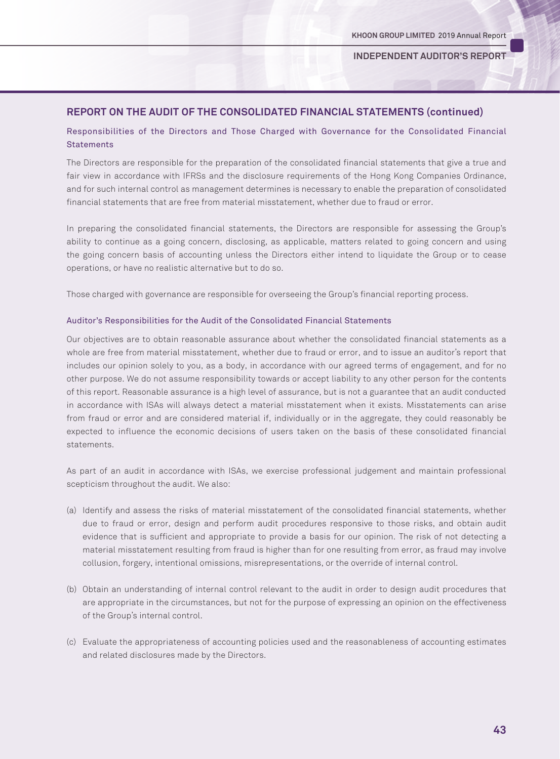**INDEPENDENT AUDITOR'S REPORT**

# **REPORT ON THE AUDIT OF THE CONSOLIDATED FINANCIAL STATEMENTS (continued)**

# Responsibilities of the Directors and Those Charged with Governance for the Consolidated Financial **Statements**

The Directors are responsible for the preparation of the consolidated financial statements that give a true and fair view in accordance with IFRSs and the disclosure requirements of the Hong Kong Companies Ordinance, and for such internal control as management determines is necessary to enable the preparation of consolidated financial statements that are free from material misstatement, whether due to fraud or error.

In preparing the consolidated financial statements, the Directors are responsible for assessing the Group's ability to continue as a going concern, disclosing, as applicable, matters related to going concern and using the going concern basis of accounting unless the Directors either intend to liquidate the Group or to cease operations, or have no realistic alternative but to do so.

Those charged with governance are responsible for overseeing the Group's financial reporting process.

#### Auditor's Responsibilities for the Audit of the Consolidated Financial Statements

Our objectives are to obtain reasonable assurance about whether the consolidated financial statements as a whole are free from material misstatement, whether due to fraud or error, and to issue an auditor's report that includes our opinion solely to you, as a body, in accordance with our agreed terms of engagement, and for no other purpose. We do not assume responsibility towards or accept liability to any other person for the contents of this report. Reasonable assurance is a high level of assurance, but is not a guarantee that an audit conducted in accordance with ISAs will always detect a material misstatement when it exists. Misstatements can arise from fraud or error and are considered material if, individually or in the aggregate, they could reasonably be expected to influence the economic decisions of users taken on the basis of these consolidated financial statements.

As part of an audit in accordance with ISAs, we exercise professional judgement and maintain professional scepticism throughout the audit. We also:

- (a) Identify and assess the risks of material misstatement of the consolidated financial statements, whether due to fraud or error, design and perform audit procedures responsive to those risks, and obtain audit evidence that is sufficient and appropriate to provide a basis for our opinion. The risk of not detecting a material misstatement resulting from fraud is higher than for one resulting from error, as fraud may involve collusion, forgery, intentional omissions, misrepresentations, or the override of internal control.
- (b) Obtain an understanding of internal control relevant to the audit in order to design audit procedures that are appropriate in the circumstances, but not for the purpose of expressing an opinion on the effectiveness of the Group's internal control.
- (c) Evaluate the appropriateness of accounting policies used and the reasonableness of accounting estimates and related disclosures made by the Directors.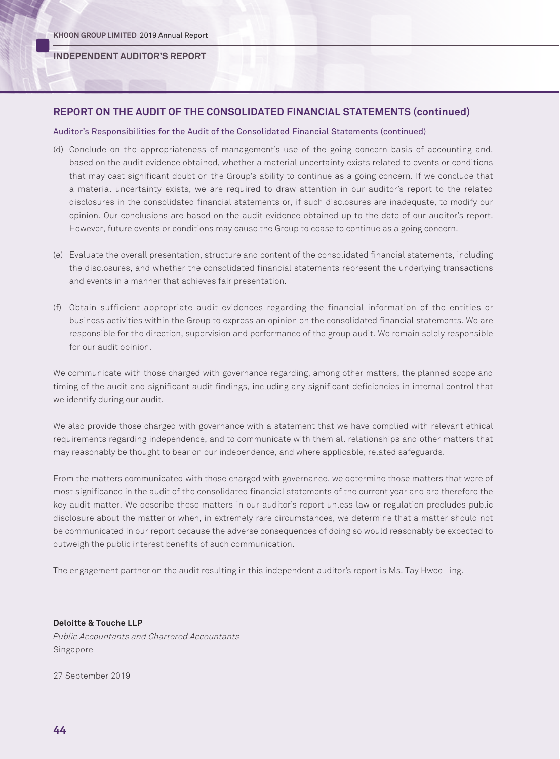### **INDEPENDENT AUDITOR'S REPORT**

# **REPORT ON THE AUDIT OF THE CONSOLIDATED FINANCIAL STATEMENTS (continued)**

#### Auditor's Responsibilities for the Audit of the Consolidated Financial Statements (continued)

- (d) Conclude on the appropriateness of management's use of the going concern basis of accounting and, based on the audit evidence obtained, whether a material uncertainty exists related to events or conditions that may cast significant doubt on the Group's ability to continue as a going concern. If we conclude that a material uncertainty exists, we are required to draw attention in our auditor's report to the related disclosures in the consolidated financial statements or, if such disclosures are inadequate, to modify our opinion. Our conclusions are based on the audit evidence obtained up to the date of our auditor's report. However, future events or conditions may cause the Group to cease to continue as a going concern.
- (e) Evaluate the overall presentation, structure and content of the consolidated financial statements, including the disclosures, and whether the consolidated financial statements represent the underlying transactions and events in a manner that achieves fair presentation.
- (f) Obtain sufficient appropriate audit evidences regarding the financial information of the entities or business activities within the Group to express an opinion on the consolidated financial statements. We are responsible for the direction, supervision and performance of the group audit. We remain solely responsible for our audit opinion.

We communicate with those charged with governance regarding, among other matters, the planned scope and timing of the audit and significant audit findings, including any significant deficiencies in internal control that we identify during our audit.

We also provide those charged with governance with a statement that we have complied with relevant ethical requirements regarding independence, and to communicate with them all relationships and other matters that may reasonably be thought to bear on our independence, and where applicable, related safeguards.

From the matters communicated with those charged with governance, we determine those matters that were of most significance in the audit of the consolidated financial statements of the current year and are therefore the key audit matter. We describe these matters in our auditor's report unless law or regulation precludes public disclosure about the matter or when, in extremely rare circumstances, we determine that a matter should not be communicated in our report because the adverse consequences of doing so would reasonably be expected to outweigh the public interest benefits of such communication.

The engagement partner on the audit resulting in this independent auditor's report is Ms. Tay Hwee Ling.

**Deloitte & Touche LLP** Public Accountants and Chartered Accountants Singapore

27 September 2019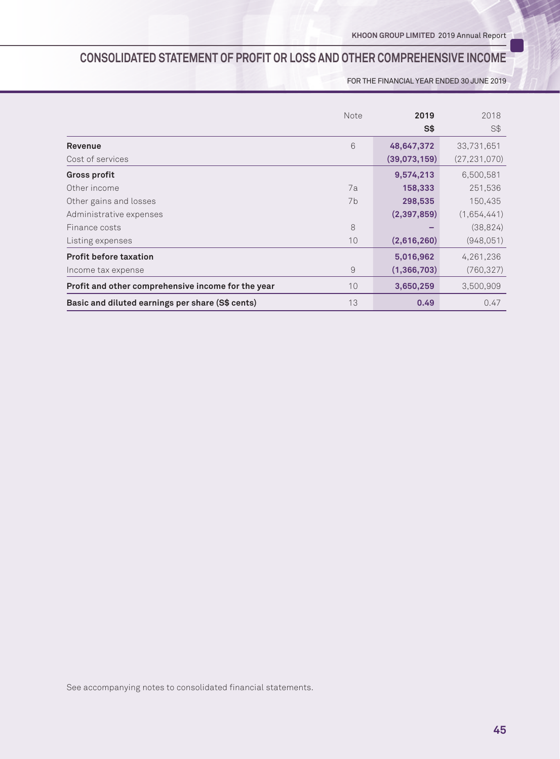# **CONSOLIDATED STATEMENT OF PROFIT OR LOSS AND OTHER COMPREHENSIVE INCOME**

FOR THE FINANCIAL YEAR ENDED 30 JUNE 2019

|                                                    | Note           | 2019          | 2018           |
|----------------------------------------------------|----------------|---------------|----------------|
|                                                    |                | S\$           | S\$            |
| <b>Revenue</b>                                     | 6              | 48,647,372    | 33,731,651     |
| Cost of services                                   |                | (39,073,159)  | (27, 231, 070) |
| <b>Gross profit</b>                                |                | 9,574,213     | 6,500,581      |
| Other income                                       | 7a             | 158,333       | 251,536        |
| Other gains and losses                             | 7b             | 298,535       | 150,435        |
| Administrative expenses                            |                | (2, 397, 859) | (1,654,441)    |
| Finance costs                                      | 8              |               | (38, 824)      |
| Listing expenses                                   | 10             | (2,616,260)   | (948,051)      |
| <b>Profit before taxation</b>                      |                | 5,016,962     | 4,261,236      |
| Income tax expense                                 | $\overline{9}$ | (1, 366, 703) | (760, 327)     |
| Profit and other comprehensive income for the year | 10             | 3,650,259     | 3,500,909      |
| Basic and diluted earnings per share (S\$ cents)   | 13             | 0.49          | 0.47           |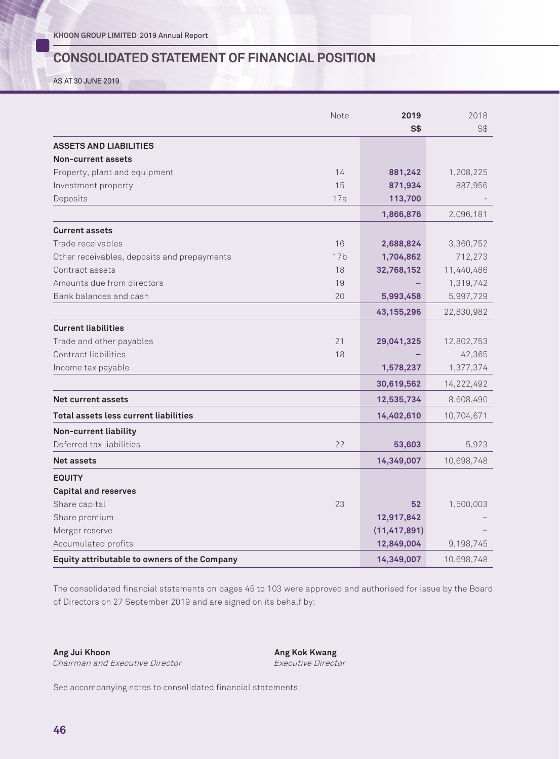# **CONSOLIDATED STATEMENT OF FINANCIAL POSITION**

AS AT 30 JUNE 2019

|                                              | Note            | 2019<br><b>S\$</b> | 2018<br>S\$ |
|----------------------------------------------|-----------------|--------------------|-------------|
| <b>ASSETS AND LIABILITIES</b>                |                 |                    |             |
| Non-current assets                           |                 |                    |             |
| Property, plant and equipment                | 14              | 881,242            | 1,208,225   |
| Investment property                          | 15              | 871,934            | 887,956     |
| Deposits                                     | 17a             | 113,700            |             |
|                                              |                 | 1,866,876          | 2,096,181   |
| <b>Current assets</b>                        |                 |                    |             |
| Trade receivables                            | 16              | 2,688,824          | 3,360,752   |
| Other receivables, deposits and prepayments  | 17 <sub>b</sub> | 1,704,862          | 712,273     |
| Contract assets                              | 18              | 32,768,152         | 11,440,486  |
| Amounts due from directors                   | 19              |                    | 1,319,742   |
| Bank balances and cash                       | 20              | 5,993,458          | 5,997,729   |
|                                              |                 | 43, 155, 296       | 22,830,982  |
| <b>Current liabilities</b>                   |                 |                    |             |
| Trade and other payables                     | 21              | 29,041,325         | 12,802,753  |
| Contract liabilities                         | 18              |                    | 42,365      |
| Income tax payable                           |                 | 1,578,237          | 1,377,374   |
|                                              |                 | 30,619,562         | 14,222,492  |
| <b>Net current assets</b>                    |                 | 12,535,734         | 8,608,490   |
| Total assets less current liabilities        |                 | 14,402,610         | 10,704,671  |
| Non-current liability                        |                 |                    |             |
| Deferred tax liabilities                     | 22              | 53,603             | 5,923       |
| <b>Net assets</b>                            |                 | 14,349,007         | 10,698,748  |
| <b>EQUITY</b>                                |                 |                    |             |
| <b>Capital and reserves</b>                  |                 |                    |             |
| Share capital                                | 23              | 52                 | 1,500,003   |
| Share premium                                |                 | 12,917,842         |             |
| Merger reserve                               |                 | (11, 417, 891)     |             |
| Accumulated profits                          |                 | 12,849,004         | 9,198,745   |
| Equity attributable to owners of the Company |                 | 14,349,007         | 10,698,748  |

The consolidated financial statements on pages 45 to 103 were approved and authorised for issue by the Board of Directors on 27 September 2019 and are signed on its behalf by:

Chairman and Executive Director Executive Director

**Ang Jui Khoon Ang Kok Kwang**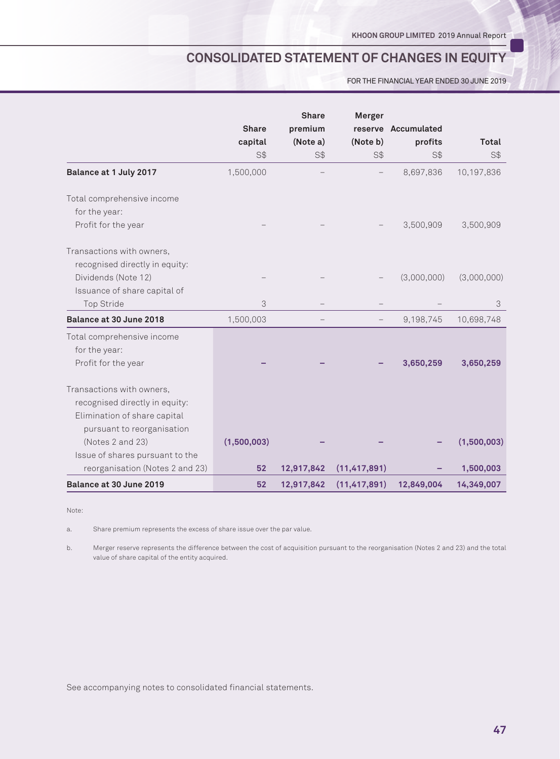# **CONSOLIDATED STATEMENT OF CHANGES IN EQUITY**

FOR THE FINANCIAL YEAR ENDED 30 JUNE 2019

|                                                                                                                           | <b>Share</b><br>capital<br>S\$ | <b>Share</b><br>premium<br>(Note a)<br>S\$ | Merger<br>(Note b)<br>S\$ | reserve Accumulated<br>profits<br>S\$ | <b>Total</b><br>S\$ |
|---------------------------------------------------------------------------------------------------------------------------|--------------------------------|--------------------------------------------|---------------------------|---------------------------------------|---------------------|
| Balance at 1 July 2017                                                                                                    | 1,500,000                      |                                            |                           | 8,697,836                             | 10,197,836          |
| Total comprehensive income<br>for the year:<br>Profit for the year                                                        |                                |                                            |                           | 3,500,909                             | 3,500,909           |
| Transactions with owners,<br>recognised directly in equity:                                                               |                                |                                            |                           |                                       |                     |
| Dividends (Note 12)<br>Issuance of share capital of<br>Top Stride                                                         | 3                              |                                            |                           | (3,000,000)                           | (3,000,000)<br>3    |
| Balance at 30 June 2018                                                                                                   | 1,500,003                      |                                            |                           | 9,198,745                             | 10,698,748          |
| Total comprehensive income<br>for the year:<br>Profit for the year                                                        |                                |                                            |                           | 3,650,259                             | 3,650,259           |
| Transactions with owners,<br>recognised directly in equity:<br>Elimination of share capital<br>pursuant to reorganisation |                                |                                            |                           |                                       |                     |
| (Notes 2 and 23)<br>Issue of shares pursuant to the                                                                       | (1,500,003)                    |                                            |                           |                                       | (1,500,003)         |
| reorganisation (Notes 2 and 23)                                                                                           | 52                             | 12,917,842                                 | (11, 417, 891)            |                                       | 1,500,003           |
| Balance at 30 June 2019                                                                                                   | 52                             | 12,917,842                                 | (11, 417, 891)            | 12,849,004                            | 14,349,007          |

Note:

a. Share premium represents the excess of share issue over the par value.

b. Merger reserve represents the difference between the cost of acquisition pursuant to the reorganisation (Notes 2 and 23) and the total value of share capital of the entity acquired.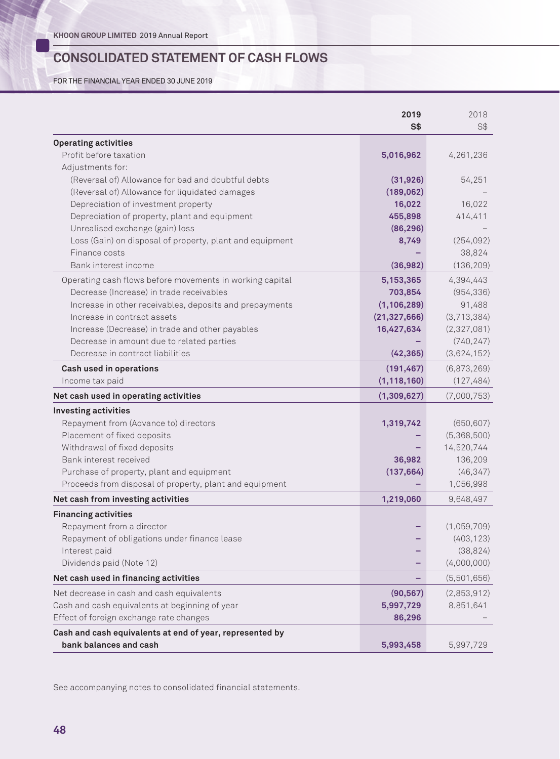# **CONSOLIDATED STATEMENT OF CASH FLOWS**

FOR THE FINANCIAL YEAR ENDED 30 JUNE 2019

|                                                          | 2019<br>S <sub>3</sub> | 2018<br>S\$ |
|----------------------------------------------------------|------------------------|-------------|
| <b>Operating activities</b>                              |                        |             |
| Profit before taxation                                   | 5,016,962              | 4,261,236   |
| Adjustments for:                                         |                        |             |
| (Reversal of) Allowance for bad and doubtful debts       | (31, 926)              | 54,251      |
| (Reversal of) Allowance for liquidated damages           | (189,062)              |             |
| Depreciation of investment property                      | 16,022                 | 16,022      |
| Depreciation of property, plant and equipment            | 455,898                | 414,411     |
| Unrealised exchange (gain) loss                          | (86, 296)              |             |
| Loss (Gain) on disposal of property, plant and equipment | 8,749                  | (254, 092)  |
| Finance costs                                            |                        | 38,824      |
| Bank interest income                                     | (36, 982)              | (136, 209)  |
| Operating cash flows before movements in working capital | 5,153,365              | 4,394,443   |
| Decrease (Increase) in trade receivables                 | 703,854                | (954, 336)  |
| Increase in other receivables, deposits and prepayments  | (1, 106, 289)          | 91,488      |
| Increase in contract assets                              | (21, 327, 666)         | (3,713,384) |
| Increase (Decrease) in trade and other payables          | 16,427,634             | (2,327,081) |
| Decrease in amount due to related parties                |                        | (740, 247)  |
| Decrease in contract liabilities                         | (42, 365)              | (3,624,152) |
| Cash used in operations                                  | (191, 467)             | (6,873,269) |
| Income tax paid                                          | (1, 118, 160)          | (127, 484)  |
| Net cash used in operating activities                    | (1,309,627)            | (7,000,753) |
| <b>Investing activities</b>                              |                        |             |
| Repayment from (Advance to) directors                    | 1,319,742              | (650, 607)  |
| Placement of fixed deposits                              |                        | (5,368,500) |
| Withdrawal of fixed deposits                             |                        | 14,520,744  |
| Bank interest received                                   | 36,982                 | 136,209     |
| Purchase of property, plant and equipment                | (137, 664)             | (46, 347)   |
| Proceeds from disposal of property, plant and equipment  |                        | 1,056,998   |
| Net cash from investing activities                       | 1,219,060              | 9,648,497   |
| <b>Financing activities</b>                              |                        |             |
| Repayment from a director                                |                        | (1,059,709) |
| Repayment of obligations under finance lease             |                        | (403, 123)  |
| Interest paid                                            |                        | (38, 824)   |
| Dividends paid (Note 12)                                 |                        | (4,000,000) |
| Net cash used in financing activities                    |                        | (5,501,656) |
| Net decrease in cash and cash equivalents                | (90, 567)              | (2,853,912) |
| Cash and cash equivalents at beginning of year           | 5,997,729              | 8,851,641   |
| Effect of foreign exchange rate changes                  | 86,296                 |             |
| Cash and cash equivalents at end of year, represented by |                        |             |
| bank balances and cash                                   | 5,993,458              | 5,997,729   |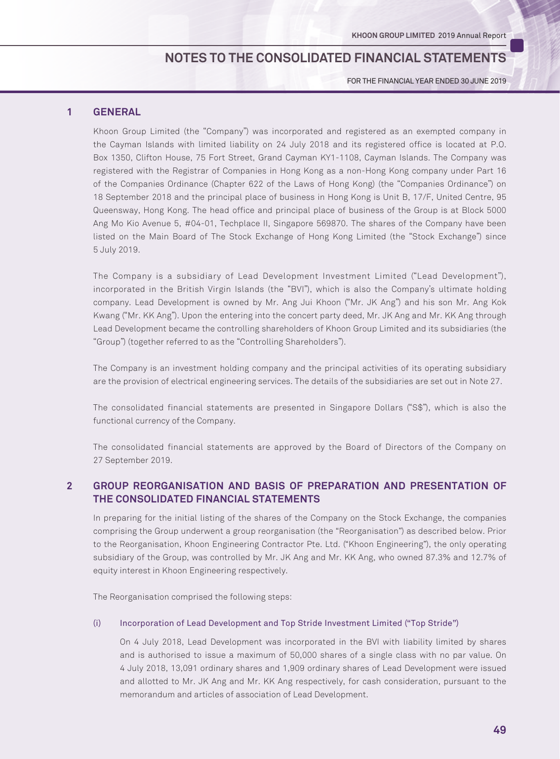FOR THE FINANCIAL YEAR ENDED 30 JUNE 2019

# **1 GENERAL**

Khoon Group Limited (the "Company") was incorporated and registered as an exempted company in the Cayman Islands with limited liability on 24 July 2018 and its registered office is located at P.O. Box 1350, Clifton House, 75 Fort Street, Grand Cayman KY1-1108, Cayman Islands. The Company was registered with the Registrar of Companies in Hong Kong as a non-Hong Kong company under Part 16 of the Companies Ordinance (Chapter 622 of the Laws of Hong Kong) (the "Companies Ordinance") on 18 September 2018 and the principal place of business in Hong Kong is Unit B, 17/F, United Centre, 95 Queensway, Hong Kong. The head office and principal place of business of the Group is at Block 5000 Ang Mo Kio Avenue 5, #04-01, Techplace II, Singapore 569870. The shares of the Company have been listed on the Main Board of The Stock Exchange of Hong Kong Limited (the "Stock Exchange") since 5 July 2019.

The Company is a subsidiary of Lead Development Investment Limited ("Lead Development"), incorporated in the British Virgin Islands (the "BVI"), which is also the Company's ultimate holding company. Lead Development is owned by Mr. Ang Jui Khoon ("Mr. JK Ang") and his son Mr. Ang Kok Kwang ("Mr. KK Ang"). Upon the entering into the concert party deed, Mr. JK Ang and Mr. KK Ang through Lead Development became the controlling shareholders of Khoon Group Limited and its subsidiaries (the "Group") (together referred to as the "Controlling Shareholders").

The Company is an investment holding company and the principal activities of its operating subsidiary are the provision of electrical engineering services. The details of the subsidiaries are set out in Note 27.

The consolidated financial statements are presented in Singapore Dollars ("S\$"), which is also the functional currency of the Company.

The consolidated financial statements are approved by the Board of Directors of the Company on 27 September 2019.

# **2 GROUP REORGANISATION AND BASIS OF PREPARATION AND PRESENTATION OF THE CONSOLIDATED FINANCIAL STATEMENTS**

In preparing for the initial listing of the shares of the Company on the Stock Exchange, the companies comprising the Group underwent a group reorganisation (the "Reorganisation") as described below. Prior to the Reorganisation, Khoon Engineering Contractor Pte. Ltd. ("Khoon Engineering"), the only operating subsidiary of the Group, was controlled by Mr. JK Ang and Mr. KK Ang, who owned 87.3% and 12.7% of equity interest in Khoon Engineering respectively.

The Reorganisation comprised the following steps:

#### (i) Incorporation of Lead Development and Top Stride Investment Limited ("Top Stride")

On 4 July 2018, Lead Development was incorporated in the BVI with liability limited by shares and is authorised to issue a maximum of 50,000 shares of a single class with no par value. On 4 July 2018, 13,091 ordinary shares and 1,909 ordinary shares of Lead Development were issued and allotted to Mr. JK Ang and Mr. KK Ang respectively, for cash consideration, pursuant to the memorandum and articles of association of Lead Development.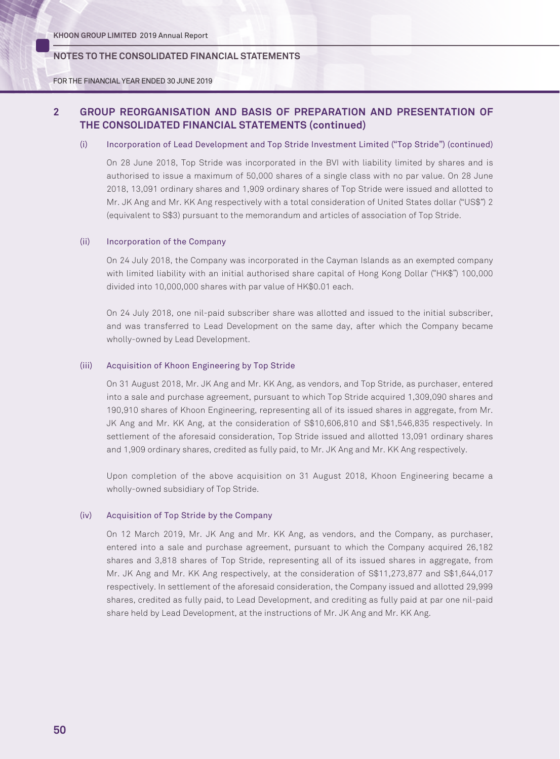FOR THE FINANCIAL YEAR ENDED 30 JUNE 2019

# **2 GROUP REORGANISATION AND BASIS OF PREPARATION AND PRESENTATION OF THE CONSOLIDATED FINANCIAL STATEMENTS (continued)**

### (i) Incorporation of Lead Development and Top Stride Investment Limited ("Top Stride") (continued)

On 28 June 2018, Top Stride was incorporated in the BVI with liability limited by shares and is authorised to issue a maximum of 50,000 shares of a single class with no par value. On 28 June 2018, 13,091 ordinary shares and 1,909 ordinary shares of Top Stride were issued and allotted to Mr. JK Ang and Mr. KK Ang respectively with a total consideration of United States dollar ("US\$") 2 (equivalent to S\$3) pursuant to the memorandum and articles of association of Top Stride.

#### (ii) Incorporation of the Company

On 24 July 2018, the Company was incorporated in the Cayman Islands as an exempted company with limited liability with an initial authorised share capital of Hong Kong Dollar ("HK\$") 100,000 divided into 10,000,000 shares with par value of HK\$0.01 each.

On 24 July 2018, one nil-paid subscriber share was allotted and issued to the initial subscriber, and was transferred to Lead Development on the same day, after which the Company became wholly-owned by Lead Development.

# (iii) Acquisition of Khoon Engineering by Top Stride

On 31 August 2018, Mr. JK Ang and Mr. KK Ang, as vendors, and Top Stride, as purchaser, entered into a sale and purchase agreement, pursuant to which Top Stride acquired 1,309,090 shares and 190,910 shares of Khoon Engineering, representing all of its issued shares in aggregate, from Mr. JK Ang and Mr. KK Ang, at the consideration of S\$10,606,810 and S\$1,546,835 respectively. In settlement of the aforesaid consideration, Top Stride issued and allotted 13,091 ordinary shares and 1,909 ordinary shares, credited as fully paid, to Mr. JK Ang and Mr. KK Ang respectively.

Upon completion of the above acquisition on 31 August 2018, Khoon Engineering became a wholly-owned subsidiary of Top Stride.

#### (iv) Acquisition of Top Stride by the Company

On 12 March 2019, Mr. JK Ang and Mr. KK Ang, as vendors, and the Company, as purchaser, entered into a sale and purchase agreement, pursuant to which the Company acquired 26,182 shares and 3,818 shares of Top Stride, representing all of its issued shares in aggregate, from Mr. JK Ang and Mr. KK Ang respectively, at the consideration of S\$11,273,877 and S\$1,644,017 respectively. In settlement of the aforesaid consideration, the Company issued and allotted 29,999 shares, credited as fully paid, to Lead Development, and crediting as fully paid at par one nil-paid share held by Lead Development, at the instructions of Mr. JK Ang and Mr. KK Ang.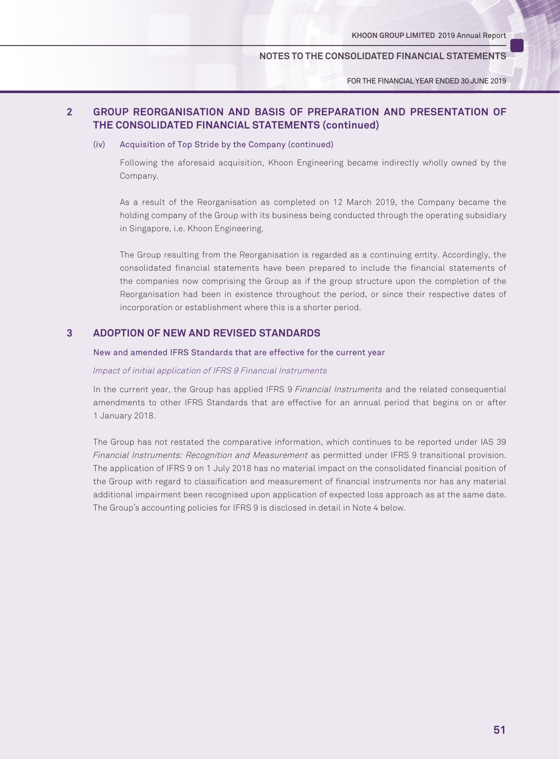FOR THE FINANCIAL YEAR ENDED 30 JUNE 2019

# **2 GROUP REORGANISATION AND BASIS OF PREPARATION AND PRESENTATION OF THE CONSOLIDATED FINANCIAL STATEMENTS (continued)**

#### (iv) Acquisition of Top Stride by the Company (continued)

Following the aforesaid acquisition, Khoon Engineering became indirectly wholly owned by the Company.

As a result of the Reorganisation as completed on 12 March 2019, the Company became the holding company of the Group with its business being conducted through the operating subsidiary in Singapore, i.e. Khoon Engineering.

The Group resulting from the Reorganisation is regarded as a continuing entity. Accordingly, the consolidated financial statements have been prepared to include the financial statements of the companies now comprising the Group as if the group structure upon the completion of the Reorganisation had been in existence throughout the period, or since their respective dates of incorporation or establishment where this is a shorter period.

# **3 ADOPTION OF NEW AND REVISED STANDARDS**

# New and amended IFRS Standards that are effective for the current year

#### Impact of initial application of IFRS 9 Financial Instruments

In the current year, the Group has applied IFRS 9 Financial Instruments and the related consequential amendments to other IFRS Standards that are effective for an annual period that begins on or after 1 January 2018.

The Group has not restated the comparative information, which continues to be reported under IAS 39 Financial Instruments: Recognition and Measurement as permitted under IFRS 9 transitional provision. The application of IFRS 9 on 1 July 2018 has no material impact on the consolidated financial position of the Group with regard to classification and measurement of financial instruments nor has any material additional impairment been recognised upon application of expected loss approach as at the same date. The Group's accounting policies for IFRS 9 is disclosed in detail in Note 4 below.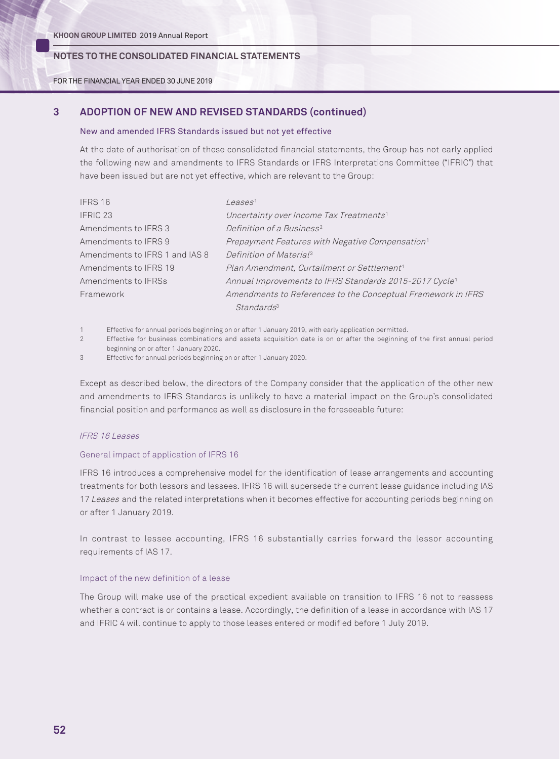FOR THE FINANCIAL YEAR ENDED 30 JUNE 2019

# **3 ADOPTION OF NEW AND REVISED STANDARDS (continued)**

#### New and amended IFRS Standards issued but not yet effective

At the date of authorisation of these consolidated financial statements, the Group has not early applied the following new and amendments to IFRS Standards or IFRS Interpretations Committee ("IFRIC") that have been issued but are not yet effective, which are relevant to the Group:

| IFRS 16                        | Leases <sup>1</sup>                                                |
|--------------------------------|--------------------------------------------------------------------|
| IFRIC <sub>23</sub>            | Uncertainty over Income Tax Treatments <sup>1</sup>                |
| Amendments to IFRS 3           | Definition of a Business <sup>2</sup>                              |
| Amendments to IFRS 9           | Prepayment Features with Negative Compensation <sup>1</sup>        |
| Amendments to IFRS 1 and IAS 8 | Definition of Material <sup>3</sup>                                |
| Amendments to IFRS 19          | Plan Amendment, Curtailment or Settlement <sup>1</sup>             |
| Amendments to IFRSs            | Annual Improvements to IFRS Standards 2015-2017 Cycle <sup>1</sup> |
| Framework                      | Amendments to References to the Conceptual Framework in IFRS       |
|                                | <i>Standards</i> <sup>3</sup>                                      |

1 Effective for annual periods beginning on or after 1 January 2019, with early application permitted.

2 Effective for business combinations and assets acquisition date is on or after the beginning of the first annual period beginning on or after 1 January 2020.

3 Effective for annual periods beginning on or after 1 January 2020.

Except as described below, the directors of the Company consider that the application of the other new and amendments to IFRS Standards is unlikely to have a material impact on the Group's consolidated financial position and performance as well as disclosure in the foreseeable future:

# IFRS 16 Leases

#### General impact of application of IFRS 16

IFRS 16 introduces a comprehensive model for the identification of lease arrangements and accounting treatments for both lessors and lessees. IFRS 16 will supersede the current lease guidance including IAS 17 Leases and the related interpretations when it becomes effective for accounting periods beginning on or after 1 January 2019.

In contrast to lessee accounting, IFRS 16 substantially carries forward the lessor accounting requirements of IAS 17.

#### Impact of the new definition of a lease

The Group will make use of the practical expedient available on transition to IFRS 16 not to reassess whether a contract is or contains a lease. Accordingly, the definition of a lease in accordance with IAS 17 and IFRIC 4 will continue to apply to those leases entered or modified before 1 July 2019.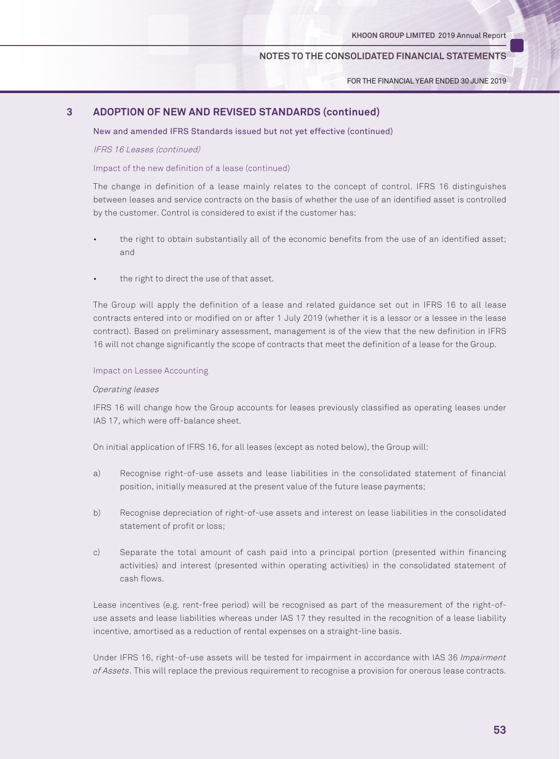FOR THE FINANCIAL YEAR ENDED 30 JUNE 2019

# **3 ADOPTION OF NEW AND REVISED STANDARDS (continued)**

### New and amended IFRS Standards issued but not yet effective (continued)

### IFRS 16 Leases (continued)

### Impact of the new definition of a lease (continued)

The change in definition of a lease mainly relates to the concept of control. IFRS 16 distinguishes between leases and service contracts on the basis of whether the use of an identified asset is controlled by the customer. Control is considered to exist if the customer has:

- the right to obtain substantially all of the economic benefits from the use of an identified asset; and
- the right to direct the use of that asset.

The Group will apply the definition of a lease and related guidance set out in IFRS 16 to all lease contracts entered into or modified on or after 1 July 2019 (whether it is a lessor or a lessee in the lease contract). Based on preliminary assessment, management is of the view that the new definition in IFRS 16 will not change significantly the scope of contracts that meet the definition of a lease for the Group.

#### Impact on Lessee Accounting

### Operating leases

IFRS 16 will change how the Group accounts for leases previously classified as operating leases under IAS 17, which were off-balance sheet.

On initial application of IFRS 16, for all leases (except as noted below), the Group will:

- a) Recognise right-of-use assets and lease liabilities in the consolidated statement of financial position, initially measured at the present value of the future lease payments;
- b) Recognise depreciation of right-of-use assets and interest on lease liabilities in the consolidated statement of profit or loss;
- c) Separate the total amount of cash paid into a principal portion (presented within financing activities) and interest (presented within operating activities) in the consolidated statement of cash flows.

Lease incentives (e.g. rent-free period) will be recognised as part of the measurement of the right-ofuse assets and lease liabilities whereas under IAS 17 they resulted in the recognition of a lease liability incentive, amortised as a reduction of rental expenses on a straight-line basis.

Under IFRS 16, right-of-use assets will be tested for impairment in accordance with IAS 36 Impairment of Assets. This will replace the previous requirement to recognise a provision for onerous lease contracts.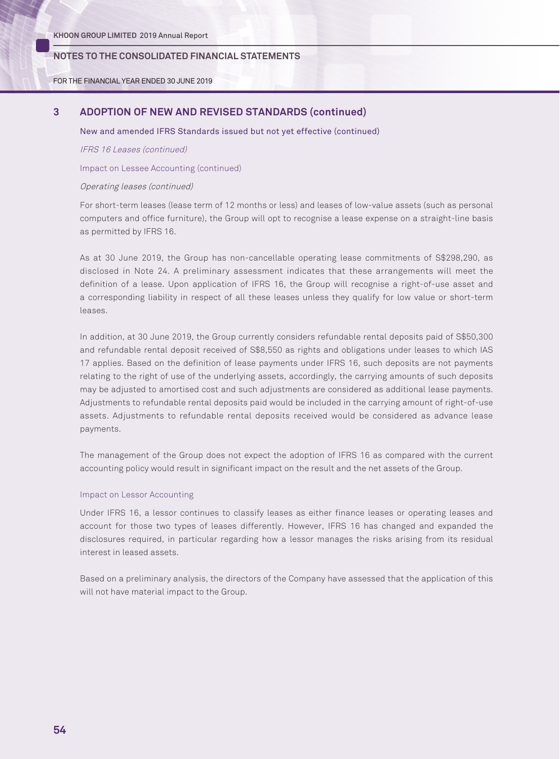FOR THE FINANCIAL YEAR ENDED 30 JUNE 2019

# **3 ADOPTION OF NEW AND REVISED STANDARDS (continued)**

#### New and amended IFRS Standards issued but not yet effective (continued)

#### IFRS 16 Leases (continued)

Impact on Lessee Accounting (continued)

### Operating leases (continued)

For short-term leases (lease term of 12 months or less) and leases of low-value assets (such as personal computers and office furniture), the Group will opt to recognise a lease expense on a straight-line basis as permitted by IFRS 16.

As at 30 June 2019, the Group has non-cancellable operating lease commitments of S\$298,290, as disclosed in Note 24. A preliminary assessment indicates that these arrangements will meet the definition of a lease. Upon application of IFRS 16, the Group will recognise a right-of-use asset and a corresponding liability in respect of all these leases unless they qualify for low value or short-term leases.

In addition, at 30 June 2019, the Group currently considers refundable rental deposits paid of S\$50,300 and refundable rental deposit received of S\$8,550 as rights and obligations under leases to which IAS 17 applies. Based on the definition of lease payments under IFRS 16, such deposits are not payments relating to the right of use of the underlying assets, accordingly, the carrying amounts of such deposits may be adjusted to amortised cost and such adjustments are considered as additional lease payments. Adjustments to refundable rental deposits paid would be included in the carrying amount of right-of-use assets. Adjustments to refundable rental deposits received would be considered as advance lease payments.

The management of the Group does not expect the adoption of IFRS 16 as compared with the current accounting policy would result in significant impact on the result and the net assets of the Group.

#### Impact on Lessor Accounting

Under IFRS 16, a lessor continues to classify leases as either finance leases or operating leases and account for those two types of leases differently. However, IFRS 16 has changed and expanded the disclosures required, in particular regarding how a lessor manages the risks arising from its residual interest in leased assets.

Based on a preliminary analysis, the directors of the Company have assessed that the application of this will not have material impact to the Group.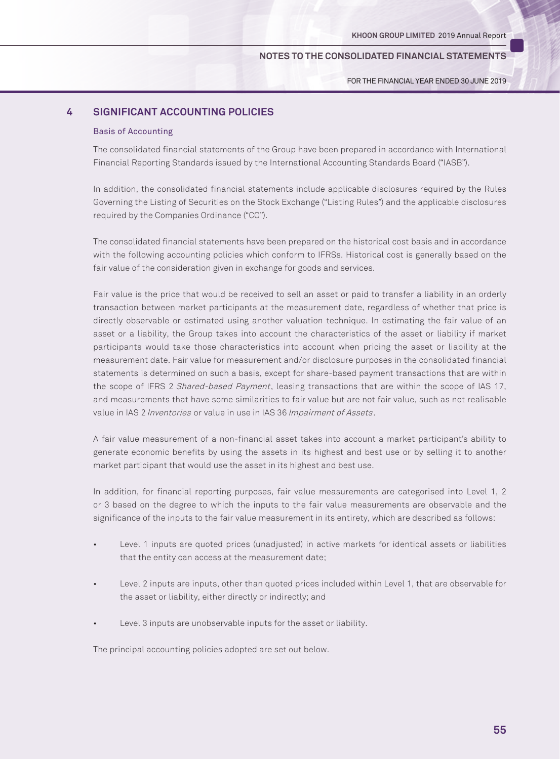FOR THE FINANCIAL YEAR ENDED 30 JUNE 2019

## **4 SIGNIFICANT ACCOUNTING POLICIES**

#### Basis of Accounting

The consolidated financial statements of the Group have been prepared in accordance with International Financial Reporting Standards issued by the International Accounting Standards Board ("IASB").

In addition, the consolidated financial statements include applicable disclosures required by the Rules Governing the Listing of Securities on the Stock Exchange ("Listing Rules") and the applicable disclosures required by the Companies Ordinance ("CO").

The consolidated financial statements have been prepared on the historical cost basis and in accordance with the following accounting policies which conform to IFRSs. Historical cost is generally based on the fair value of the consideration given in exchange for goods and services.

Fair value is the price that would be received to sell an asset or paid to transfer a liability in an orderly transaction between market participants at the measurement date, regardless of whether that price is directly observable or estimated using another valuation technique. In estimating the fair value of an asset or a liability, the Group takes into account the characteristics of the asset or liability if market participants would take those characteristics into account when pricing the asset or liability at the measurement date. Fair value for measurement and/or disclosure purposes in the consolidated financial statements is determined on such a basis, except for share-based payment transactions that are within the scope of IFRS 2 Shared-based Payment, leasing transactions that are within the scope of IAS 17, and measurements that have some similarities to fair value but are not fair value, such as net realisable value in IAS 2 Inventories or value in use in IAS 36 Impairment of Assets.

A fair value measurement of a non-financial asset takes into account a market participant's ability to generate economic benefits by using the assets in its highest and best use or by selling it to another market participant that would use the asset in its highest and best use.

In addition, for financial reporting purposes, fair value measurements are categorised into Level 1, 2 or 3 based on the degree to which the inputs to the fair value measurements are observable and the significance of the inputs to the fair value measurement in its entirety, which are described as follows:

- Level 1 inputs are quoted prices (unadjusted) in active markets for identical assets or liabilities that the entity can access at the measurement date;
- Level 2 inputs are inputs, other than quoted prices included within Level 1, that are observable for the asset or liability, either directly or indirectly; and
- Level 3 inputs are unobservable inputs for the asset or liability.

The principal accounting policies adopted are set out below.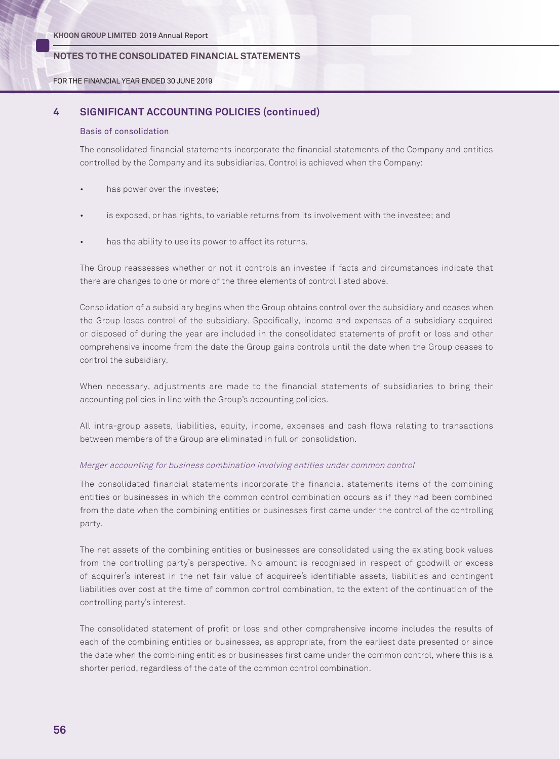FOR THE FINANCIAL YEAR ENDED 30 JUNE 2019

# **4 SIGNIFICANT ACCOUNTING POLICIES (continued)**

#### Basis of consolidation

The consolidated financial statements incorporate the financial statements of the Company and entities controlled by the Company and its subsidiaries. Control is achieved when the Company:

- has power over the investee;
- is exposed, or has rights, to variable returns from its involvement with the investee; and
- has the ability to use its power to affect its returns.

The Group reassesses whether or not it controls an investee if facts and circumstances indicate that there are changes to one or more of the three elements of control listed above.

Consolidation of a subsidiary begins when the Group obtains control over the subsidiary and ceases when the Group loses control of the subsidiary. Specifically, income and expenses of a subsidiary acquired or disposed of during the year are included in the consolidated statements of profit or loss and other comprehensive income from the date the Group gains controls until the date when the Group ceases to control the subsidiary.

When necessary, adjustments are made to the financial statements of subsidiaries to bring their accounting policies in line with the Group's accounting policies.

All intra-group assets, liabilities, equity, income, expenses and cash flows relating to transactions between members of the Group are eliminated in full on consolidation.

### Merger accounting for business combination involving entities under common control

The consolidated financial statements incorporate the financial statements items of the combining entities or businesses in which the common control combination occurs as if they had been combined from the date when the combining entities or businesses first came under the control of the controlling party.

The net assets of the combining entities or businesses are consolidated using the existing book values from the controlling party's perspective. No amount is recognised in respect of goodwill or excess of acquirer's interest in the net fair value of acquiree's identifiable assets, liabilities and contingent liabilities over cost at the time of common control combination, to the extent of the continuation of the controlling party's interest.

The consolidated statement of profit or loss and other comprehensive income includes the results of each of the combining entities or businesses, as appropriate, from the earliest date presented or since the date when the combining entities or businesses first came under the common control, where this is a shorter period, regardless of the date of the common control combination.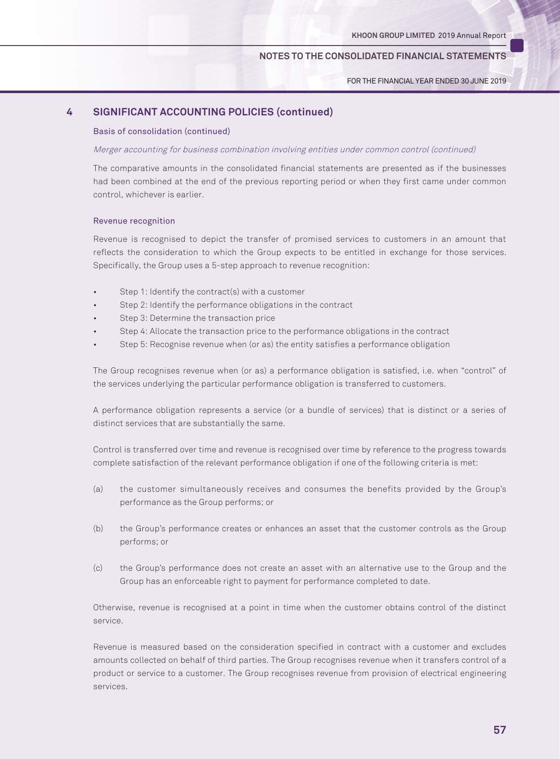FOR THE FINANCIAL YEAR ENDED 30 JUNE 2019

# **4 SIGNIFICANT ACCOUNTING POLICIES (continued)**

### Basis of consolidation (continued)

### Merger accounting for business combination involving entities under common control (continued)

The comparative amounts in the consolidated financial statements are presented as if the businesses had been combined at the end of the previous reporting period or when they first came under common control, whichever is earlier.

## Revenue recognition

Revenue is recognised to depict the transfer of promised services to customers in an amount that reflects the consideration to which the Group expects to be entitled in exchange for those services. Specifically, the Group uses a 5-step approach to revenue recognition:

- Step 1: Identify the contract(s) with a customer
- Step 2: Identify the performance obligations in the contract
- Step 3: Determine the transaction price
- Step 4: Allocate the transaction price to the performance obligations in the contract
- Step 5: Recognise revenue when (or as) the entity satisfies a performance obligation

The Group recognises revenue when (or as) a performance obligation is satisfied, i.e. when "control" of the services underlying the particular performance obligation is transferred to customers.

A performance obligation represents a service (or a bundle of services) that is distinct or a series of distinct services that are substantially the same.

Control is transferred over time and revenue is recognised over time by reference to the progress towards complete satisfaction of the relevant performance obligation if one of the following criteria is met:

- (a) the customer simultaneously receives and consumes the benefits provided by the Group's performance as the Group performs; or
- (b) the Group's performance creates or enhances an asset that the customer controls as the Group performs; or
- (c) the Group's performance does not create an asset with an alternative use to the Group and the Group has an enforceable right to payment for performance completed to date.

Otherwise, revenue is recognised at a point in time when the customer obtains control of the distinct service.

Revenue is measured based on the consideration specified in contract with a customer and excludes amounts collected on behalf of third parties. The Group recognises revenue when it transfers control of a product or service to a customer. The Group recognises revenue from provision of electrical engineering services.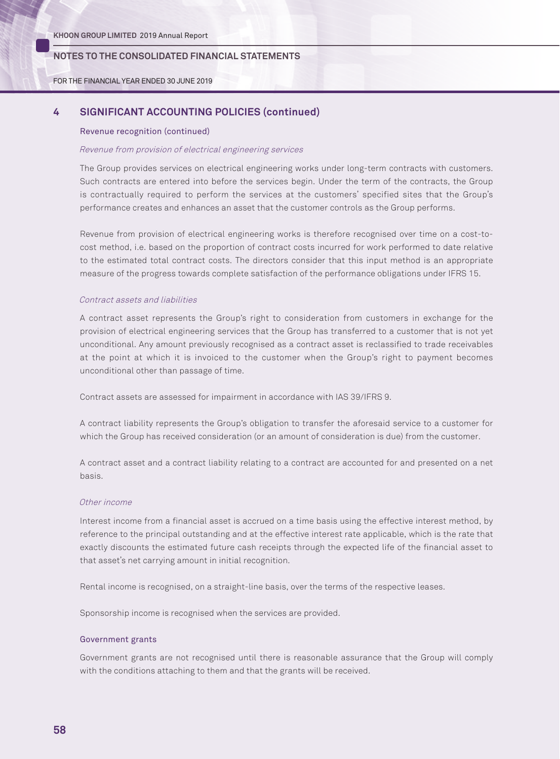FOR THE FINANCIAL YEAR ENDED 30 JUNE 2019

# **4 SIGNIFICANT ACCOUNTING POLICIES (continued)**

#### Revenue recognition (continued)

#### Revenue from provision of electrical engineering services

The Group provides services on electrical engineering works under long-term contracts with customers. Such contracts are entered into before the services begin. Under the term of the contracts, the Group is contractually required to perform the services at the customers' specified sites that the Group's performance creates and enhances an asset that the customer controls as the Group performs.

Revenue from provision of electrical engineering works is therefore recognised over time on a cost-tocost method, i.e. based on the proportion of contract costs incurred for work performed to date relative to the estimated total contract costs. The directors consider that this input method is an appropriate measure of the progress towards complete satisfaction of the performance obligations under IFRS 15.

#### Contract assets and liabilities

A contract asset represents the Group's right to consideration from customers in exchange for the provision of electrical engineering services that the Group has transferred to a customer that is not yet unconditional. Any amount previously recognised as a contract asset is reclassified to trade receivables at the point at which it is invoiced to the customer when the Group's right to payment becomes unconditional other than passage of time.

Contract assets are assessed for impairment in accordance with IAS 39/IFRS 9.

A contract liability represents the Group's obligation to transfer the aforesaid service to a customer for which the Group has received consideration (or an amount of consideration is due) from the customer.

A contract asset and a contract liability relating to a contract are accounted for and presented on a net basis.

#### Other income

Interest income from a financial asset is accrued on a time basis using the effective interest method, by reference to the principal outstanding and at the effective interest rate applicable, which is the rate that exactly discounts the estimated future cash receipts through the expected life of the financial asset to that asset's net carrying amount in initial recognition.

Rental income is recognised, on a straight-line basis, over the terms of the respective leases.

Sponsorship income is recognised when the services are provided.

#### Government grants

Government grants are not recognised until there is reasonable assurance that the Group will comply with the conditions attaching to them and that the grants will be received.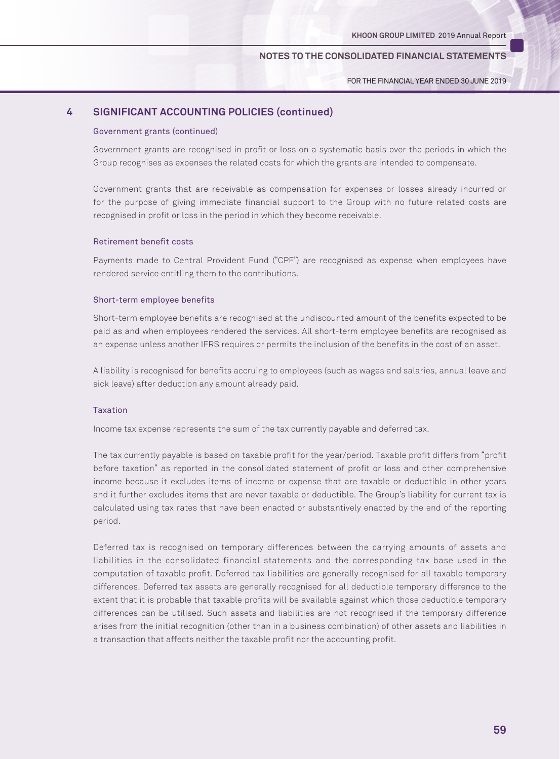FOR THE FINANCIAL YEAR ENDED 30 JUNE 2019

# **4 SIGNIFICANT ACCOUNTING POLICIES (continued)**

#### Government grants (continued)

Government grants are recognised in profit or loss on a systematic basis over the periods in which the Group recognises as expenses the related costs for which the grants are intended to compensate.

Government grants that are receivable as compensation for expenses or losses already incurred or for the purpose of giving immediate financial support to the Group with no future related costs are recognised in profit or loss in the period in which they become receivable.

#### Retirement benefit costs

Payments made to Central Provident Fund ("CPF") are recognised as expense when employees have rendered service entitling them to the contributions.

#### Short-term employee benefits

Short-term employee benefits are recognised at the undiscounted amount of the benefits expected to be paid as and when employees rendered the services. All short-term employee benefits are recognised as an expense unless another IFRS requires or permits the inclusion of the benefits in the cost of an asset.

A liability is recognised for benefits accruing to employees (such as wages and salaries, annual leave and sick leave) after deduction any amount already paid.

### Taxation

Income tax expense represents the sum of the tax currently payable and deferred tax.

The tax currently payable is based on taxable profit for the year/period. Taxable profit differs from "profit before taxation" as reported in the consolidated statement of profit or loss and other comprehensive income because it excludes items of income or expense that are taxable or deductible in other years and it further excludes items that are never taxable or deductible. The Group's liability for current tax is calculated using tax rates that have been enacted or substantively enacted by the end of the reporting period.

Deferred tax is recognised on temporary differences between the carrying amounts of assets and liabilities in the consolidated financial statements and the corresponding tax base used in the computation of taxable profit. Deferred tax liabilities are generally recognised for all taxable temporary differences. Deferred tax assets are generally recognised for all deductible temporary difference to the extent that it is probable that taxable profits will be available against which those deductible temporary differences can be utilised. Such assets and liabilities are not recognised if the temporary difference arises from the initial recognition (other than in a business combination) of other assets and liabilities in a transaction that affects neither the taxable profit nor the accounting profit.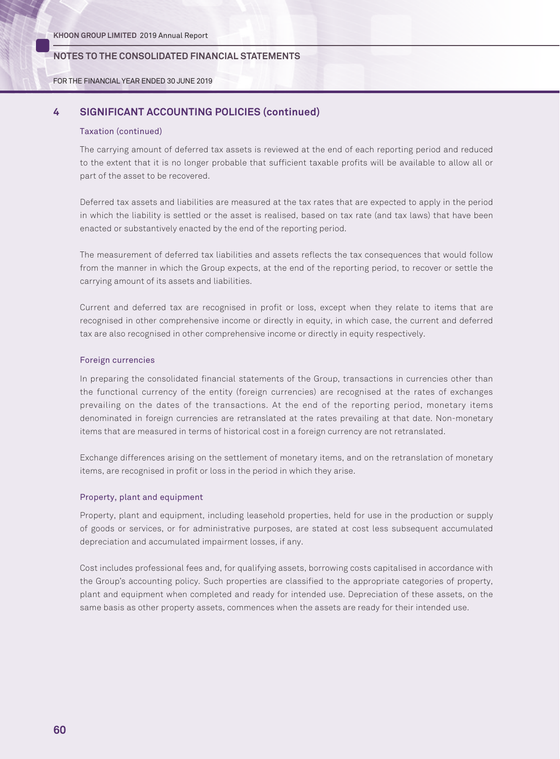FOR THE FINANCIAL YEAR ENDED 30 JUNE 2019

# **4 SIGNIFICANT ACCOUNTING POLICIES (continued)**

#### Taxation (continued)

The carrying amount of deferred tax assets is reviewed at the end of each reporting period and reduced to the extent that it is no longer probable that sufficient taxable profits will be available to allow all or part of the asset to be recovered.

Deferred tax assets and liabilities are measured at the tax rates that are expected to apply in the period in which the liability is settled or the asset is realised, based on tax rate (and tax laws) that have been enacted or substantively enacted by the end of the reporting period.

The measurement of deferred tax liabilities and assets reflects the tax consequences that would follow from the manner in which the Group expects, at the end of the reporting period, to recover or settle the carrying amount of its assets and liabilities.

Current and deferred tax are recognised in profit or loss, except when they relate to items that are recognised in other comprehensive income or directly in equity, in which case, the current and deferred tax are also recognised in other comprehensive income or directly in equity respectively.

#### Foreign currencies

In preparing the consolidated financial statements of the Group, transactions in currencies other than the functional currency of the entity (foreign currencies) are recognised at the rates of exchanges prevailing on the dates of the transactions. At the end of the reporting period, monetary items denominated in foreign currencies are retranslated at the rates prevailing at that date. Non-monetary items that are measured in terms of historical cost in a foreign currency are not retranslated.

Exchange differences arising on the settlement of monetary items, and on the retranslation of monetary items, are recognised in profit or loss in the period in which they arise.

### Property, plant and equipment

Property, plant and equipment, including leasehold properties, held for use in the production or supply of goods or services, or for administrative purposes, are stated at cost less subsequent accumulated depreciation and accumulated impairment losses, if any.

Cost includes professional fees and, for qualifying assets, borrowing costs capitalised in accordance with the Group's accounting policy. Such properties are classified to the appropriate categories of property, plant and equipment when completed and ready for intended use. Depreciation of these assets, on the same basis as other property assets, commences when the assets are ready for their intended use.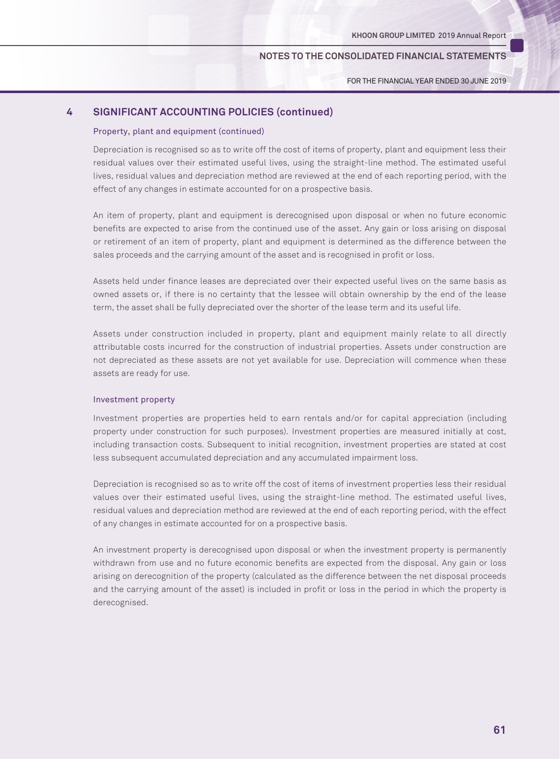FOR THE FINANCIAL YEAR ENDED 30 JUNE 2019

# **4 SIGNIFICANT ACCOUNTING POLICIES (continued)**

#### Property, plant and equipment (continued)

Depreciation is recognised so as to write off the cost of items of property, plant and equipment less their residual values over their estimated useful lives, using the straight-line method. The estimated useful lives, residual values and depreciation method are reviewed at the end of each reporting period, with the effect of any changes in estimate accounted for on a prospective basis.

An item of property, plant and equipment is derecognised upon disposal or when no future economic benefits are expected to arise from the continued use of the asset. Any gain or loss arising on disposal or retirement of an item of property, plant and equipment is determined as the difference between the sales proceeds and the carrying amount of the asset and is recognised in profit or loss.

Assets held under finance leases are depreciated over their expected useful lives on the same basis as owned assets or, if there is no certainty that the lessee will obtain ownership by the end of the lease term, the asset shall be fully depreciated over the shorter of the lease term and its useful life.

Assets under construction included in property, plant and equipment mainly relate to all directly attributable costs incurred for the construction of industrial properties. Assets under construction are not depreciated as these assets are not yet available for use. Depreciation will commence when these assets are ready for use.

### Investment property

Investment properties are properties held to earn rentals and/or for capital appreciation (including property under construction for such purposes). Investment properties are measured initially at cost, including transaction costs. Subsequent to initial recognition, investment properties are stated at cost less subsequent accumulated depreciation and any accumulated impairment loss.

Depreciation is recognised so as to write off the cost of items of investment properties less their residual values over their estimated useful lives, using the straight-line method. The estimated useful lives, residual values and depreciation method are reviewed at the end of each reporting period, with the effect of any changes in estimate accounted for on a prospective basis.

An investment property is derecognised upon disposal or when the investment property is permanently withdrawn from use and no future economic benefits are expected from the disposal. Any gain or loss arising on derecognition of the property (calculated as the difference between the net disposal proceeds and the carrying amount of the asset) is included in profit or loss in the period in which the property is derecognised.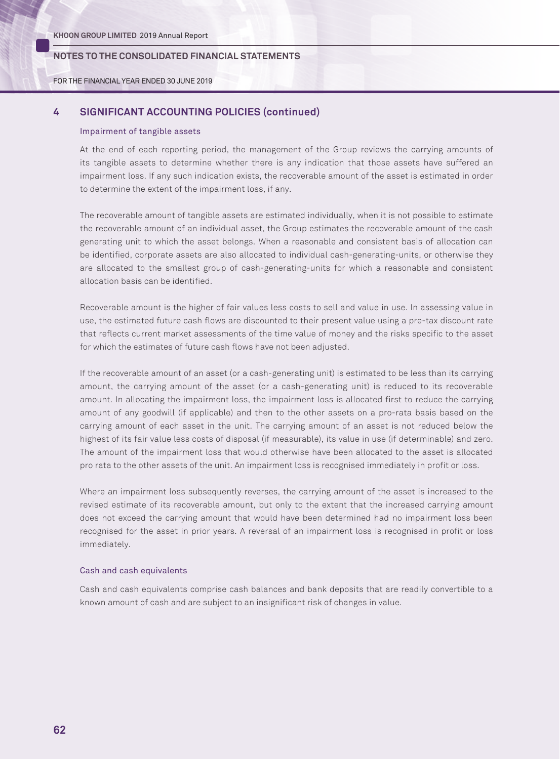FOR THE FINANCIAL YEAR ENDED 30 JUNE 2019

# **4 SIGNIFICANT ACCOUNTING POLICIES (continued)**

#### Impairment of tangible assets

At the end of each reporting period, the management of the Group reviews the carrying amounts of its tangible assets to determine whether there is any indication that those assets have suffered an impairment loss. If any such indication exists, the recoverable amount of the asset is estimated in order to determine the extent of the impairment loss, if any.

The recoverable amount of tangible assets are estimated individually, when it is not possible to estimate the recoverable amount of an individual asset, the Group estimates the recoverable amount of the cash generating unit to which the asset belongs. When a reasonable and consistent basis of allocation can be identified, corporate assets are also allocated to individual cash-generating-units, or otherwise they are allocated to the smallest group of cash-generating-units for which a reasonable and consistent allocation basis can be identified.

Recoverable amount is the higher of fair values less costs to sell and value in use. In assessing value in use, the estimated future cash flows are discounted to their present value using a pre-tax discount rate that reflects current market assessments of the time value of money and the risks specific to the asset for which the estimates of future cash flows have not been adjusted.

If the recoverable amount of an asset (or a cash-generating unit) is estimated to be less than its carrying amount, the carrying amount of the asset (or a cash-generating unit) is reduced to its recoverable amount. In allocating the impairment loss, the impairment loss is allocated first to reduce the carrying amount of any goodwill (if applicable) and then to the other assets on a pro-rata basis based on the carrying amount of each asset in the unit. The carrying amount of an asset is not reduced below the highest of its fair value less costs of disposal (if measurable), its value in use (if determinable) and zero. The amount of the impairment loss that would otherwise have been allocated to the asset is allocated pro rata to the other assets of the unit. An impairment loss is recognised immediately in profit or loss.

Where an impairment loss subsequently reverses, the carrying amount of the asset is increased to the revised estimate of its recoverable amount, but only to the extent that the increased carrying amount does not exceed the carrying amount that would have been determined had no impairment loss been recognised for the asset in prior years. A reversal of an impairment loss is recognised in profit or loss immediately.

### Cash and cash equivalents

Cash and cash equivalents comprise cash balances and bank deposits that are readily convertible to a known amount of cash and are subject to an insignificant risk of changes in value.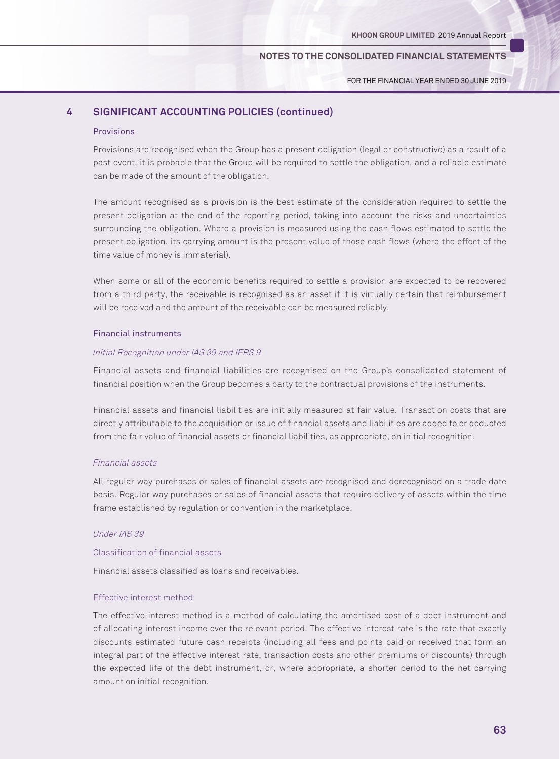FOR THE FINANCIAL YEAR ENDED 30 JUNE 2019

# **4 SIGNIFICANT ACCOUNTING POLICIES (continued)**

#### Provisions

Provisions are recognised when the Group has a present obligation (legal or constructive) as a result of a past event, it is probable that the Group will be required to settle the obligation, and a reliable estimate can be made of the amount of the obligation.

The amount recognised as a provision is the best estimate of the consideration required to settle the present obligation at the end of the reporting period, taking into account the risks and uncertainties surrounding the obligation. Where a provision is measured using the cash flows estimated to settle the present obligation, its carrying amount is the present value of those cash flows (where the effect of the time value of money is immaterial).

When some or all of the economic benefits required to settle a provision are expected to be recovered from a third party, the receivable is recognised as an asset if it is virtually certain that reimbursement will be received and the amount of the receivable can be measured reliably.

#### Financial instruments

### Initial Recognition under IAS 39 and IFRS 9

Financial assets and financial liabilities are recognised on the Group's consolidated statement of financial position when the Group becomes a party to the contractual provisions of the instruments.

Financial assets and financial liabilities are initially measured at fair value. Transaction costs that are directly attributable to the acquisition or issue of financial assets and liabilities are added to or deducted from the fair value of financial assets or financial liabilities, as appropriate, on initial recognition.

#### Financial assets

All regular way purchases or sales of financial assets are recognised and derecognised on a trade date basis. Regular way purchases or sales of financial assets that require delivery of assets within the time frame established by regulation or convention in the marketplace.

### Under IAS 39

### Classification of financial assets

Financial assets classified as loans and receivables.

### Effective interest method

The effective interest method is a method of calculating the amortised cost of a debt instrument and of allocating interest income over the relevant period. The effective interest rate is the rate that exactly discounts estimated future cash receipts (including all fees and points paid or received that form an integral part of the effective interest rate, transaction costs and other premiums or discounts) through the expected life of the debt instrument, or, where appropriate, a shorter period to the net carrying amount on initial recognition.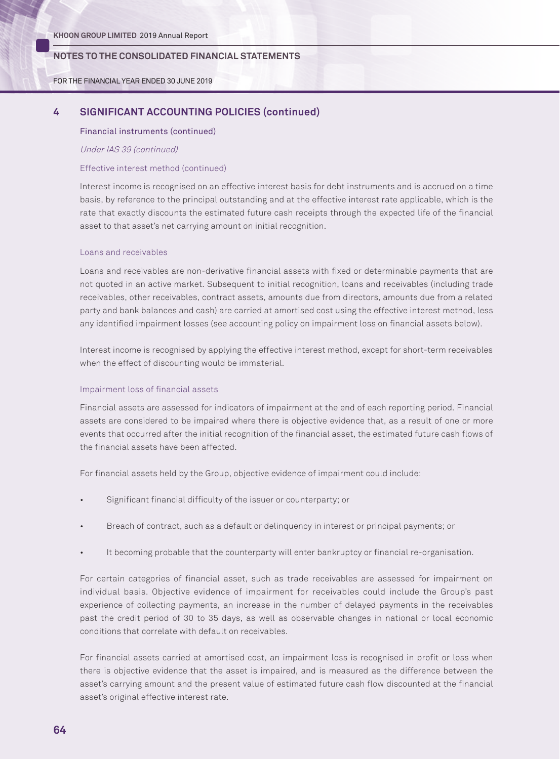FOR THE FINANCIAL YEAR ENDED 30 JUNE 2019

# **4 SIGNIFICANT ACCOUNTING POLICIES (continued)**

### Financial instruments (continued)

### Under IAS 39 (continued)

### Effective interest method (continued)

Interest income is recognised on an effective interest basis for debt instruments and is accrued on a time basis, by reference to the principal outstanding and at the effective interest rate applicable, which is the rate that exactly discounts the estimated future cash receipts through the expected life of the financial asset to that asset's net carrying amount on initial recognition.

#### Loans and receivables

Loans and receivables are non-derivative financial assets with fixed or determinable payments that are not quoted in an active market. Subsequent to initial recognition, loans and receivables (including trade receivables, other receivables, contract assets, amounts due from directors, amounts due from a related party and bank balances and cash) are carried at amortised cost using the effective interest method, less any identified impairment losses (see accounting policy on impairment loss on financial assets below).

Interest income is recognised by applying the effective interest method, except for short-term receivables when the effect of discounting would be immaterial.

### Impairment loss of financial assets

Financial assets are assessed for indicators of impairment at the end of each reporting period. Financial assets are considered to be impaired where there is objective evidence that, as a result of one or more events that occurred after the initial recognition of the financial asset, the estimated future cash flows of the financial assets have been affected.

For financial assets held by the Group, objective evidence of impairment could include:

- Significant financial difficulty of the issuer or counterparty; or
- Breach of contract, such as a default or delinquency in interest or principal payments; or
- It becoming probable that the counterparty will enter bankruptcy or financial re-organisation.

For certain categories of financial asset, such as trade receivables are assessed for impairment on individual basis. Objective evidence of impairment for receivables could include the Group's past experience of collecting payments, an increase in the number of delayed payments in the receivables past the credit period of 30 to 35 days, as well as observable changes in national or local economic conditions that correlate with default on receivables.

For financial assets carried at amortised cost, an impairment loss is recognised in profit or loss when there is objective evidence that the asset is impaired, and is measured as the difference between the asset's carrying amount and the present value of estimated future cash flow discounted at the financial asset's original effective interest rate.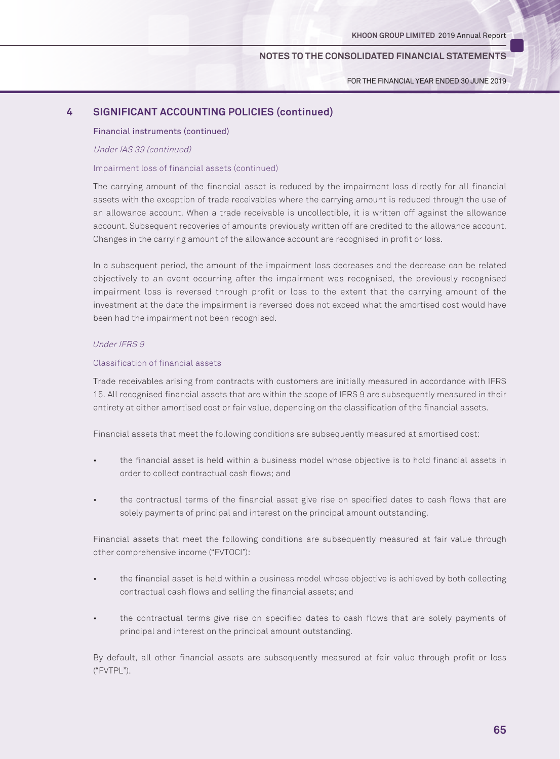FOR THE FINANCIAL YEAR ENDED 30 JUNE 2019

# **4 SIGNIFICANT ACCOUNTING POLICIES (continued)**

### Financial instruments (continued)

### Under IAS 39 (continued)

### Impairment loss of financial assets (continued)

The carrying amount of the financial asset is reduced by the impairment loss directly for all financial assets with the exception of trade receivables where the carrying amount is reduced through the use of an allowance account. When a trade receivable is uncollectible, it is written off against the allowance account. Subsequent recoveries of amounts previously written off are credited to the allowance account. Changes in the carrying amount of the allowance account are recognised in profit or loss.

In a subsequent period, the amount of the impairment loss decreases and the decrease can be related objectively to an event occurring after the impairment was recognised, the previously recognised impairment loss is reversed through profit or loss to the extent that the carrying amount of the investment at the date the impairment is reversed does not exceed what the amortised cost would have been had the impairment not been recognised.

## Under IFRS 9

### Classification of financial assets

Trade receivables arising from contracts with customers are initially measured in accordance with IFRS 15. All recognised financial assets that are within the scope of IFRS 9 are subsequently measured in their entirety at either amortised cost or fair value, depending on the classification of the financial assets.

Financial assets that meet the following conditions are subsequently measured at amortised cost:

- the financial asset is held within a business model whose objective is to hold financial assets in order to collect contractual cash flows; and
- the contractual terms of the financial asset give rise on specified dates to cash flows that are solely payments of principal and interest on the principal amount outstanding.

Financial assets that meet the following conditions are subsequently measured at fair value through other comprehensive income ("FVTOCI"):

- the financial asset is held within a business model whose objective is achieved by both collecting contractual cash flows and selling the financial assets; and
- the contractual terms give rise on specified dates to cash flows that are solely payments of principal and interest on the principal amount outstanding.

By default, all other financial assets are subsequently measured at fair value through profit or loss ("FVTPL").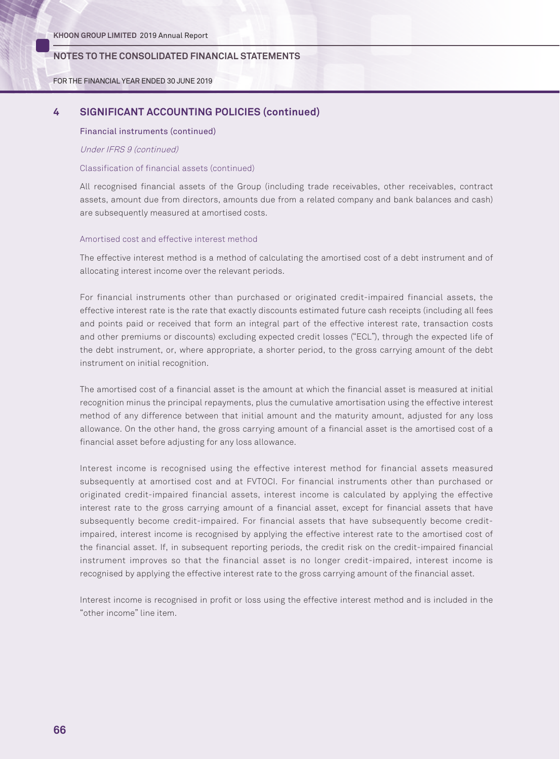FOR THE FINANCIAL YEAR ENDED 30 JUNE 2019

# **4 SIGNIFICANT ACCOUNTING POLICIES (continued)**

#### Financial instruments (continued)

### Under IFRS 9 (continued)

#### Classification of financial assets (continued)

All recognised financial assets of the Group (including trade receivables, other receivables, contract assets, amount due from directors, amounts due from a related company and bank balances and cash) are subsequently measured at amortised costs.

#### Amortised cost and effective interest method

The effective interest method is a method of calculating the amortised cost of a debt instrument and of allocating interest income over the relevant periods.

For financial instruments other than purchased or originated credit-impaired financial assets, the effective interest rate is the rate that exactly discounts estimated future cash receipts (including all fees and points paid or received that form an integral part of the effective interest rate, transaction costs and other premiums or discounts) excluding expected credit losses ("ECL"), through the expected life of the debt instrument, or, where appropriate, a shorter period, to the gross carrying amount of the debt instrument on initial recognition.

The amortised cost of a financial asset is the amount at which the financial asset is measured at initial recognition minus the principal repayments, plus the cumulative amortisation using the effective interest method of any difference between that initial amount and the maturity amount, adjusted for any loss allowance. On the other hand, the gross carrying amount of a financial asset is the amortised cost of a financial asset before adjusting for any loss allowance.

Interest income is recognised using the effective interest method for financial assets measured subsequently at amortised cost and at FVTOCI. For financial instruments other than purchased or originated credit-impaired financial assets, interest income is calculated by applying the effective interest rate to the gross carrying amount of a financial asset, except for financial assets that have subsequently become credit-impaired. For financial assets that have subsequently become creditimpaired, interest income is recognised by applying the effective interest rate to the amortised cost of the financial asset. If, in subsequent reporting periods, the credit risk on the credit-impaired financial instrument improves so that the financial asset is no longer credit-impaired, interest income is recognised by applying the effective interest rate to the gross carrying amount of the financial asset.

Interest income is recognised in profit or loss using the effective interest method and is included in the "other income" line item.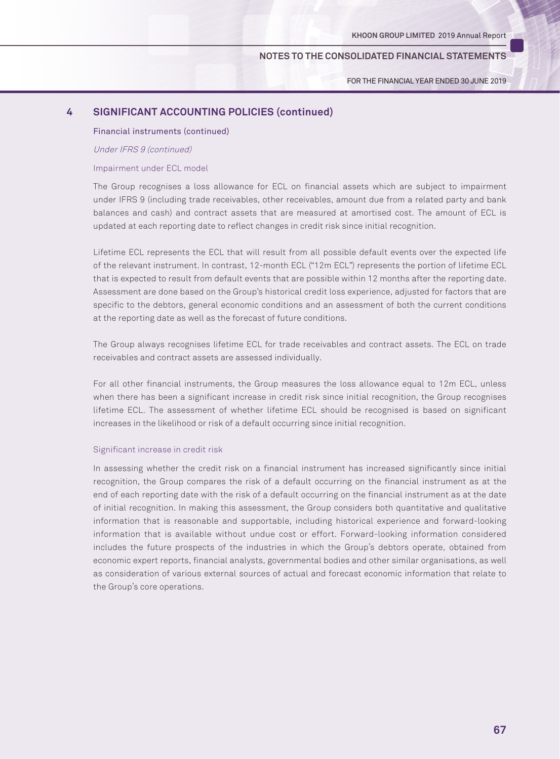FOR THE FINANCIAL YEAR ENDED 30 JUNE 2019

# **4 SIGNIFICANT ACCOUNTING POLICIES (continued)**

#### Financial instruments (continued)

#### Under IFRS 9 (continued)

#### Impairment under ECL model

The Group recognises a loss allowance for ECL on financial assets which are subject to impairment under IFRS 9 (including trade receivables, other receivables, amount due from a related party and bank balances and cash) and contract assets that are measured at amortised cost. The amount of ECL is updated at each reporting date to reflect changes in credit risk since initial recognition.

Lifetime ECL represents the ECL that will result from all possible default events over the expected life of the relevant instrument. In contrast, 12-month ECL ("12m ECL") represents the portion of lifetime ECL that is expected to result from default events that are possible within 12 months after the reporting date. Assessment are done based on the Group's historical credit loss experience, adjusted for factors that are specific to the debtors, general economic conditions and an assessment of both the current conditions at the reporting date as well as the forecast of future conditions.

The Group always recognises lifetime ECL for trade receivables and contract assets. The ECL on trade receivables and contract assets are assessed individually.

For all other financial instruments, the Group measures the loss allowance equal to 12m ECL, unless when there has been a significant increase in credit risk since initial recognition, the Group recognises lifetime ECL. The assessment of whether lifetime ECL should be recognised is based on significant increases in the likelihood or risk of a default occurring since initial recognition.

#### Significant increase in credit risk

In assessing whether the credit risk on a financial instrument has increased significantly since initial recognition, the Group compares the risk of a default occurring on the financial instrument as at the end of each reporting date with the risk of a default occurring on the financial instrument as at the date of initial recognition. In making this assessment, the Group considers both quantitative and qualitative information that is reasonable and supportable, including historical experience and forward-looking information that is available without undue cost or effort. Forward-looking information considered includes the future prospects of the industries in which the Group's debtors operate, obtained from economic expert reports, financial analysts, governmental bodies and other similar organisations, as well as consideration of various external sources of actual and forecast economic information that relate to the Group's core operations.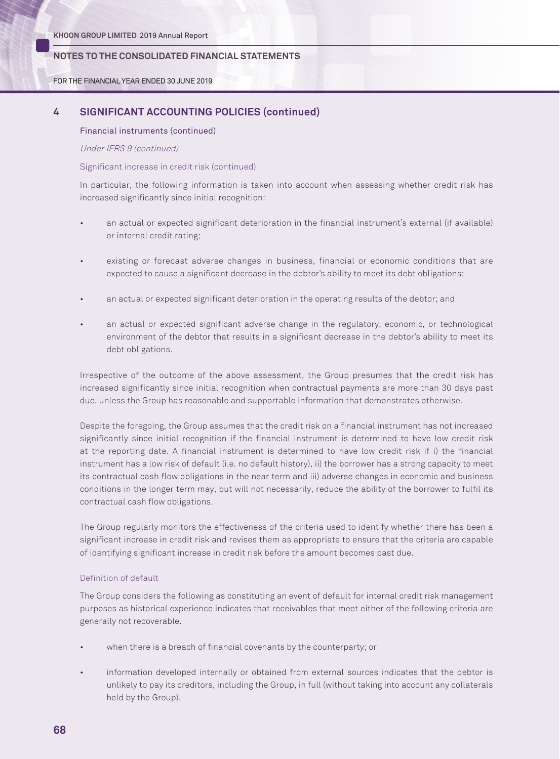FOR THE FINANCIAL YEAR ENDED 30 JUNE 2019

# **4 SIGNIFICANT ACCOUNTING POLICIES (continued)**

Financial instruments (continued)

### Under IFRS 9 (continued)

#### Significant increase in credit risk (continued)

In particular, the following information is taken into account when assessing whether credit risk has increased significantly since initial recognition:

- an actual or expected significant deterioration in the financial instrument's external (if available) or internal credit rating;
- existing or forecast adverse changes in business, financial or economic conditions that are expected to cause a significant decrease in the debtor's ability to meet its debt obligations;
- an actual or expected significant deterioration in the operating results of the debtor; and
- an actual or expected significant adverse change in the regulatory, economic, or technological environment of the debtor that results in a significant decrease in the debtor's ability to meet its debt obligations.

Irrespective of the outcome of the above assessment, the Group presumes that the credit risk has increased significantly since initial recognition when contractual payments are more than 30 days past due, unless the Group has reasonable and supportable information that demonstrates otherwise.

Despite the foregoing, the Group assumes that the credit risk on a financial instrument has not increased significantly since initial recognition if the financial instrument is determined to have low credit risk at the reporting date. A financial instrument is determined to have low credit risk if i) the financial instrument has a low risk of default (i.e. no default history), ii) the borrower has a strong capacity to meet its contractual cash flow obligations in the near term and iii) adverse changes in economic and business conditions in the longer term may, but will not necessarily, reduce the ability of the borrower to fulfil its contractual cash flow obligations.

The Group regularly monitors the effectiveness of the criteria used to identify whether there has been a significant increase in credit risk and revises them as appropriate to ensure that the criteria are capable of identifying significant increase in credit risk before the amount becomes past due.

# Definition of default

The Group considers the following as constituting an event of default for internal credit risk management purposes as historical experience indicates that receivables that meet either of the following criteria are generally not recoverable.

- when there is a breach of financial covenants by the counterparty; or
- information developed internally or obtained from external sources indicates that the debtor is unlikely to pay its creditors, including the Group, in full (without taking into account any collaterals held by the Group).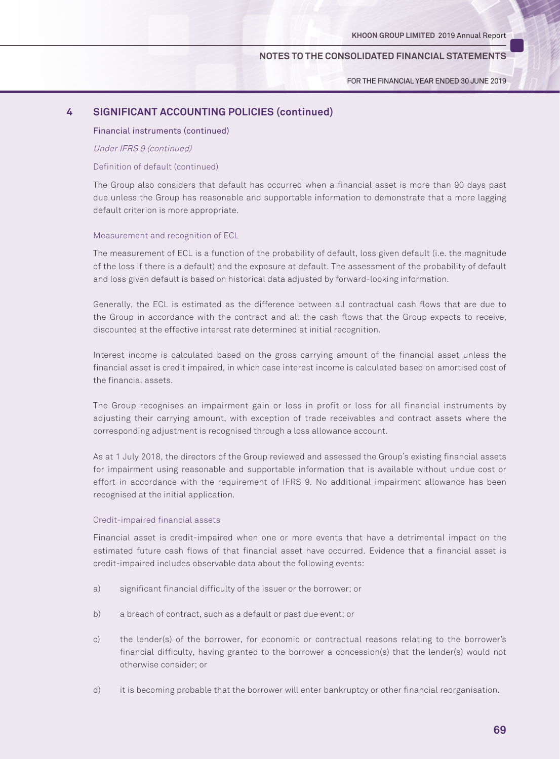FOR THE FINANCIAL YEAR ENDED 30 JUNE 2019

# **4 SIGNIFICANT ACCOUNTING POLICIES (continued)**

### Financial instruments (continued)

### Under IFRS 9 (continued)

### Definition of default (continued)

The Group also considers that default has occurred when a financial asset is more than 90 days past due unless the Group has reasonable and supportable information to demonstrate that a more lagging default criterion is more appropriate.

## Measurement and recognition of ECL

The measurement of ECL is a function of the probability of default, loss given default (i.e. the magnitude of the loss if there is a default) and the exposure at default. The assessment of the probability of default and loss given default is based on historical data adjusted by forward-looking information.

Generally, the ECL is estimated as the difference between all contractual cash flows that are due to the Group in accordance with the contract and all the cash flows that the Group expects to receive, discounted at the effective interest rate determined at initial recognition.

Interest income is calculated based on the gross carrying amount of the financial asset unless the financial asset is credit impaired, in which case interest income is calculated based on amortised cost of the financial assets.

The Group recognises an impairment gain or loss in profit or loss for all financial instruments by adjusting their carrying amount, with exception of trade receivables and contract assets where the corresponding adjustment is recognised through a loss allowance account.

As at 1 July 2018, the directors of the Group reviewed and assessed the Group's existing financial assets for impairment using reasonable and supportable information that is available without undue cost or effort in accordance with the requirement of IFRS 9. No additional impairment allowance has been recognised at the initial application.

### Credit-impaired financial assets

Financial asset is credit-impaired when one or more events that have a detrimental impact on the estimated future cash flows of that financial asset have occurred. Evidence that a financial asset is credit-impaired includes observable data about the following events:

- a) significant financial difficulty of the issuer or the borrower; or
- b) a breach of contract, such as a default or past due event; or
- c) the lender(s) of the borrower, for economic or contractual reasons relating to the borrower's financial difficulty, having granted to the borrower a concession(s) that the lender(s) would not otherwise consider; or
- d) it is becoming probable that the borrower will enter bankruptcy or other financial reorganisation.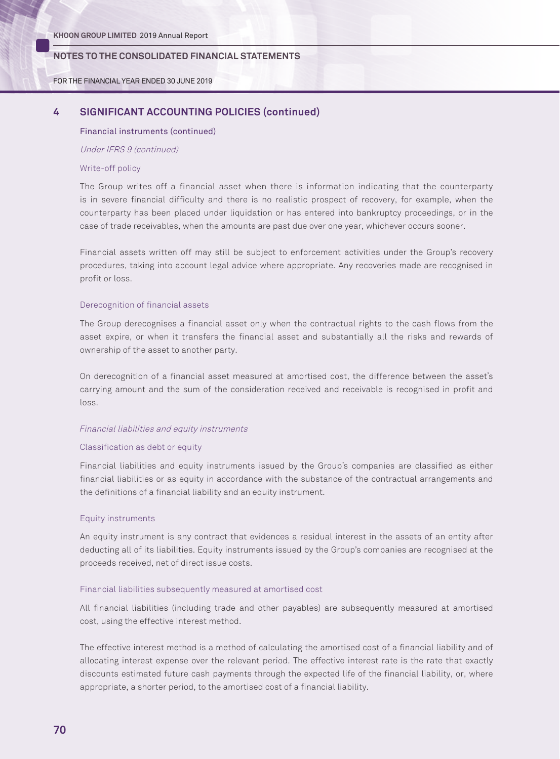FOR THE FINANCIAL YEAR ENDED 30 JUNE 2019

# **4 SIGNIFICANT ACCOUNTING POLICIES (continued)**

### Financial instruments (continued)

### Under IFRS 9 (continued)

#### Write-off policy

The Group writes off a financial asset when there is information indicating that the counterparty is in severe financial difficulty and there is no realistic prospect of recovery, for example, when the counterparty has been placed under liquidation or has entered into bankruptcy proceedings, or in the case of trade receivables, when the amounts are past due over one year, whichever occurs sooner.

Financial assets written off may still be subject to enforcement activities under the Group's recovery procedures, taking into account legal advice where appropriate. Any recoveries made are recognised in profit or loss.

#### Derecognition of financial assets

The Group derecognises a financial asset only when the contractual rights to the cash flows from the asset expire, or when it transfers the financial asset and substantially all the risks and rewards of ownership of the asset to another party.

On derecognition of a financial asset measured at amortised cost, the difference between the asset's carrying amount and the sum of the consideration received and receivable is recognised in profit and loss.

### Financial liabilities and equity instruments

### Classification as debt or equity

Financial liabilities and equity instruments issued by the Group's companies are classified as either financial liabilities or as equity in accordance with the substance of the contractual arrangements and the definitions of a financial liability and an equity instrument.

### Equity instruments

An equity instrument is any contract that evidences a residual interest in the assets of an entity after deducting all of its liabilities. Equity instruments issued by the Group's companies are recognised at the proceeds received, net of direct issue costs.

### Financial liabilities subsequently measured at amortised cost

All financial liabilities (including trade and other payables) are subsequently measured at amortised cost, using the effective interest method.

The effective interest method is a method of calculating the amortised cost of a financial liability and of allocating interest expense over the relevant period. The effective interest rate is the rate that exactly discounts estimated future cash payments through the expected life of the financial liability, or, where appropriate, a shorter period, to the amortised cost of a financial liability.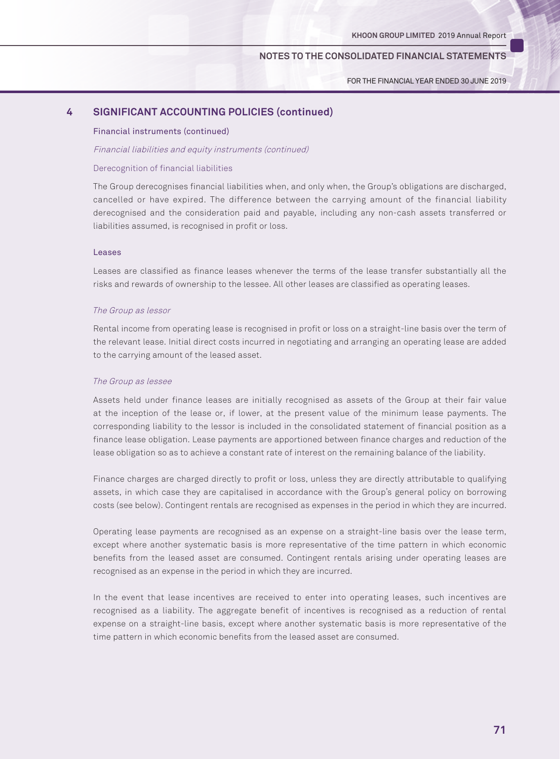FOR THE FINANCIAL YEAR ENDED 30 JUNE 2019

# **4 SIGNIFICANT ACCOUNTING POLICIES (continued)**

#### Financial instruments (continued)

#### Financial liabilities and equity instruments (continued)

### Derecognition of financial liabilities

The Group derecognises financial liabilities when, and only when, the Group's obligations are discharged, cancelled or have expired. The difference between the carrying amount of the financial liability derecognised and the consideration paid and payable, including any non-cash assets transferred or liabilities assumed, is recognised in profit or loss.

#### Leases

Leases are classified as finance leases whenever the terms of the lease transfer substantially all the risks and rewards of ownership to the lessee. All other leases are classified as operating leases.

### The Group as lessor

Rental income from operating lease is recognised in profit or loss on a straight-line basis over the term of the relevant lease. Initial direct costs incurred in negotiating and arranging an operating lease are added to the carrying amount of the leased asset.

### The Group as lessee

Assets held under finance leases are initially recognised as assets of the Group at their fair value at the inception of the lease or, if lower, at the present value of the minimum lease payments. The corresponding liability to the lessor is included in the consolidated statement of financial position as a finance lease obligation. Lease payments are apportioned between finance charges and reduction of the lease obligation so as to achieve a constant rate of interest on the remaining balance of the liability.

Finance charges are charged directly to profit or loss, unless they are directly attributable to qualifying assets, in which case they are capitalised in accordance with the Group's general policy on borrowing costs (see below). Contingent rentals are recognised as expenses in the period in which they are incurred.

Operating lease payments are recognised as an expense on a straight-line basis over the lease term, except where another systematic basis is more representative of the time pattern in which economic benefits from the leased asset are consumed. Contingent rentals arising under operating leases are recognised as an expense in the period in which they are incurred.

In the event that lease incentives are received to enter into operating leases, such incentives are recognised as a liability. The aggregate benefit of incentives is recognised as a reduction of rental expense on a straight-line basis, except where another systematic basis is more representative of the time pattern in which economic benefits from the leased asset are consumed.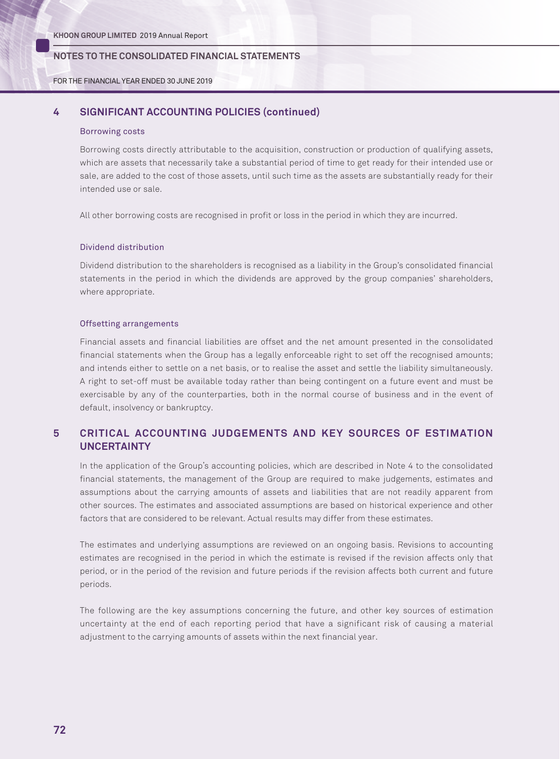FOR THE FINANCIAL YEAR ENDED 30 JUNE 2019

## **4 SIGNIFICANT ACCOUNTING POLICIES (continued)**

#### Borrowing costs

Borrowing costs directly attributable to the acquisition, construction or production of qualifying assets, which are assets that necessarily take a substantial period of time to get ready for their intended use or sale, are added to the cost of those assets, until such time as the assets are substantially ready for their intended use or sale.

All other borrowing costs are recognised in profit or loss in the period in which they are incurred.

### Dividend distribution

Dividend distribution to the shareholders is recognised as a liability in the Group's consolidated financial statements in the period in which the dividends are approved by the group companies' shareholders, where appropriate.

#### Offsetting arrangements

Financial assets and financial liabilities are offset and the net amount presented in the consolidated financial statements when the Group has a legally enforceable right to set off the recognised amounts; and intends either to settle on a net basis, or to realise the asset and settle the liability simultaneously. A right to set-off must be available today rather than being contingent on a future event and must be exercisable by any of the counterparties, both in the normal course of business and in the event of default, insolvency or bankruptcy.

# **5 CRITICAL ACCOUNTING JUDGEMENTS AND KEY SOURCES OF ESTIMATION UNCERTAINTY**

In the application of the Group's accounting policies, which are described in Note 4 to the consolidated financial statements, the management of the Group are required to make judgements, estimates and assumptions about the carrying amounts of assets and liabilities that are not readily apparent from other sources. The estimates and associated assumptions are based on historical experience and other factors that are considered to be relevant. Actual results may differ from these estimates.

The estimates and underlying assumptions are reviewed on an ongoing basis. Revisions to accounting estimates are recognised in the period in which the estimate is revised if the revision affects only that period, or in the period of the revision and future periods if the revision affects both current and future periods.

The following are the key assumptions concerning the future, and other key sources of estimation uncertainty at the end of each reporting period that have a significant risk of causing a material adjustment to the carrying amounts of assets within the next financial year.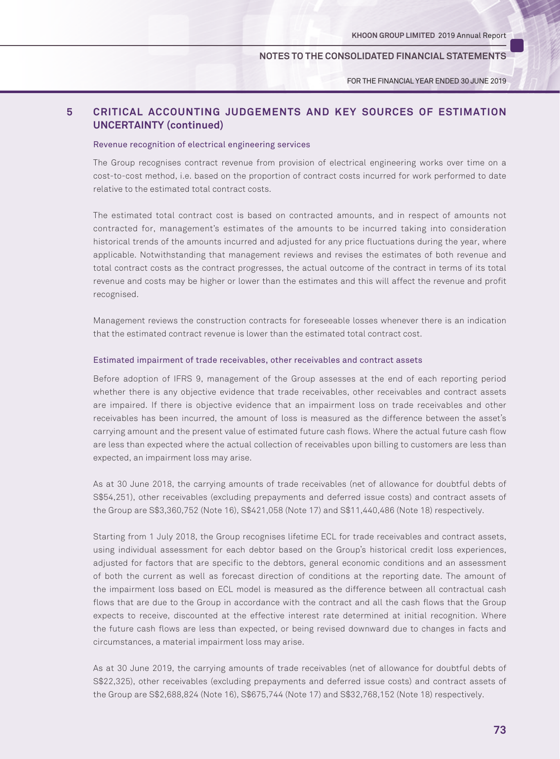FOR THE FINANCIAL YEAR ENDED 30 JUNE 2019

# **5 CRITICAL ACCOUNTING JUDGEMENTS AND KEY SOURCES OF ESTIMATION UNCERTAINTY (continued)**

#### Revenue recognition of electrical engineering services

The Group recognises contract revenue from provision of electrical engineering works over time on a cost-to-cost method, i.e. based on the proportion of contract costs incurred for work performed to date relative to the estimated total contract costs.

The estimated total contract cost is based on contracted amounts, and in respect of amounts not contracted for, management's estimates of the amounts to be incurred taking into consideration historical trends of the amounts incurred and adjusted for any price fluctuations during the year, where applicable. Notwithstanding that management reviews and revises the estimates of both revenue and total contract costs as the contract progresses, the actual outcome of the contract in terms of its total revenue and costs may be higher or lower than the estimates and this will affect the revenue and profit recognised.

Management reviews the construction contracts for foreseeable losses whenever there is an indication that the estimated contract revenue is lower than the estimated total contract cost.

### Estimated impairment of trade receivables, other receivables and contract assets

Before adoption of IFRS 9, management of the Group assesses at the end of each reporting period whether there is any objective evidence that trade receivables, other receivables and contract assets are impaired. If there is objective evidence that an impairment loss on trade receivables and other receivables has been incurred, the amount of loss is measured as the difference between the asset's carrying amount and the present value of estimated future cash flows. Where the actual future cash flow are less than expected where the actual collection of receivables upon billing to customers are less than expected, an impairment loss may arise.

As at 30 June 2018, the carrying amounts of trade receivables (net of allowance for doubtful debts of S\$54,251), other receivables (excluding prepayments and deferred issue costs) and contract assets of the Group are S\$3,360,752 (Note 16), S\$421,058 (Note 17) and S\$11,440,486 (Note 18) respectively.

Starting from 1 July 2018, the Group recognises lifetime ECL for trade receivables and contract assets, using individual assessment for each debtor based on the Group's historical credit loss experiences, adjusted for factors that are specific to the debtors, general economic conditions and an assessment of both the current as well as forecast direction of conditions at the reporting date. The amount of the impairment loss based on ECL model is measured as the difference between all contractual cash flows that are due to the Group in accordance with the contract and all the cash flows that the Group expects to receive, discounted at the effective interest rate determined at initial recognition. Where the future cash flows are less than expected, or being revised downward due to changes in facts and circumstances, a material impairment loss may arise.

As at 30 June 2019, the carrying amounts of trade receivables (net of allowance for doubtful debts of S\$22,325), other receivables (excluding prepayments and deferred issue costs) and contract assets of the Group are S\$2,688,824 (Note 16), S\$675,744 (Note 17) and S\$32,768,152 (Note 18) respectively.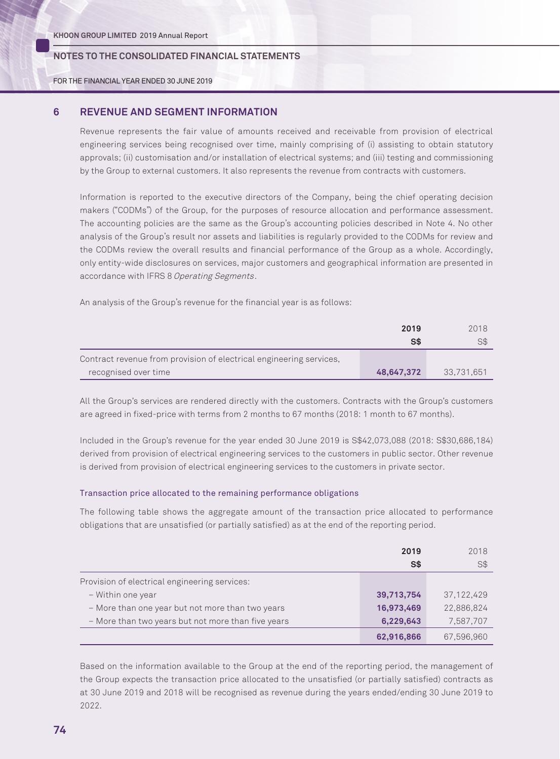FOR THE FINANCIAL YEAR ENDED 30 JUNE 2019

## **6 REVENUE AND SEGMENT INFORMATION**

Revenue represents the fair value of amounts received and receivable from provision of electrical engineering services being recognised over time, mainly comprising of (i) assisting to obtain statutory approvals; (ii) customisation and/or installation of electrical systems; and (iii) testing and commissioning by the Group to external customers. It also represents the revenue from contracts with customers.

Information is reported to the executive directors of the Company, being the chief operating decision makers ("CODMs") of the Group, for the purposes of resource allocation and performance assessment. The accounting policies are the same as the Group's accounting policies described in Note 4. No other analysis of the Group's result nor assets and liabilities is regularly provided to the CODMs for review and the CODMs review the overall results and financial performance of the Group as a whole. Accordingly, only entity-wide disclosures on services, major customers and geographical information are presented in accordance with IFRS 8 Operating Segments.

An analysis of the Group's revenue for the financial year is as follows:

|                                                                     | 2019       | 2018       |
|---------------------------------------------------------------------|------------|------------|
|                                                                     | S\$        | S\$        |
| Contract revenue from provision of electrical engineering services, |            |            |
| recognised over time                                                | 48,647,372 | 33,731,651 |

All the Group's services are rendered directly with the customers. Contracts with the Group's customers are agreed in fixed-price with terms from 2 months to 67 months (2018: 1 month to 67 months).

Included in the Group's revenue for the year ended 30 June 2019 is S\$42,073,088 (2018: S\$30,686,184) derived from provision of electrical engineering services to the customers in public sector. Other revenue is derived from provision of electrical engineering services to the customers in private sector.

### Transaction price allocated to the remaining performance obligations

The following table shows the aggregate amount of the transaction price allocated to performance obligations that are unsatisfied (or partially satisfied) as at the end of the reporting period.

|                                                    | 2019<br>S\$ | 2018<br>S\$ |
|----------------------------------------------------|-------------|-------------|
| Provision of electrical engineering services:      |             |             |
| - Within one year                                  | 39,713,754  | 37,122,429  |
| - More than one year but not more than two years   | 16,973,469  | 22,886,824  |
| - More than two years but not more than five years | 6,229,643   | 7,587,707   |
|                                                    | 62,916,866  | 67,596,960  |

Based on the information available to the Group at the end of the reporting period, the management of the Group expects the transaction price allocated to the unsatisfied (or partially satisfied) contracts as at 30 June 2019 and 2018 will be recognised as revenue during the years ended/ending 30 June 2019 to 2022.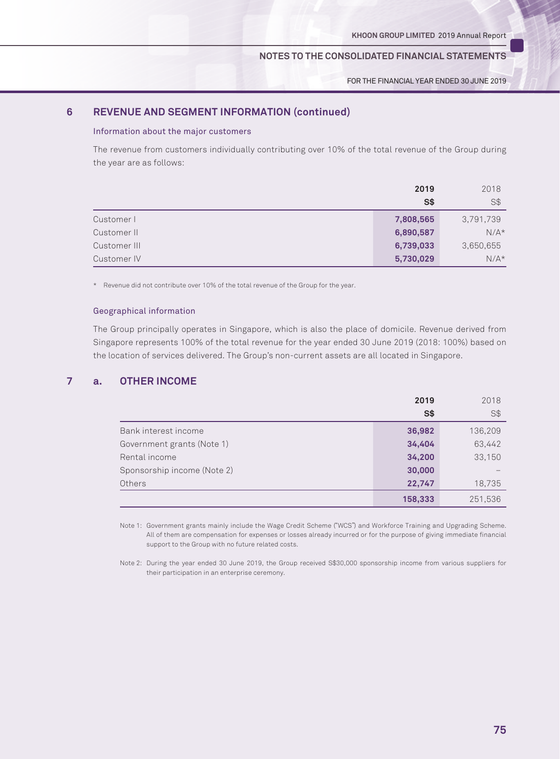FOR THE FINANCIAL YEAR ENDED 30 JUNE 2019

# **6 REVENUE AND SEGMENT INFORMATION (continued)**

#### Information about the major customers

The revenue from customers individually contributing over 10% of the total revenue of the Group during the year are as follows:

|              | 2019      | 2018      |
|--------------|-----------|-----------|
|              | S\$       | S\$       |
| Customer I   | 7,808,565 | 3,791,739 |
| Customer II  | 6,890,587 | $N/A*$    |
| Customer III | 6,739,033 | 3,650,655 |
| Customer IV  | 5,730,029 | $N/A*$    |

\* Revenue did not contribute over 10% of the total revenue of the Group for the year.

### Geographical information

The Group principally operates in Singapore, which is also the place of domicile. Revenue derived from Singapore represents 100% of the total revenue for the year ended 30 June 2019 (2018: 100%) based on the location of services delivered. The Group's non-current assets are all located in Singapore.

# **7 a. OTHER INCOME**

|                             | 2019    | 2018    |
|-----------------------------|---------|---------|
|                             | $S*$    | S\$     |
| Bank interest income        | 36,982  | 136,209 |
| Government grants (Note 1)  | 34,404  | 63,442  |
| Rental income               | 34,200  | 33,150  |
| Sponsorship income (Note 2) | 30,000  |         |
| Others                      | 22,747  | 18,735  |
|                             | 158,333 | 251,536 |

Note 1: Government grants mainly include the Wage Credit Scheme ("WCS") and Workforce Training and Upgrading Scheme. All of them are compensation for expenses or losses already incurred or for the purpose of giving immediate financial support to the Group with no future related costs.

Note 2: During the year ended 30 June 2019, the Group received S\$30,000 sponsorship income from various suppliers for their participation in an enterprise ceremony.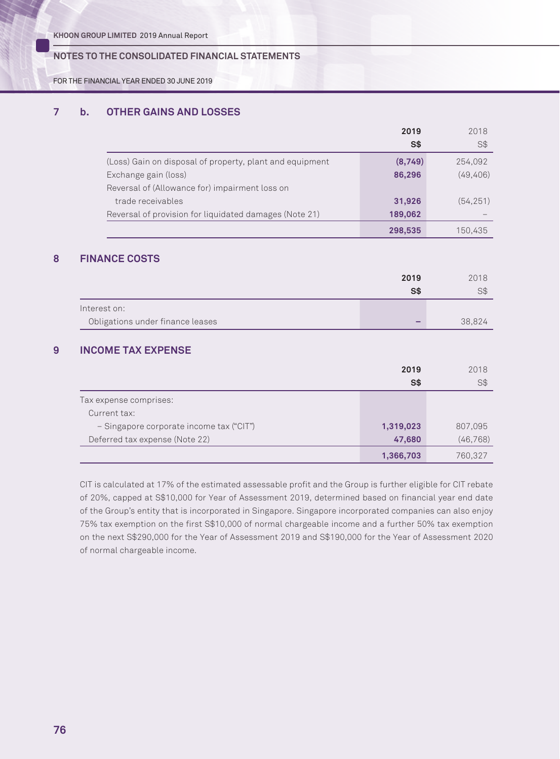FOR THE FINANCIAL YEAR ENDED 30 JUNE 2019

# **7 b. OTHER GAINS AND LOSSES**

|                                                          | 2019    | 2018      |
|----------------------------------------------------------|---------|-----------|
|                                                          | S\$     | S\$       |
| (Loss) Gain on disposal of property, plant and equipment | (8,749) | 254,092   |
| Exchange gain (loss)                                     | 86,296  | (49, 406) |
| Reversal of (Allowance for) impairment loss on           |         |           |
| trade receivables                                        | 31,926  | (54.251)  |
| Reversal of provision for liquidated damages (Note 21)   | 189,062 |           |
|                                                          | 298,535 | 150.435   |

## **8 FINANCE COSTS**

|                                  | 2019 | 2018   |
|----------------------------------|------|--------|
|                                  | S\$  | $S\$   |
| Interest on:                     |      |        |
| Obligations under finance leases | _    | 38.824 |

# **9 INCOME TAX EXPENSE**

|                                          | 2019      | 2018      |
|------------------------------------------|-----------|-----------|
|                                          | S\$       | S\$       |
| Tax expense comprises:                   |           |           |
| Current tax:                             |           |           |
| - Singapore corporate income tax ("CIT") | 1,319,023 | 807,095   |
| Deferred tax expense (Note 22)           | 47,680    | (46, 768) |
|                                          | 1,366,703 | 760,327   |

CIT is calculated at 17% of the estimated assessable profit and the Group is further eligible for CIT rebate of 20%, capped at S\$10,000 for Year of Assessment 2019, determined based on financial year end date of the Group's entity that is incorporated in Singapore. Singapore incorporated companies can also enjoy 75% tax exemption on the first S\$10,000 of normal chargeable income and a further 50% tax exemption on the next S\$290,000 for the Year of Assessment 2019 and S\$190,000 for the Year of Assessment 2020 of normal chargeable income.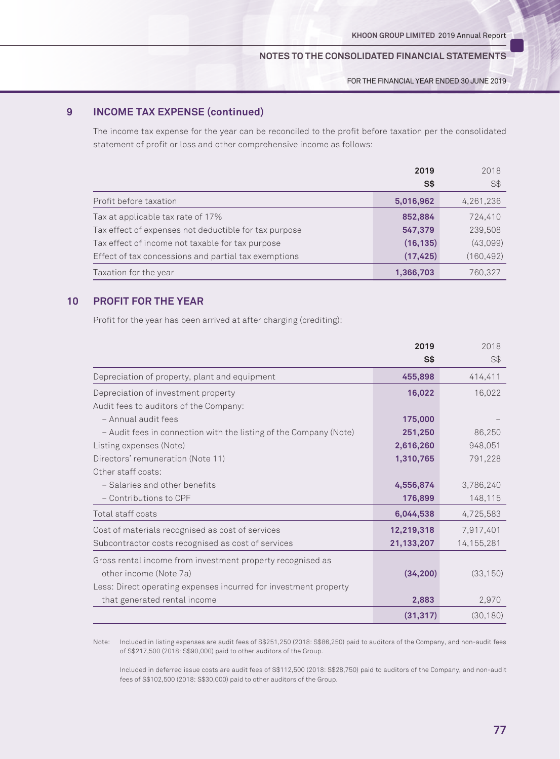FOR THE FINANCIAL YEAR ENDED 30 JUNE 2019

# **9 INCOME TAX EXPENSE (continued)**

The income tax expense for the year can be reconciled to the profit before taxation per the consolidated statement of profit or loss and other comprehensive income as follows:

|                                                       | 2019      | 2018       |
|-------------------------------------------------------|-----------|------------|
|                                                       | S\$       | S\$        |
| Profit before taxation                                | 5,016,962 | 4,261,236  |
| Tax at applicable tax rate of 17%                     | 852,884   | 724,410    |
| Tax effect of expenses not deductible for tax purpose | 547,379   | 239,508    |
| Tax effect of income not taxable for tax purpose      | (16, 135) | (43,099)   |
| Effect of tax concessions and partial tax exemptions  | (17, 425) | (160, 492) |
| Taxation for the year                                 | 1,366,703 | 760.327    |

# **10 PROFIT FOR THE YEAR**

Profit for the year has been arrived at after charging (crediting):

|                                                                   | 2019       | 2018         |
|-------------------------------------------------------------------|------------|--------------|
|                                                                   | S\$        | S\$          |
| Depreciation of property, plant and equipment                     | 455,898    | 414,411      |
| Depreciation of investment property                               | 16,022     | 16,022       |
| Audit fees to auditors of the Company:                            |            |              |
| - Annual audit fees                                               | 175,000    |              |
| - Audit fees in connection with the listing of the Company (Note) | 251,250    | 86,250       |
| Listing expenses (Note)                                           | 2,616,260  | 948,051      |
| Directors' remuneration (Note 11)                                 | 1,310,765  | 791,228      |
| Other staff costs:                                                |            |              |
| - Salaries and other benefits                                     | 4,556,874  | 3,786,240    |
| - Contributions to CPF                                            | 176,899    | 148,115      |
| Total staff costs                                                 | 6,044,538  | 4,725,583    |
| Cost of materials recognised as cost of services                  | 12,219,318 | 7,917,401    |
| Subcontractor costs recognised as cost of services                | 21,133,207 | 14, 155, 281 |
| Gross rental income from investment property recognised as        |            |              |
| other income (Note 7a)                                            | (34, 200)  | (33, 150)    |
| Less: Direct operating expenses incurred for investment property  |            |              |
| that generated rental income                                      | 2,883      | 2,970        |
|                                                                   | (31, 317)  | (30, 180)    |

Note: Included in listing expenses are audit fees of S\$251,250 (2018: S\$86,250) paid to auditors of the Company, and non-audit fees of S\$217,500 (2018: S\$90,000) paid to other auditors of the Group.

Included in deferred issue costs are audit fees of S\$112,500 (2018: S\$28,750) paid to auditors of the Company, and non-audit fees of S\$102,500 (2018: S\$30,000) paid to other auditors of the Group.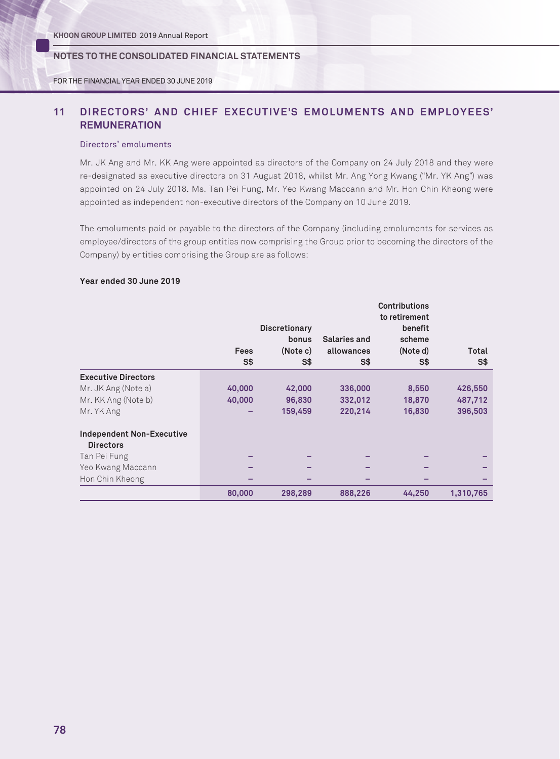FOR THE FINANCIAL YEAR ENDED 30 JUNE 2019

# **11 DIRECTORS' AND CHIEF EXECUTIVE'S EMOLUMENTS AND EMPLOYEES' REMUNERATION**

### Directors' emoluments

Mr. JK Ang and Mr. KK Ang were appointed as directors of the Company on 24 July 2018 and they were re-designated as executive directors on 31 August 2018, whilst Mr. Ang Yong Kwang ("Mr. YK Ang") was appointed on 24 July 2018. Ms. Tan Pei Fung, Mr. Yeo Kwang Maccann and Mr. Hon Chin Kheong were appointed as independent non-executive directors of the Company on 10 June 2019.

The emoluments paid or payable to the directors of the Company (including emoluments for services as employee/directors of the group entities now comprising the Group prior to becoming the directors of the Company) by entities comprising the Group are as follows:

### **Year ended 30 June 2019**

|                                  | Fees<br>S\$ | <b>Discretionary</b><br>bonus<br>(Note c)<br>S\$ | Salaries and<br>allowances<br>S\$ | <b>Contributions</b><br>to retirement<br>benefit<br>scheme<br>(Note d)<br>S\$ | Total<br>S\$ |
|----------------------------------|-------------|--------------------------------------------------|-----------------------------------|-------------------------------------------------------------------------------|--------------|
| <b>Executive Directors</b>       |             |                                                  |                                   |                                                                               |              |
| Mr. JK Ang (Note a)              | 40,000      | 42,000                                           | 336,000                           | 8,550                                                                         | 426,550      |
| Mr. KK Ang (Note b)              | 40,000      | 96,830                                           | 332,012                           | 18,870                                                                        | 487,712      |
| Mr. YK Ang                       |             | 159,459                                          | 220,214                           | 16,830                                                                        | 396,503      |
| <b>Independent Non-Executive</b> |             |                                                  |                                   |                                                                               |              |
| <b>Directors</b>                 |             |                                                  |                                   |                                                                               |              |
| Tan Pei Fung                     |             |                                                  |                                   |                                                                               |              |
| Yeo Kwang Maccann                |             |                                                  |                                   |                                                                               |              |
| Hon Chin Kheong                  |             |                                                  |                                   |                                                                               |              |
|                                  | 80,000      | 298,289                                          | 888,226                           | 44,250                                                                        | 1,310,765    |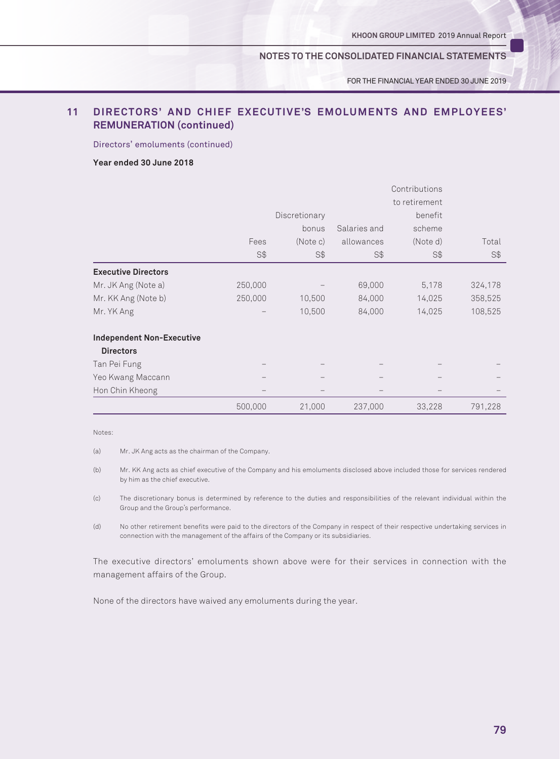FOR THE FINANCIAL YEAR ENDED 30 JUNE 2019

# **11 DIRECTORS' AND CHIEF EXECUTIVE'S EMOLUMENTS AND EMPLOYEES' REMUNERATION (continued)**

Directors' emoluments (continued)

## **Year ended 30 June 2018**

|                                  |         |               |              | Contributions |         |
|----------------------------------|---------|---------------|--------------|---------------|---------|
|                                  |         |               |              | to retirement |         |
|                                  |         | Discretionary |              | benefit       |         |
|                                  |         | bonus         | Salaries and | scheme        |         |
|                                  | Fees    | (Note c)      | allowances   | (Note d)      | Total   |
|                                  | S\$     | S\$           | S\$          | S\$           | S\$     |
| <b>Executive Directors</b>       |         |               |              |               |         |
| Mr. JK Ang (Note a)              | 250,000 |               | 69,000       | 5,178         | 324,178 |
| Mr. KK Ang (Note b)              | 250,000 | 10,500        | 84,000       | 14,025        | 358,525 |
| Mr. YK Ang                       |         | 10,500        | 84,000       | 14,025        | 108,525 |
| <b>Independent Non-Executive</b> |         |               |              |               |         |
| <b>Directors</b>                 |         |               |              |               |         |
| Tan Pei Fung                     |         |               |              |               |         |
| Yeo Kwang Maccann                |         |               |              |               |         |
| Hon Chin Kheong                  |         |               |              |               |         |
|                                  | 500,000 | 21,000        | 237,000      | 33,228        | 791,228 |

Notes:

(a) Mr. JK Ang acts as the chairman of the Company.

(b) Mr. KK Ang acts as chief executive of the Company and his emoluments disclosed above included those for services rendered by him as the chief executive.

(c) The discretionary bonus is determined by reference to the duties and responsibilities of the relevant individual within the Group and the Group's performance.

(d) No other retirement benefits were paid to the directors of the Company in respect of their respective undertaking services in connection with the management of the affairs of the Company or its subsidiaries.

The executive directors' emoluments shown above were for their services in connection with the management affairs of the Group.

None of the directors have waived any emoluments during the year.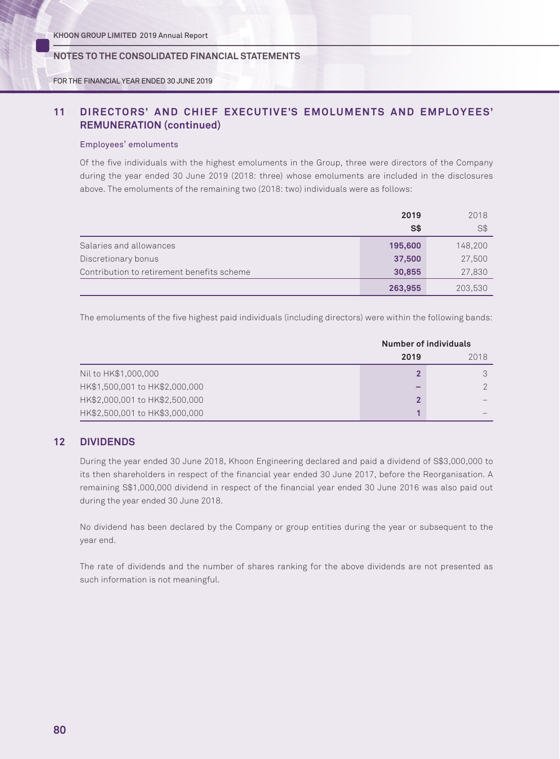FOR THE FINANCIAL YEAR ENDED 30 JUNE 2019

# **11 DIRECTORS' AND CHIEF EXECUTIVE'S EMOLUMENTS AND EMPLOYEES' REMUNERATION (continued)**

#### Employees' emoluments

Of the five individuals with the highest emoluments in the Group, three were directors of the Company during the year ended 30 June 2019 (2018: three) whose emoluments are included in the disclosures above. The emoluments of the remaining two (2018: two) individuals were as follows:

|                                            | 2019    | 2018    |
|--------------------------------------------|---------|---------|
|                                            | S\$     | $S$ \$  |
| Salaries and allowances                    | 195,600 | 148,200 |
| Discretionary bonus                        | 37,500  | 27,500  |
| Contribution to retirement benefits scheme | 30,855  | 27,830  |
|                                            | 263,955 | 203,530 |

The emoluments of the five highest paid individuals (including directors) were within the following bands:

|                                | <b>Number of individuals</b> |      |
|--------------------------------|------------------------------|------|
|                                | 2019                         | 2018 |
| Nil to HK\$1,000,000           |                              |      |
| HK\$1,500,001 to HK\$2,000,000 |                              |      |
| HK\$2,000,001 to HK\$2,500,000 |                              |      |
| HK\$2,500,001 to HK\$3,000,000 |                              |      |

## **12 DIVIDENDS**

During the year ended 30 June 2018, Khoon Engineering declared and paid a dividend of S\$3,000,000 to its then shareholders in respect of the financial year ended 30 June 2017, before the Reorganisation. A remaining S\$1,000,000 dividend in respect of the financial year ended 30 June 2016 was also paid out during the year ended 30 June 2018.

No dividend has been declared by the Company or group entities during the year or subsequent to the year end.

The rate of dividends and the number of shares ranking for the above dividends are not presented as such information is not meaningful.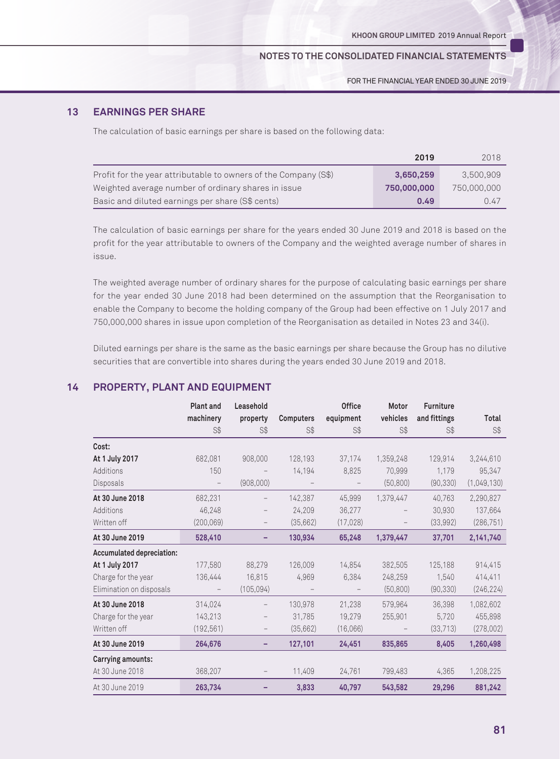FOR THE FINANCIAL YEAR ENDED 30 JUNE 2019

# **13 EARNINGS PER SHARE**

The calculation of basic earnings per share is based on the following data:

|                                                                 | 2019        | 2018        |
|-----------------------------------------------------------------|-------------|-------------|
| Profit for the year attributable to owners of the Company (S\$) | 3,650,259   | 3.500.909   |
| Weighted average number of ordinary shares in issue             | 750,000,000 | 750,000,000 |
| Basic and diluted earnings per share (S\$ cents)                | 0.49        | 0.47        |

The calculation of basic earnings per share for the years ended 30 June 2019 and 2018 is based on the profit for the year attributable to owners of the Company and the weighted average number of shares in issue.

The weighted average number of ordinary shares for the purpose of calculating basic earnings per share for the year ended 30 June 2018 had been determined on the assumption that the Reorganisation to enable the Company to become the holding company of the Group had been effective on 1 July 2017 and 750,000,000 shares in issue upon completion of the Reorganisation as detailed in Notes 23 and 34(i).

Diluted earnings per share is the same as the basic earnings per share because the Group has no dilutive securities that are convertible into shares during the years ended 30 June 2019 and 2018.

# **14 PROPERTY, PLANT AND EQUIPMENT**

|                           | <b>Plant and</b>         | Leasehold                |           | <b>Office</b> | Motor             | <b>Furniture</b> |             |
|---------------------------|--------------------------|--------------------------|-----------|---------------|-------------------|------------------|-------------|
|                           | machinery                | property                 | Computers | equipment     | vehicles          | and fittings     | Total       |
|                           | S\$                      | $S\$                     | S\$       | S\$           | S\$               | S\$              | $S\$        |
| Cost:                     |                          |                          |           |               |                   |                  |             |
| At 1 July 2017            | 682,081                  | 908,000                  | 128,193   | 37,174        | 1,359,248         | 129,914          | 3,244,610   |
| Additions                 | 150                      |                          | 14,194    | 8,825         | 70,999            | 1.179            | 95,347      |
| Disposals                 |                          | (908,000)                |           |               | (50, 800)         | (90, 330)        | (1,049,130) |
| At 30 June 2018           | 682,231                  | $\qquad \qquad -$        | 142,387   | 45,999        | 1,379,447         | 40.763           | 2,290,827   |
| Additions                 | 46,248                   | $\qquad \qquad -$        | 24,209    | 36,277        |                   | 30,930           | 137,664     |
| Written off               | (200, 069)               | $\qquad \qquad -$        | (35,662)  | (17, 028)     |                   | (33,992)         | (286, 751)  |
| At 30 June 2019           | 528,410                  | -                        | 130,934   | 65,248        | 1,379,447         | 37,701           | 2,141,740   |
| Accumulated depreciation: |                          |                          |           |               |                   |                  |             |
| At 1 July 2017            | 177.580                  | 88,279                   | 126,009   | 14.854        | 382.505           | 125,188          | 914,415     |
| Charge for the year       | 136,444                  | 16,815                   | 4,969     | 6,384         | 248,259           | 1,540            | 414,411     |
| Elimination on disposals  | $\overline{\phantom{a}}$ | (105, 094)               |           |               | (50,800)          | (90, 330)        | (246, 224)  |
| At 30 June 2018           | 314.024                  | $\qquad \qquad -$        | 130,978   | 21.238        | 579.964           | 36.398           | 1,082,602   |
| Charge for the year       | 143,213                  | $\overline{\phantom{0}}$ | 31,785    | 19,279        | 255,901           | 5,720            | 455,898     |
| Written off               | (192, 561)               | $\qquad \qquad -$        | (35,662)  | (16,066)      | $\qquad \qquad -$ | (33,713)         | (278,002)   |
| At 30 June 2019           | 264,676                  | -                        | 127,101   | 24,451        | 835,865           | 8,405            | 1,260,498   |
| Carrying amounts:         |                          |                          |           |               |                   |                  |             |
| At 30 June 2018           | 368,207                  | -                        | 11,409    | 24,761        | 799,483           | 4,365            | 1,208,225   |
| At 30 June 2019           | 263,734                  |                          | 3,833     | 40,797        | 543,582           | 29,296           | 881,242     |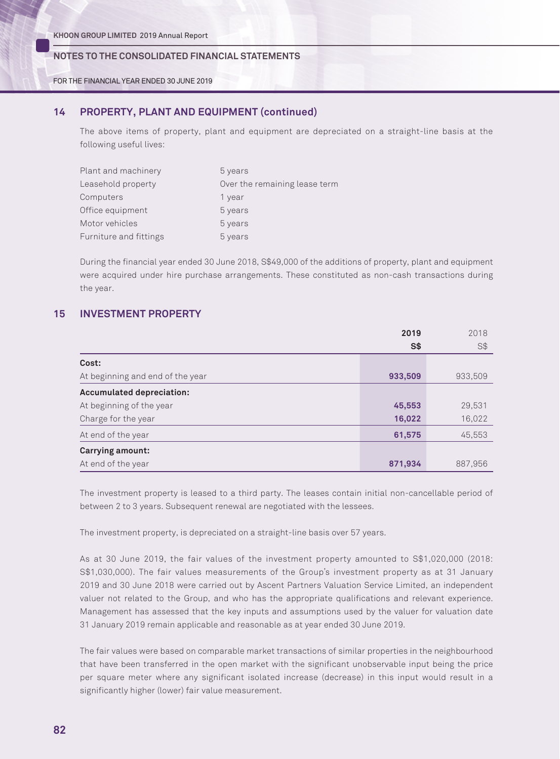FOR THE FINANCIAL YEAR ENDED 30 JUNE 2019

# **14 PROPERTY, PLANT AND EQUIPMENT (continued)**

The above items of property, plant and equipment are depreciated on a straight-line basis at the following useful lives:

| Plant and machinery    | 5 years                       |
|------------------------|-------------------------------|
| Leasehold property     | Over the remaining lease term |
| Computers              | 1 year                        |
| Office equipment       | 5 years                       |
| Motor vehicles         | 5 years                       |
| Furniture and fittings | 5 years                       |

During the financial year ended 30 June 2018, S\$49,000 of the additions of property, plant and equipment were acquired under hire purchase arrangements. These constituted as non-cash transactions during the year.

# **15 INVESTMENT PROPERTY**

|                                  | 2019    | 2018    |
|----------------------------------|---------|---------|
|                                  | $S*$    | S\$     |
| Cost:                            |         |         |
| At beginning and end of the year | 933,509 | 933,509 |
| <b>Accumulated depreciation:</b> |         |         |
| At beginning of the year         | 45,553  | 29,531  |
| Charge for the year              | 16,022  | 16,022  |
| At end of the year               | 61,575  | 45,553  |
| Carrying amount:                 |         |         |
| At end of the year               | 871,934 | 887,956 |

The investment property is leased to a third party. The leases contain initial non-cancellable period of between 2 to 3 years. Subsequent renewal are negotiated with the lessees.

The investment property, is depreciated on a straight-line basis over 57 years.

As at 30 June 2019, the fair values of the investment property amounted to S\$1,020,000 (2018: S\$1,030,000). The fair values measurements of the Group's investment property as at 31 January 2019 and 30 June 2018 were carried out by Ascent Partners Valuation Service Limited, an independent valuer not related to the Group, and who has the appropriate qualifications and relevant experience. Management has assessed that the key inputs and assumptions used by the valuer for valuation date 31 January 2019 remain applicable and reasonable as at year ended 30 June 2019.

The fair values were based on comparable market transactions of similar properties in the neighbourhood that have been transferred in the open market with the significant unobservable input being the price per square meter where any significant isolated increase (decrease) in this input would result in a significantly higher (lower) fair value measurement.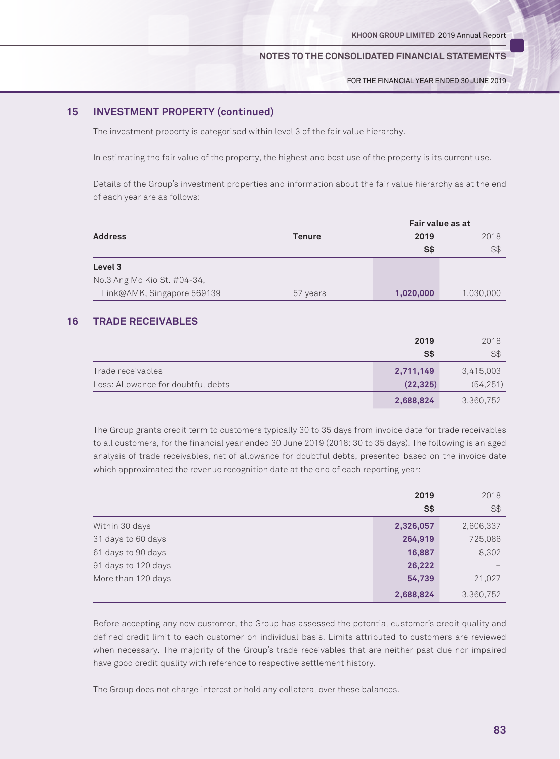FOR THE FINANCIAL YEAR ENDED 30 JUNE 2019

### **15 INVESTMENT PROPERTY (continued)**

The investment property is categorised within level 3 of the fair value hierarchy.

In estimating the fair value of the property, the highest and best use of the property is its current use.

Details of the Group's investment properties and information about the fair value hierarchy as at the end of each year are as follows:

|                             |               | Fair value as at |           |  |
|-----------------------------|---------------|------------------|-----------|--|
| <b>Address</b>              | <b>Tenure</b> | 2019             | 2018      |  |
|                             |               | S\$              | S\$       |  |
| Level 3                     |               |                  |           |  |
| No.3 Ang Mo Kio St. #04-34, |               |                  |           |  |
| Link@AMK, Singapore 569139  | 57 years      | 1,020,000        | 1,030,000 |  |

## **16 TRADE RECEIVABLES**

|                                    | 2019      | 2018      |
|------------------------------------|-----------|-----------|
|                                    | S\$       | S\$       |
| Trade receivables                  | 2,711,149 | 3,415,003 |
| Less: Allowance for doubtful debts | (22, 325) | (54, 251) |
|                                    | 2,688,824 | 3,360,752 |

The Group grants credit term to customers typically 30 to 35 days from invoice date for trade receivables to all customers, for the financial year ended 30 June 2019 (2018: 30 to 35 days). The following is an aged analysis of trade receivables, net of allowance for doubtful debts, presented based on the invoice date which approximated the revenue recognition date at the end of each reporting year:

|                     | 2019      | 2018      |
|---------------------|-----------|-----------|
|                     | S\$       | S\$       |
| Within 30 days      | 2,326,057 | 2,606,337 |
| 31 days to 60 days  | 264,919   | 725,086   |
| 61 days to 90 days  | 16,887    | 8,302     |
| 91 days to 120 days | 26,222    |           |
| More than 120 days  | 54,739    | 21,027    |
|                     | 2,688,824 | 3,360,752 |

Before accepting any new customer, the Group has assessed the potential customer's credit quality and defined credit limit to each customer on individual basis. Limits attributed to customers are reviewed when necessary. The majority of the Group's trade receivables that are neither past due nor impaired have good credit quality with reference to respective settlement history.

The Group does not charge interest or hold any collateral over these balances.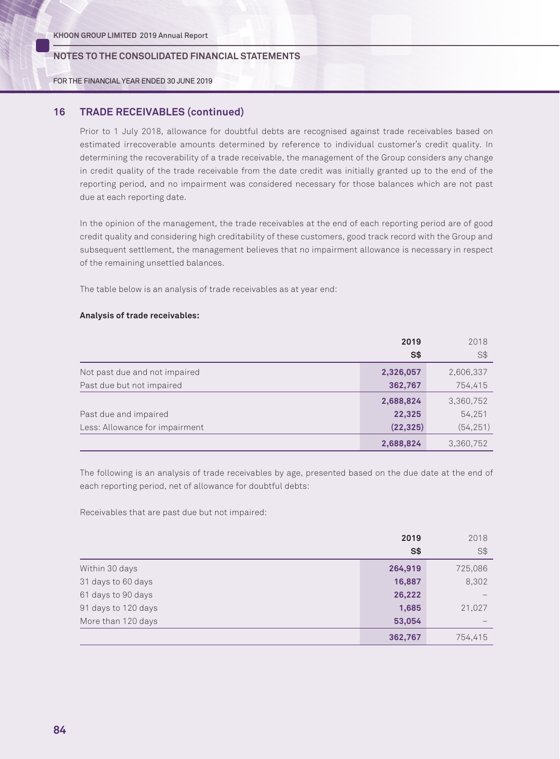FOR THE FINANCIAL YEAR ENDED 30 JUNE 2019

## **16 TRADE RECEIVABLES (continued)**

Prior to 1 July 2018, allowance for doubtful debts are recognised against trade receivables based on estimated irrecoverable amounts determined by reference to individual customer's credit quality. In determining the recoverability of a trade receivable, the management of the Group considers any change in credit quality of the trade receivable from the date credit was initially granted up to the end of the reporting period, and no impairment was considered necessary for those balances which are not past due at each reporting date.

In the opinion of the management, the trade receivables at the end of each reporting period are of good credit quality and considering high creditability of these customers, good track record with the Group and subsequent settlement, the management believes that no impairment allowance is necessary in respect of the remaining unsettled balances.

The table below is an analysis of trade receivables as at year end:

#### **Analysis of trade receivables:**

|                                | 2019      | 2018      |
|--------------------------------|-----------|-----------|
|                                | S\$       | S\$       |
| Not past due and not impaired  | 2,326,057 | 2,606,337 |
| Past due but not impaired      | 362,767   | 754,415   |
|                                | 2,688,824 | 3,360,752 |
| Past due and impaired          | 22,325    | 54,251    |
| Less: Allowance for impairment | (22, 325) | (54, 251) |
|                                | 2,688,824 | 3,360,752 |

The following is an analysis of trade receivables by age, presented based on the due date at the end of each reporting period, net of allowance for doubtful debts:

Receivables that are past due but not impaired:

|                     | 2019    | 2018    |
|---------------------|---------|---------|
|                     | $S*$    | $S$ \$  |
| Within 30 days      | 264,919 | 725,086 |
| 31 days to 60 days  | 16,887  | 8,302   |
| 61 days to 90 days  | 26,222  |         |
| 91 days to 120 days | 1,685   | 21,027  |
| More than 120 days  | 53,054  |         |
|                     | 362,767 | 754,415 |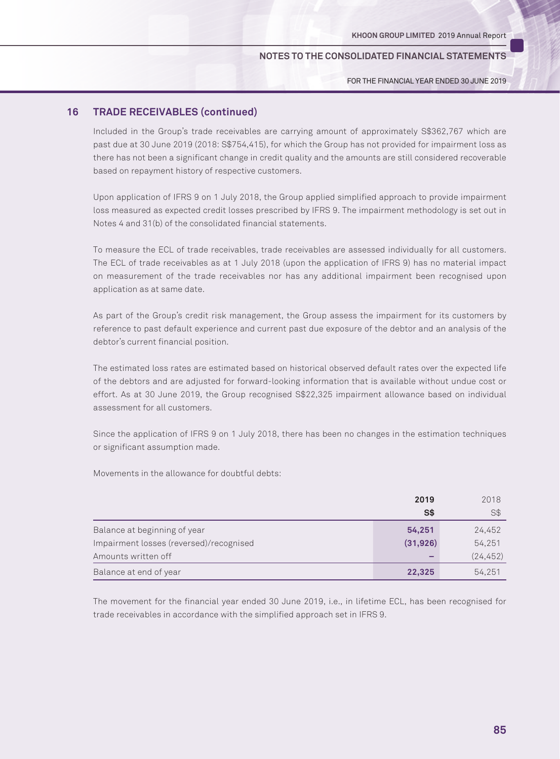FOR THE FINANCIAL YEAR ENDED 30 JUNE 2019

## **16 TRADE RECEIVABLES (continued)**

Included in the Group's trade receivables are carrying amount of approximately S\$362,767 which are past due at 30 June 2019 (2018: S\$754,415), for which the Group has not provided for impairment loss as there has not been a significant change in credit quality and the amounts are still considered recoverable based on repayment history of respective customers.

Upon application of IFRS 9 on 1 July 2018, the Group applied simplified approach to provide impairment loss measured as expected credit losses prescribed by IFRS 9. The impairment methodology is set out in Notes 4 and 31(b) of the consolidated financial statements.

To measure the ECL of trade receivables, trade receivables are assessed individually for all customers. The ECL of trade receivables as at 1 July 2018 (upon the application of IFRS 9) has no material impact on measurement of the trade receivables nor has any additional impairment been recognised upon application as at same date.

As part of the Group's credit risk management, the Group assess the impairment for its customers by reference to past default experience and current past due exposure of the debtor and an analysis of the debtor's current financial position.

The estimated loss rates are estimated based on historical observed default rates over the expected life of the debtors and are adjusted for forward-looking information that is available without undue cost or effort. As at 30 June 2019, the Group recognised S\$22,325 impairment allowance based on individual assessment for all customers.

Since the application of IFRS 9 on 1 July 2018, there has been no changes in the estimation techniques or significant assumption made.

Movements in the allowance for doubtful debts:

|                                         | 2019      | 2018      |
|-----------------------------------------|-----------|-----------|
|                                         | S\$       | S\$       |
| Balance at beginning of year            | 54,251    | 24.452    |
| Impairment losses (reversed)/recognised | (31, 926) | 54.251    |
| Amounts written off                     |           | (24, 452) |
| Balance at end of year                  | 22,325    | 54.251    |

The movement for the financial year ended 30 June 2019, i.e., in lifetime ECL, has been recognised for trade receivables in accordance with the simplified approach set in IFRS 9.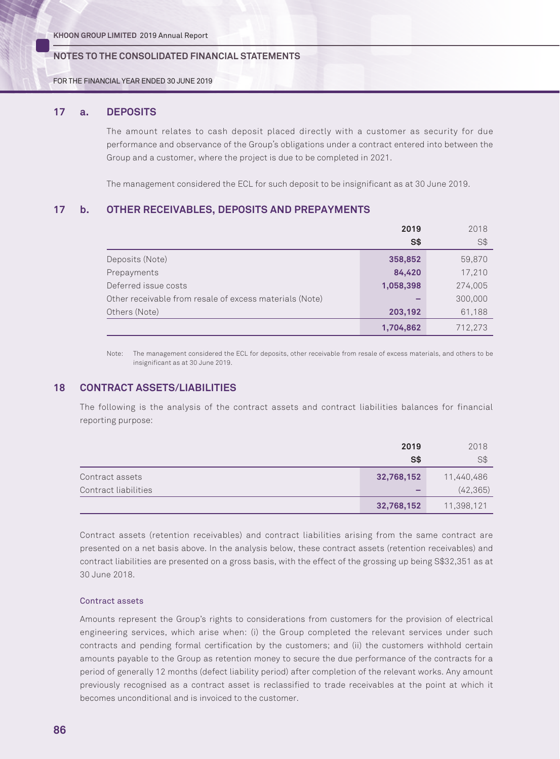FOR THE FINANCIAL YEAR ENDED 30 JUNE 2019

## **17 a. DEPOSITS**

The amount relates to cash deposit placed directly with a customer as security for due performance and observance of the Group's obligations under a contract entered into between the Group and a customer, where the project is due to be completed in 2021.

The management considered the ECL for such deposit to be insignificant as at 30 June 2019.

### **17 b. OTHER RECEIVABLES, DEPOSITS AND PREPAYMENTS**

|                                                         | 2019      | 2018    |
|---------------------------------------------------------|-----------|---------|
|                                                         | S\$       | S\$     |
| Deposits (Note)                                         | 358,852   | 59,870  |
| Prepayments                                             | 84,420    | 17,210  |
| Deferred issue costs                                    | 1,058,398 | 274,005 |
| Other receivable from resale of excess materials (Note) |           | 300,000 |
| Others (Note)                                           | 203,192   | 61,188  |
|                                                         | 1,704,862 | 712,273 |

Note: The management considered the ECL for deposits, other receivable from resale of excess materials, and others to be insignificant as at 30 June 2019.

# **18 CONTRACT ASSETS/LIABILITIES**

The following is the analysis of the contract assets and contract liabilities balances for financial reporting purpose:

|                      | 2019       | 2018       |
|----------------------|------------|------------|
|                      | S\$        | S\$        |
| Contract assets      | 32,768,152 | 11,440,486 |
| Contract liabilities |            | (42, 365)  |
|                      | 32,768,152 | 11,398,121 |

Contract assets (retention receivables) and contract liabilities arising from the same contract are presented on a net basis above. In the analysis below, these contract assets (retention receivables) and contract liabilities are presented on a gross basis, with the effect of the grossing up being S\$32,351 as at 30 June 2018.

#### Contract assets

Amounts represent the Group's rights to considerations from customers for the provision of electrical engineering services, which arise when: (i) the Group completed the relevant services under such contracts and pending formal certification by the customers; and (ii) the customers withhold certain amounts payable to the Group as retention money to secure the due performance of the contracts for a period of generally 12 months (defect liability period) after completion of the relevant works. Any amount previously recognised as a contract asset is reclassified to trade receivables at the point at which it becomes unconditional and is invoiced to the customer.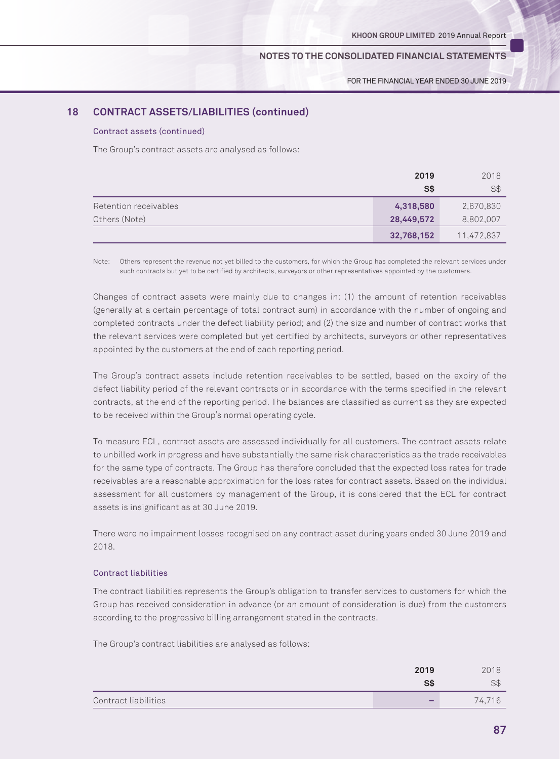FOR THE FINANCIAL YEAR ENDED 30 JUNE 2019

# **18 CONTRACT ASSETS/LIABILITIES (continued)**

### Contract assets (continued)

The Group's contract assets are analysed as follows:

|                       | 2019       | 2018       |
|-----------------------|------------|------------|
|                       | S\$        | S\$        |
| Retention receivables | 4,318,580  | 2,670,830  |
| Others (Note)         | 28,449,572 | 8,802,007  |
|                       | 32,768,152 | 11,472,837 |

Note: Others represent the revenue not yet billed to the customers, for which the Group has completed the relevant services under such contracts but yet to be certified by architects, surveyors or other representatives appointed by the customers.

Changes of contract assets were mainly due to changes in: (1) the amount of retention receivables (generally at a certain percentage of total contract sum) in accordance with the number of ongoing and completed contracts under the defect liability period; and (2) the size and number of contract works that the relevant services were completed but yet certified by architects, surveyors or other representatives appointed by the customers at the end of each reporting period.

The Group's contract assets include retention receivables to be settled, based on the expiry of the defect liability period of the relevant contracts or in accordance with the terms specified in the relevant contracts, at the end of the reporting period. The balances are classified as current as they are expected to be received within the Group's normal operating cycle.

To measure ECL, contract assets are assessed individually for all customers. The contract assets relate to unbilled work in progress and have substantially the same risk characteristics as the trade receivables for the same type of contracts. The Group has therefore concluded that the expected loss rates for trade receivables are a reasonable approximation for the loss rates for contract assets. Based on the individual assessment for all customers by management of the Group, it is considered that the ECL for contract assets is insignificant as at 30 June 2019.

There were no impairment losses recognised on any contract asset during years ended 30 June 2019 and 2018.

## Contract liabilities

The contract liabilities represents the Group's obligation to transfer services to customers for which the Group has received consideration in advance (or an amount of consideration is due) from the customers according to the progressive billing arrangement stated in the contracts.

The Group's contract liabilities are analysed as follows:

|                      | 2019 | 2018   |
|----------------------|------|--------|
|                      | S\$  | S\$    |
| Contract liabilities | -    | 74,716 |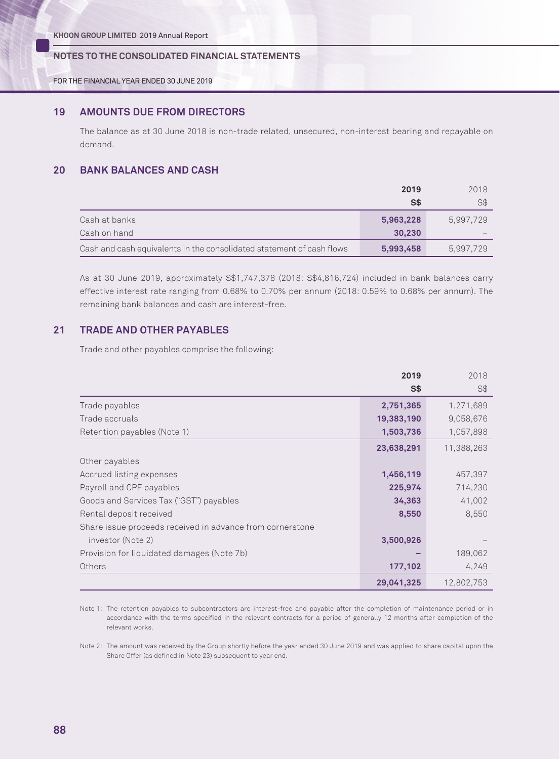FOR THE FINANCIAL YEAR ENDED 30 JUNE 2019

### **19 AMOUNTS DUE FROM DIRECTORS**

The balance as at 30 June 2018 is non-trade related, unsecured, non-interest bearing and repayable on demand.

# **20 BANK BALANCES AND CASH**

|                                                                       | 2019      | 2018      |
|-----------------------------------------------------------------------|-----------|-----------|
|                                                                       | S\$       | S\$       |
| Cash at banks                                                         | 5,963,228 | 5,997,729 |
| Cash on hand                                                          | 30,230    |           |
| Cash and cash equivalents in the consolidated statement of cash flows | 5,993,458 | 5,997,729 |

As at 30 June 2019, approximately S\$1,747,378 (2018: S\$4,816,724) included in bank balances carry effective interest rate ranging from 0.68% to 0.70% per annum (2018: 0.59% to 0.68% per annum). The remaining bank balances and cash are interest-free.

# **21 TRADE AND OTHER PAYABLES**

Trade and other payables comprise the following:

|                                                           | 2019           | 2018       |
|-----------------------------------------------------------|----------------|------------|
|                                                           | S <sub>3</sub> | S\$        |
| Trade payables                                            | 2,751,365      | 1,271,689  |
| Trade accruals                                            | 19,383,190     | 9,058,676  |
| Retention payables (Note 1)                               | 1,503,736      | 1,057,898  |
|                                                           | 23,638,291     | 11,388,263 |
| Other payables                                            |                |            |
| Accrued listing expenses                                  | 1,456,119      | 457,397    |
| Payroll and CPF payables                                  | 225,974        | 714,230    |
| Goods and Services Tax ("GST") payables                   | 34,363         | 41,002     |
| Rental deposit received                                   | 8,550          | 8,550      |
| Share issue proceeds received in advance from cornerstone |                |            |
| investor (Note 2)                                         | 3,500,926      |            |
| Provision for liquidated damages (Note 7b)                |                | 189,062    |
| Others                                                    | 177,102        | 4,249      |
|                                                           | 29,041,325     | 12,802,753 |

Note 1: The retention payables to subcontractors are interest-free and payable after the completion of maintenance period or in accordance with the terms specified in the relevant contracts for a period of generally 12 months after completion of the relevant works.

Note 2: The amount was received by the Group shortly before the year ended 30 June 2019 and was applied to share capital upon the Share Offer (as defined in Note 23) subsequent to year end.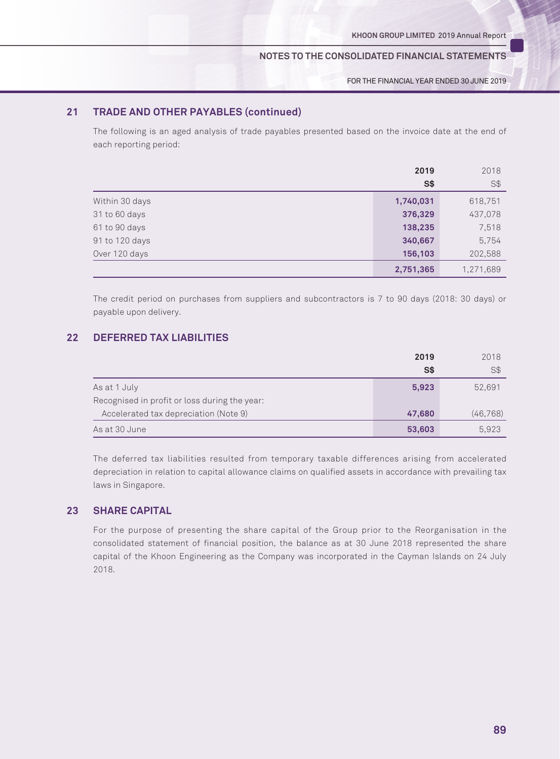FOR THE FINANCIAL YEAR ENDED 30 JUNE 2019

# **21 TRADE AND OTHER PAYABLES (continued)**

The following is an aged analysis of trade payables presented based on the invoice date at the end of each reporting period:

|                | 2019      | 2018      |
|----------------|-----------|-----------|
|                | $S*$      | $S$ \$    |
| Within 30 days | 1,740,031 | 618,751   |
| 31 to 60 days  | 376,329   | 437,078   |
| 61 to 90 days  | 138,235   | 7,518     |
| 91 to 120 days | 340,667   | 5,754     |
| Over 120 days  | 156,103   | 202,588   |
|                | 2,751,365 | 1,271,689 |

The credit period on purchases from suppliers and subcontractors is 7 to 90 days (2018: 30 days) or payable upon delivery.

# **22 DEFERRED TAX LIABILITIES**

|                                               | 2019   | 2018      |
|-----------------------------------------------|--------|-----------|
|                                               | S\$    | S\$       |
| As at 1 July                                  | 5,923  | 52,691    |
| Recognised in profit or loss during the year: |        |           |
| Accelerated tax depreciation (Note 9)         | 47,680 | (46, 768) |
| As at 30 June                                 | 53,603 | 5,923     |

The deferred tax liabilities resulted from temporary taxable differences arising from accelerated depreciation in relation to capital allowance claims on qualified assets in accordance with prevailing tax laws in Singapore.

# **23 SHARE CAPITAL**

For the purpose of presenting the share capital of the Group prior to the Reorganisation in the consolidated statement of financial position, the balance as at 30 June 2018 represented the share capital of the Khoon Engineering as the Company was incorporated in the Cayman Islands on 24 July 2018.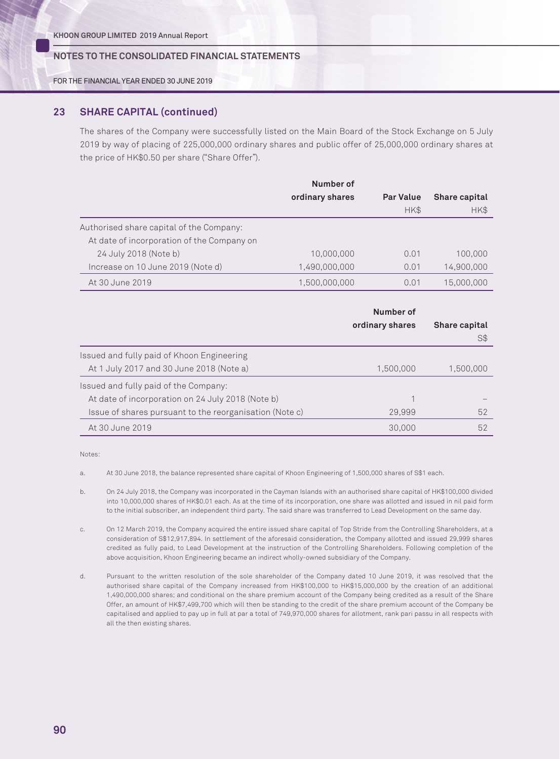FOR THE FINANCIAL YEAR ENDED 30 JUNE 2019

## **23 SHARE CAPITAL (continued)**

The shares of the Company were successfully listed on the Main Board of the Stock Exchange on 5 July 2019 by way of placing of 225,000,000 ordinary shares and public offer of 25,000,000 ordinary shares at the price of HK\$0.50 per share ("Share Offer").

|                                            | Number of       |                  |               |
|--------------------------------------------|-----------------|------------------|---------------|
|                                            | ordinary shares | <b>Par Value</b> | Share capital |
|                                            |                 | HK\$             | HK\$          |
| Authorised share capital of the Company:   |                 |                  |               |
| At date of incorporation of the Company on |                 |                  |               |
| 24 July 2018 (Note b)                      | 10,000,000      | 0.01             | 100,000       |
| Increase on 10 June 2019 (Note d)          | 1,490,000,000   | 0.01             | 14.900.000    |
| At 30 June 2019                            | 1,500,000,000   | 0.01             | 15.000.000    |

|                                                                                                                                                       | Number of<br>ordinary shares | Share capital<br>S\$ |
|-------------------------------------------------------------------------------------------------------------------------------------------------------|------------------------------|----------------------|
| Issued and fully paid of Khoon Engineering<br>At 1 July 2017 and 30 June 2018 (Note a)                                                                | 1.500.000                    | 1.500.000            |
| Issued and fully paid of the Company:<br>At date of incorporation on 24 July 2018 (Note b)<br>Issue of shares pursuant to the reorganisation (Note c) | 29,999                       | 52                   |
| At 30 June 2019                                                                                                                                       | 30,000                       | 52                   |

Notes:

a. At 30 June 2018, the balance represented share capital of Khoon Engineering of 1,500,000 shares of S\$1 each.

- b. On 24 July 2018, the Company was incorporated in the Cayman Islands with an authorised share capital of HK\$100,000 divided into 10,000,000 shares of HK\$0.01 each. As at the time of its incorporation, one share was allotted and issued in nil paid form to the initial subscriber, an independent third party. The said share was transferred to Lead Development on the same day.
- c. On 12 March 2019, the Company acquired the entire issued share capital of Top Stride from the Controlling Shareholders, at a consideration of S\$12,917,894. In settlement of the aforesaid consideration, the Company allotted and issued 29,999 shares credited as fully paid, to Lead Development at the instruction of the Controlling Shareholders. Following completion of the above acquisition, Khoon Engineering became an indirect wholly-owned subsidiary of the Company.
- d. Pursuant to the written resolution of the sole shareholder of the Company dated 10 June 2019, it was resolved that the authorised share capital of the Company increased from HK\$100,000 to HK\$15,000,000 by the creation of an additional 1,490,000,000 shares; and conditional on the share premium account of the Company being credited as a result of the Share Offer, an amount of HK\$7,499,700 which will then be standing to the credit of the share premium account of the Company be capitalised and applied to pay up in full at par a total of 749,970,000 shares for allotment, rank pari passu in all respects with all the then existing shares.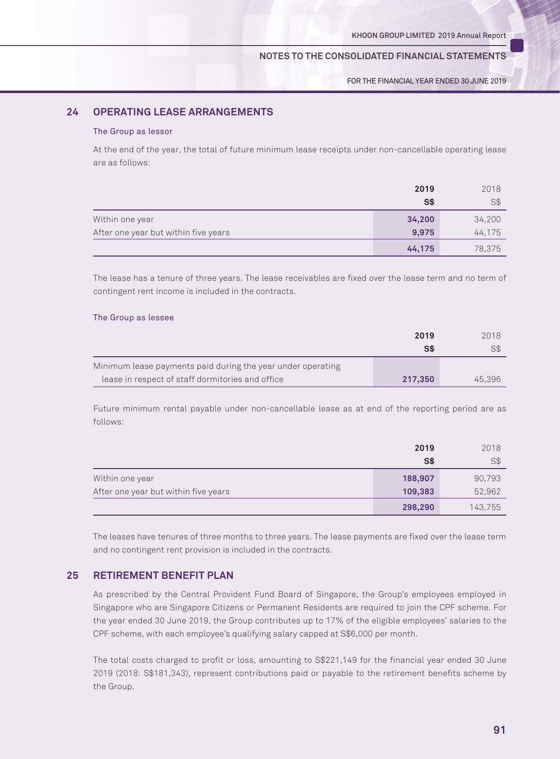FOR THE FINANCIAL YEAR ENDED 30 JUNE 2019

# **24 OPERATING LEASE ARRANGEMENTS**

#### The Group as lessor

At the end of the year, the total of future minimum lease receipts under non-cancellable operating lease are as follows:

|                                      | 2019   | 2018   |
|--------------------------------------|--------|--------|
|                                      | S\$    | S\$    |
| Within one year                      | 34,200 | 34,200 |
| After one year but within five years | 9,975  | 44,175 |
|                                      | 44,175 | 78,375 |

The lease has a tenure of three years. The lease receivables are fixed over the lease term and no term of contingent rent income is included in the contracts.

#### The Group as lessee

|                                                             | 2019    | 2018   |
|-------------------------------------------------------------|---------|--------|
|                                                             | S\$     | SS     |
| Minimum lease payments paid during the year under operating |         |        |
| lease in respect of staff dormitories and office            | 217,350 | 45.396 |

Future minimum rental payable under non-cancellable lease as at end of the reporting period are as follows:

|                                      | 2019    | 2018    |
|--------------------------------------|---------|---------|
|                                      | S\$     | S\$     |
| Within one year                      | 188,907 | 90,793  |
| After one year but within five years | 109,383 | 52,962  |
|                                      | 298,290 | 143,755 |

The leases have tenures of three months to three years. The lease payments are fixed over the lease term and no contingent rent provision is included in the contracts.

## **25 RETIREMENT BENEFIT PLAN**

As prescribed by the Central Provident Fund Board of Singapore, the Group's employees employed in Singapore who are Singapore Citizens or Permanent Residents are required to join the CPF scheme. For the year ended 30 June 2019, the Group contributes up to 17% of the eligible employees' salaries to the CPF scheme, with each employee's qualifying salary capped at S\$6,000 per month.

The total costs charged to profit or loss, amounting to S\$221,149 for the financial year ended 30 June 2019 (2018: S\$181,343), represent contributions paid or payable to the retirement benefits scheme by the Group.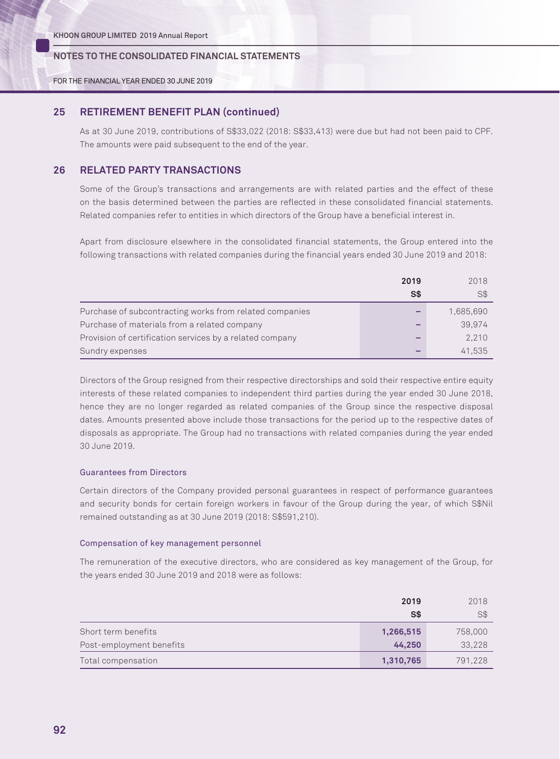FOR THE FINANCIAL YEAR ENDED 30 JUNE 2019

## **25 RETIREMENT BENEFIT PLAN (continued)**

As at 30 June 2019, contributions of S\$33,022 (2018: S\$33,413) were due but had not been paid to CPF. The amounts were paid subsequent to the end of the year.

# **26 RELATED PARTY TRANSACTIONS**

Some of the Group's transactions and arrangements are with related parties and the effect of these on the basis determined between the parties are reflected in these consolidated financial statements. Related companies refer to entities in which directors of the Group have a beneficial interest in.

Apart from disclosure elsewhere in the consolidated financial statements, the Group entered into the following transactions with related companies during the financial years ended 30 June 2019 and 2018:

|                                                          | 2019 | 2018      |
|----------------------------------------------------------|------|-----------|
|                                                          | S\$  | S\$       |
| Purchase of subcontracting works from related companies  |      | 1,685,690 |
| Purchase of materials from a related company             |      | 39.974    |
| Provision of certification services by a related company |      | 2.210     |
| Sundry expenses                                          |      | 41,535    |

Directors of the Group resigned from their respective directorships and sold their respective entire equity interests of these related companies to independent third parties during the year ended 30 June 2018, hence they are no longer regarded as related companies of the Group since the respective disposal dates. Amounts presented above include those transactions for the period up to the respective dates of disposals as appropriate. The Group had no transactions with related companies during the year ended 30 June 2019.

## Guarantees from Directors

Certain directors of the Company provided personal guarantees in respect of performance guarantees and security bonds for certain foreign workers in favour of the Group during the year, of which S\$Nil remained outstanding as at 30 June 2019 (2018: S\$591,210).

### Compensation of key management personnel

The remuneration of the executive directors, who are considered as key management of the Group, for the years ended 30 June 2019 and 2018 were as follows:

|                                                | 2019<br>S\$         | 2018<br><b>S\$</b> |
|------------------------------------------------|---------------------|--------------------|
| Short term benefits                            | 1,266,515           | 758,000            |
| Post-employment benefits<br>Total compensation | 44,250<br>1,310,765 | 33,228<br>791,228  |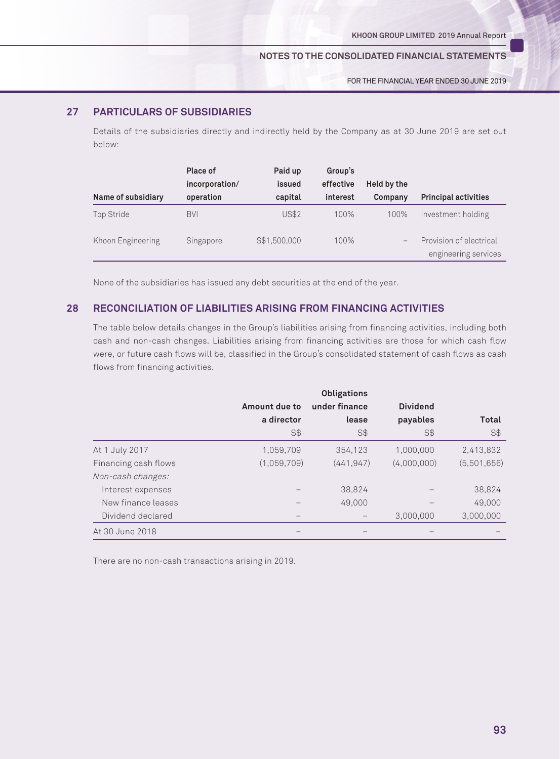FOR THE FINANCIAL YEAR ENDED 30 JUNE 2019

# **27 PARTICULARS OF SUBSIDIARIES**

Details of the subsidiaries directly and indirectly held by the Company as at 30 June 2019 are set out below:

| Name of subsidiary | Place of<br>incorporation/<br>operation | Paid up<br>issued<br>capital | Group's<br>effective<br>interest | Held by the<br>Company   | <b>Principal activities</b>                     |
|--------------------|-----------------------------------------|------------------------------|----------------------------------|--------------------------|-------------------------------------------------|
| <b>Top Stride</b>  | BVI                                     | <b>US\$2</b>                 | 100%                             | 100%                     | Investment holding                              |
| Khoon Engineering  | Singapore                               | S\$1,500,000                 | 100%                             | $\overline{\phantom{m}}$ | Provision of electrical<br>engineering services |

None of the subsidiaries has issued any debt securities at the end of the year.

# **28 RECONCILIATION OF LIABILITIES ARISING FROM FINANCING ACTIVITIES**

The table below details changes in the Group's liabilities arising from financing activities, including both cash and non-cash changes. Liabilities arising from financing activities are those for which cash flow were, or future cash flows will be, classified in the Group's consolidated statement of cash flows as cash flows from financing activities.

|                      |               | <b>Obligations</b> |                 |             |
|----------------------|---------------|--------------------|-----------------|-------------|
|                      | Amount due to | under finance      | <b>Dividend</b> |             |
|                      | a director    | lease              | payables        | Total       |
|                      | $S$ \$        | S\$                | S\$             | S\$         |
| At 1 July 2017       | 1,059,709     | 354,123            | 1,000,000       | 2,413,832   |
| Financing cash flows | (1,059,709)   | (441.947)          | (4,000,000)     | (5,501,656) |
| Non-cash changes:    |               |                    |                 |             |
| Interest expenses    |               | 38.824             |                 | 38,824      |
| New finance leases   |               | 49,000             |                 | 49,000      |
| Dividend declared    |               |                    | 3,000,000       | 3,000,000   |
| At 30 June 2018      |               |                    |                 |             |

There are no non-cash transactions arising in 2019.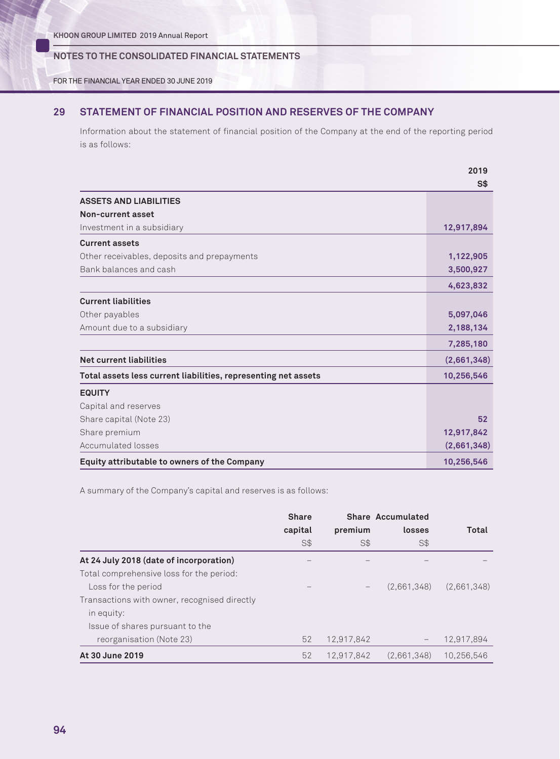FOR THE FINANCIAL YEAR ENDED 30 JUNE 2019

# **29 STATEMENT OF FINANCIAL POSITION AND RESERVES OF THE COMPANY**

Information about the statement of financial position of the Company at the end of the reporting period is as follows:

|                                                                | 2019           |
|----------------------------------------------------------------|----------------|
|                                                                | S <sub>3</sub> |
| <b>ASSETS AND LIABILITIES</b>                                  |                |
| Non-current asset                                              |                |
| Investment in a subsidiary                                     | 12,917,894     |
| <b>Current assets</b>                                          |                |
| Other receivables, deposits and prepayments                    | 1,122,905      |
| Bank balances and cash                                         | 3,500,927      |
|                                                                | 4,623,832      |
| <b>Current liabilities</b>                                     |                |
| Other payables                                                 | 5,097,046      |
| Amount due to a subsidiary                                     | 2,188,134      |
|                                                                | 7,285,180      |
| <b>Net current liabilities</b>                                 | (2,661,348)    |
| Total assets less current liabilities, representing net assets | 10,256,546     |
| <b>EQUITY</b>                                                  |                |
| Capital and reserves                                           |                |
| Share capital (Note 23)                                        | 52             |
| Share premium                                                  | 12,917,842     |
| Accumulated losses                                             | (2,661,348)    |
| Equity attributable to owners of the Company                   | 10,256,546     |

A summary of the Company's capital and reserves is as follows:

|                                              | <b>Share</b> | <b>Share Accumulated</b> |             |             |
|----------------------------------------------|--------------|--------------------------|-------------|-------------|
|                                              | capital      | premium                  | losses      | Total       |
|                                              | $S$ \$       | $S$ \$                   | S\$         |             |
| At 24 July 2018 (date of incorporation)      |              |                          |             |             |
| Total comprehensive loss for the period:     |              |                          |             |             |
| Loss for the period                          |              |                          | (2.661.348) | (2.661.348) |
| Transactions with owner, recognised directly |              |                          |             |             |
| in equity:                                   |              |                          |             |             |
| Issue of shares pursuant to the              |              |                          |             |             |
| reorganisation (Note 23)                     | 52           | 12,917,842               |             | 12,917,894  |
| At 30 June 2019                              | 52           | 12,917,842               | (2,661,348) | 10.256.546  |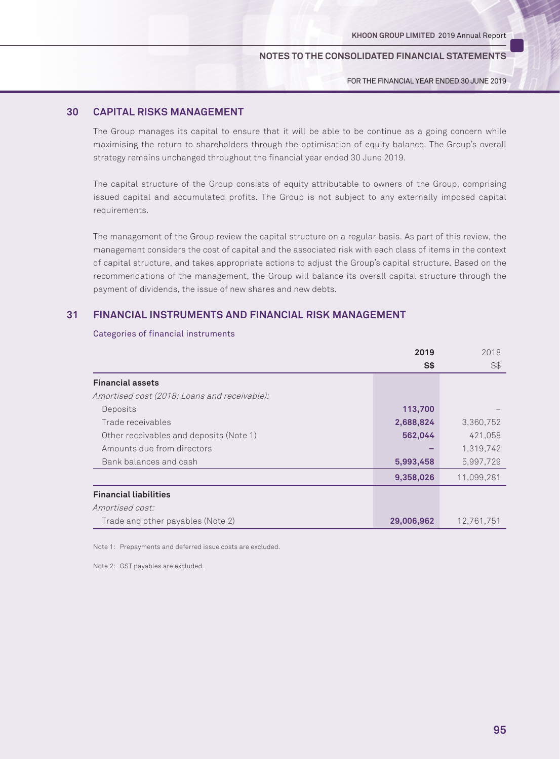FOR THE FINANCIAL YEAR ENDED 30 JUNE 2019

# **30 CAPITAL RISKS MANAGEMENT**

The Group manages its capital to ensure that it will be able to be continue as a going concern while maximising the return to shareholders through the optimisation of equity balance. The Group's overall strategy remains unchanged throughout the financial year ended 30 June 2019.

The capital structure of the Group consists of equity attributable to owners of the Group, comprising issued capital and accumulated profits. The Group is not subject to any externally imposed capital requirements.

The management of the Group review the capital structure on a regular basis. As part of this review, the management considers the cost of capital and the associated risk with each class of items in the context of capital structure, and takes appropriate actions to adjust the Group's capital structure. Based on the recommendations of the management, the Group will balance its overall capital structure through the payment of dividends, the issue of new shares and new debts.

## **31 FINANCIAL INSTRUMENTS AND FINANCIAL RISK MANAGEMENT**

Categories of financial instruments

|                                              | 2019       | 2018       |
|----------------------------------------------|------------|------------|
|                                              | S\$        | S\$        |
| <b>Financial assets</b>                      |            |            |
| Amortised cost (2018: Loans and receivable): |            |            |
| Deposits                                     | 113,700    |            |
| Trade receivables                            | 2,688,824  | 3,360,752  |
| Other receivables and deposits (Note 1)      | 562,044    | 421,058    |
| Amounts due from directors                   |            | 1,319,742  |
| Bank balances and cash                       | 5,993,458  | 5,997,729  |
|                                              | 9,358,026  | 11,099,281 |
| <b>Financial liabilities</b>                 |            |            |
| Amortised cost:                              |            |            |
| Trade and other payables (Note 2)            | 29,006,962 | 12.761.751 |

Note 1: Prepayments and deferred issue costs are excluded.

Note 2: GST payables are excluded.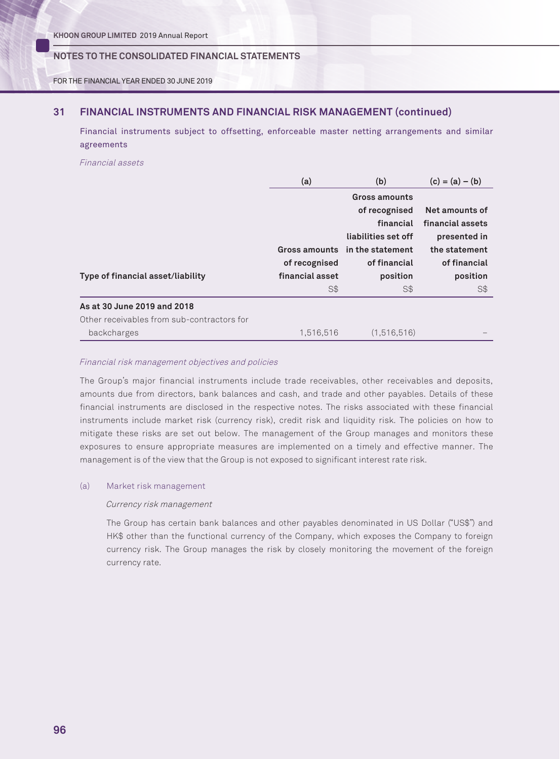FOR THE FINANCIAL YEAR ENDED 30 JUNE 2019

## **31 FINANCIAL INSTRUMENTS AND FINANCIAL RISK MANAGEMENT (continued)**

Financial instruments subject to offsetting, enforceable master netting arrangements and similar agreements

Financial assets

|                                            | (a)             | (b)                            | $(c) = (a) - (b)$ |
|--------------------------------------------|-----------------|--------------------------------|-------------------|
|                                            |                 | Gross amounts                  |                   |
|                                            |                 | of recognised                  | Net amounts of    |
|                                            |                 | financial                      | financial assets  |
|                                            |                 | liabilities set off            | presented in      |
|                                            |                 | Gross amounts in the statement | the statement     |
|                                            | of recognised   | of financial                   | of financial      |
| Type of financial asset/liability          | financial asset | position                       | position          |
|                                            | S\$             | $S$ \$                         | S\$               |
| As at 30 June 2019 and 2018                |                 |                                |                   |
| Other receivables from sub-contractors for |                 |                                |                   |
| backcharges                                | 1.516.516       | (1,516,516)                    |                   |

### Financial risk management objectives and policies

The Group's major financial instruments include trade receivables, other receivables and deposits, amounts due from directors, bank balances and cash, and trade and other payables. Details of these financial instruments are disclosed in the respective notes. The risks associated with these financial instruments include market risk (currency risk), credit risk and liquidity risk. The policies on how to mitigate these risks are set out below. The management of the Group manages and monitors these exposures to ensure appropriate measures are implemented on a timely and effective manner. The management is of the view that the Group is not exposed to significant interest rate risk.

### (a) Market risk management

### Currency risk management

The Group has certain bank balances and other payables denominated in US Dollar ("US\$") and HK\$ other than the functional currency of the Company, which exposes the Company to foreign currency risk. The Group manages the risk by closely monitoring the movement of the foreign currency rate.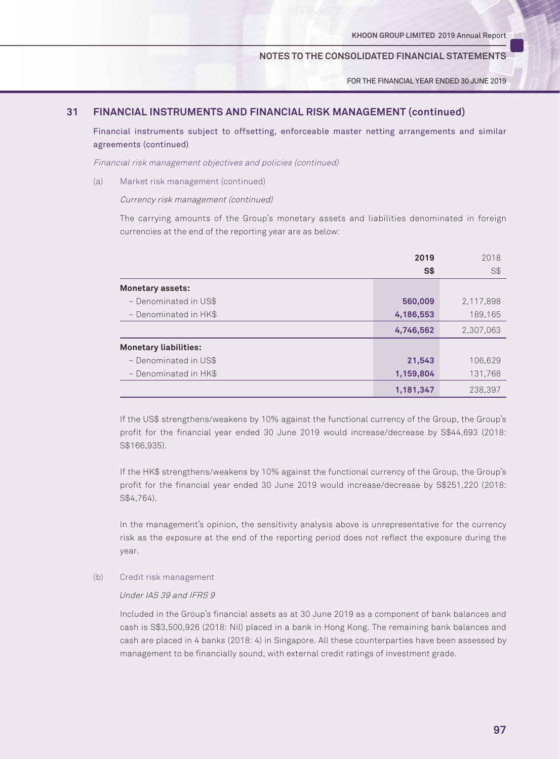FOR THE FINANCIAL YEAR ENDED 30 JUNE 2019

## **31 FINANCIAL INSTRUMENTS AND FINANCIAL RISK MANAGEMENT (continued)**

Financial instruments subject to offsetting, enforceable master netting arrangements and similar agreements (continued)

Financial risk management objectives and policies (continued)

(a) Market risk management (continued)

Currency risk management (continued)

The carrying amounts of the Group's monetary assets and liabilities denominated in foreign currencies at the end of the reporting year are as below:

|                              | 2019      | 2018      |
|------------------------------|-----------|-----------|
|                              | $S*$      | S\$       |
| <b>Monetary assets:</b>      |           |           |
| - Denominated in US\$        | 560,009   | 2,117,898 |
| - Denominated in HK\$        | 4,186,553 | 189,165   |
|                              | 4,746,562 | 2,307,063 |
| <b>Monetary liabilities:</b> |           |           |
| - Denominated in US\$        | 21,543    | 106,629   |
| - Denominated in HK\$        | 1,159,804 | 131,768   |
|                              | 1,181,347 | 238,397   |

If the US\$ strengthens/weakens by 10% against the functional currency of the Group, the Group's profit for the financial year ended 30 June 2019 would increase/decrease by S\$44,693 (2018: S\$166,935).

If the HK\$ strengthens/weakens by 10% against the functional currency of the Group, the Group's profit for the financial year ended 30 June 2019 would increase/decrease by S\$251,220 (2018: S\$4,764).

In the management's opinion, the sensitivity analysis above is unrepresentative for the currency risk as the exposure at the end of the reporting period does not reflect the exposure during the year.

### (b) Credit risk management

### Under IAS 39 and IFRS 9

Included in the Group's financial assets as at 30 June 2019 as a component of bank balances and cash is S\$3,500,926 (2018: Nil) placed in a bank in Hong Kong. The remaining bank balances and cash are placed in 4 banks (2018: 4) in Singapore. All these counterparties have been assessed by management to be financially sound, with external credit ratings of investment grade.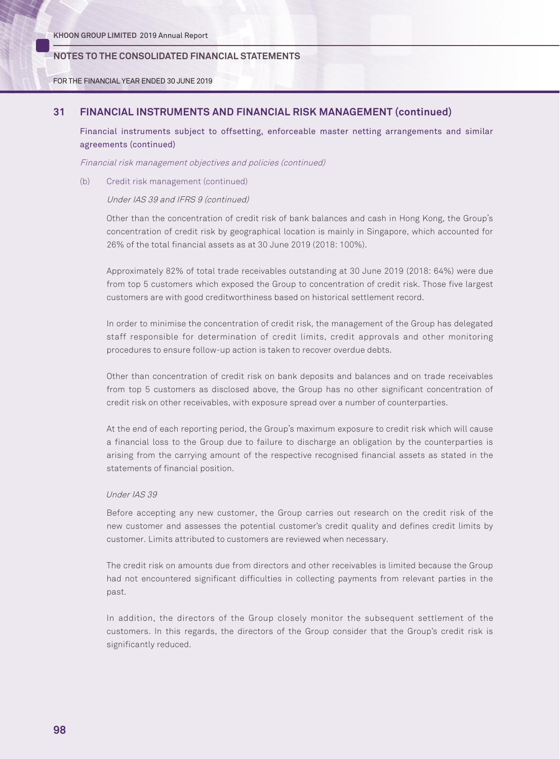FOR THE FINANCIAL YEAR ENDED 30 JUNE 2019

## **31 FINANCIAL INSTRUMENTS AND FINANCIAL RISK MANAGEMENT (continued)**

Financial instruments subject to offsetting, enforceable master netting arrangements and similar agreements (continued)

Financial risk management objectives and policies (continued)

### (b) Credit risk management (continued)

### Under IAS 39 and IFRS 9 (continued)

Other than the concentration of credit risk of bank balances and cash in Hong Kong, the Group's concentration of credit risk by geographical location is mainly in Singapore, which accounted for 26% of the total financial assets as at 30 June 2019 (2018: 100%).

Approximately 82% of total trade receivables outstanding at 30 June 2019 (2018: 64%) were due from top 5 customers which exposed the Group to concentration of credit risk. Those five largest customers are with good creditworthiness based on historical settlement record.

In order to minimise the concentration of credit risk, the management of the Group has delegated staff responsible for determination of credit limits, credit approvals and other monitoring procedures to ensure follow-up action is taken to recover overdue debts.

Other than concentration of credit risk on bank deposits and balances and on trade receivables from top 5 customers as disclosed above, the Group has no other significant concentration of credit risk on other receivables, with exposure spread over a number of counterparties.

At the end of each reporting period, the Group's maximum exposure to credit risk which will cause a financial loss to the Group due to failure to discharge an obligation by the counterparties is arising from the carrying amount of the respective recognised financial assets as stated in the statements of financial position.

### Under IAS 39

Before accepting any new customer, the Group carries out research on the credit risk of the new customer and assesses the potential customer's credit quality and defines credit limits by customer. Limits attributed to customers are reviewed when necessary.

The credit risk on amounts due from directors and other receivables is limited because the Group had not encountered significant difficulties in collecting payments from relevant parties in the past.

In addition, the directors of the Group closely monitor the subsequent settlement of the customers. In this regards, the directors of the Group consider that the Group's credit risk is significantly reduced.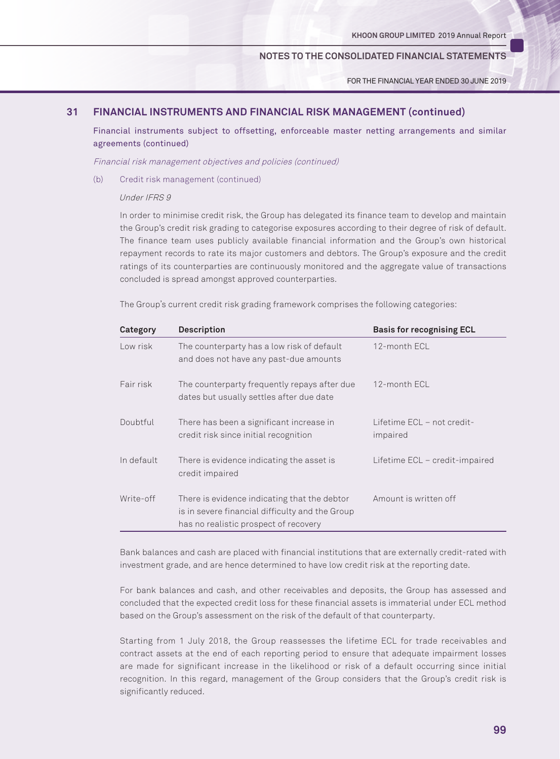FOR THE FINANCIAL YEAR ENDED 30 JUNE 2019

### **31 FINANCIAL INSTRUMENTS AND FINANCIAL RISK MANAGEMENT (continued)**

Financial instruments subject to offsetting, enforceable master netting arrangements and similar agreements (continued)

Financial risk management objectives and policies (continued)

(b) Credit risk management (continued)

#### Under IFRS 9

In order to minimise credit risk, the Group has delegated its finance team to develop and maintain the Group's credit risk grading to categorise exposures according to their degree of risk of default. The finance team uses publicly available financial information and the Group's own historical repayment records to rate its major customers and debtors. The Group's exposure and the credit ratings of its counterparties are continuously monitored and the aggregate value of transactions concluded is spread amongst approved counterparties.

The Group's current credit risk grading framework comprises the following categories:

| Category   | <b>Description</b>                                                                                                                       | <b>Basis for recognising ECL</b>       |
|------------|------------------------------------------------------------------------------------------------------------------------------------------|----------------------------------------|
| Low risk   | The counterparty has a low risk of default<br>and does not have any past-due amounts                                                     | 12-month ECL                           |
| Fair risk  | The counterparty frequently repays after due<br>dates but usually settles after due date                                                 | 12-month ECL                           |
| Doubtful   | There has been a significant increase in<br>credit risk since initial recognition                                                        | Lifetime ECL - not credit-<br>impaired |
| In default | There is evidence indicating the asset is<br>credit impaired                                                                             | Lifetime ECL – credit-impaired         |
| Write-off  | There is evidence indicating that the debtor<br>is in severe financial difficulty and the Group<br>has no realistic prospect of recovery | Amount is written off                  |

Bank balances and cash are placed with financial institutions that are externally credit-rated with investment grade, and are hence determined to have low credit risk at the reporting date.

For bank balances and cash, and other receivables and deposits, the Group has assessed and concluded that the expected credit loss for these financial assets is immaterial under ECL method based on the Group's assessment on the risk of the default of that counterparty.

Starting from 1 July 2018, the Group reassesses the lifetime ECL for trade receivables and contract assets at the end of each reporting period to ensure that adequate impairment losses are made for significant increase in the likelihood or risk of a default occurring since initial recognition. In this regard, management of the Group considers that the Group's credit risk is significantly reduced.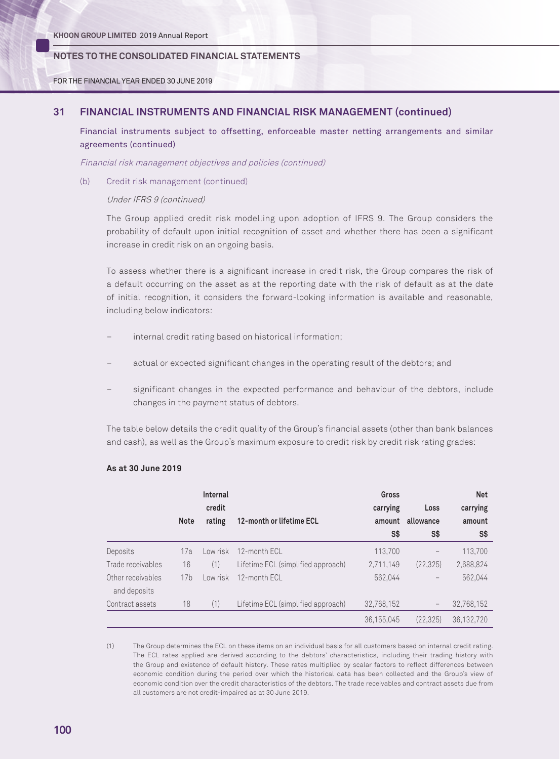FOR THE FINANCIAL YEAR ENDED 30 JUNE 2019

## **31 FINANCIAL INSTRUMENTS AND FINANCIAL RISK MANAGEMENT (continued)**

Financial instruments subject to offsetting, enforceable master netting arrangements and similar agreements (continued)

Financial risk management objectives and policies (continued)

(b) Credit risk management (continued)

### Under IFRS 9 (continued)

The Group applied credit risk modelling upon adoption of IFRS 9. The Group considers the probability of default upon initial recognition of asset and whether there has been a significant increase in credit risk on an ongoing basis.

To assess whether there is a significant increase in credit risk, the Group compares the risk of a default occurring on the asset as at the reporting date with the risk of default as at the date of initial recognition, it considers the forward-looking information is available and reasonable, including below indicators:

- internal credit rating based on historical information;
- actual or expected significant changes in the operating result of the debtors; and
- significant changes in the expected performance and behaviour of the debtors, include changes in the payment status of debtors.

The table below details the credit quality of the Group's financial assets (other than bank balances and cash), as well as the Group's maximum exposure to credit risk by credit risk rating grades:

|                                   |                 | Internal |                                    | Gross        |                  | <b>Net</b> |
|-----------------------------------|-----------------|----------|------------------------------------|--------------|------------------|------------|
|                                   |                 | credit   |                                    | carrying     | Loss             | carrying   |
|                                   | <b>Note</b>     | rating   | 12-month or lifetime ECL           |              | amount allowance | amount     |
|                                   |                 |          |                                    | S\$          | S\$              | S\$        |
| Deposits                          | 17a             | Low risk | 12-month ECL                       | 113,700      |                  | 113,700    |
| Trade receivables                 | 16              | (1)      | Lifetime ECL (simplified approach) | 2.711.149    | (22, 325)        | 2,688,824  |
| Other receivables<br>and deposits | 17 <sub>b</sub> | Low risk | 12-month FCL                       | 562.044      |                  | 562,044    |
| Contract assets                   | 18              | (1)      | Lifetime ECL (simplified approach) | 32,768,152   |                  | 32,768,152 |
|                                   |                 |          |                                    | 36, 155, 045 | (22, 325)        | 36,132,720 |

### **As at 30 June 2019**

(1) The Group determines the ECL on these items on an individual basis for all customers based on internal credit rating. The ECL rates applied are derived according to the debtors' characteristics, including their trading history with the Group and existence of default history. These rates multiplied by scalar factors to reflect differences between economic condition during the period over which the historical data has been collected and the Group's view of economic condition over the credit characteristics of the debtors. The trade receivables and contract assets due from all customers are not credit-impaired as at 30 June 2019.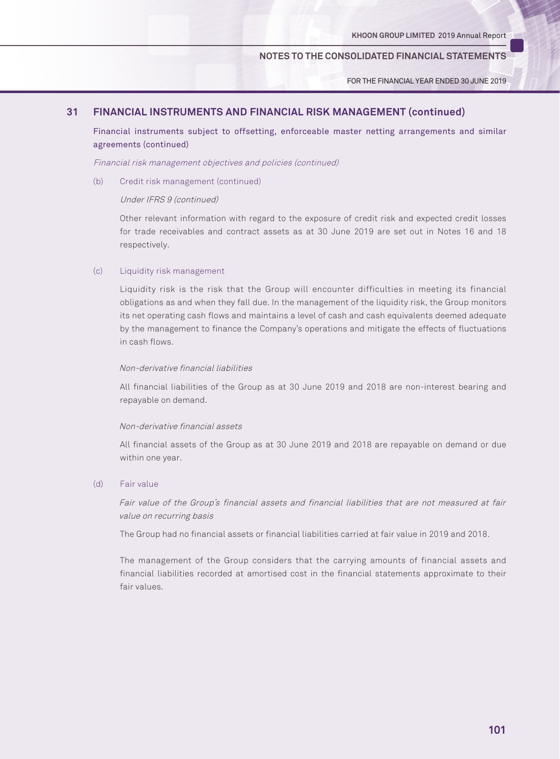FOR THE FINANCIAL YEAR ENDED 30 JUNE 2019

### **31 FINANCIAL INSTRUMENTS AND FINANCIAL RISK MANAGEMENT (continued)**

Financial instruments subject to offsetting, enforceable master netting arrangements and similar agreements (continued)

Financial risk management objectives and policies (continued)

(b) Credit risk management (continued)

#### Under IFRS 9 (continued)

Other relevant information with regard to the exposure of credit risk and expected credit losses for trade receivables and contract assets as at 30 June 2019 are set out in Notes 16 and 18 respectively.

#### (c) Liquidity risk management

Liquidity risk is the risk that the Group will encounter difficulties in meeting its financial obligations as and when they fall due. In the management of the liquidity risk, the Group monitors its net operating cash flows and maintains a level of cash and cash equivalents deemed adequate by the management to finance the Company's operations and mitigate the effects of fluctuations in cash flows.

### Non-derivative financial liabilities

All financial liabilities of the Group as at 30 June 2019 and 2018 are non-interest bearing and repayable on demand.

#### Non-derivative financial assets

All financial assets of the Group as at 30 June 2019 and 2018 are repayable on demand or due within one year.

(d) Fair value

Fair value of the Group's financial assets and financial liabilities that are not measured at fair value on recurring basis

The Group had no financial assets or financial liabilities carried at fair value in 2019 and 2018.

The management of the Group considers that the carrying amounts of financial assets and financial liabilities recorded at amortised cost in the financial statements approximate to their fair values.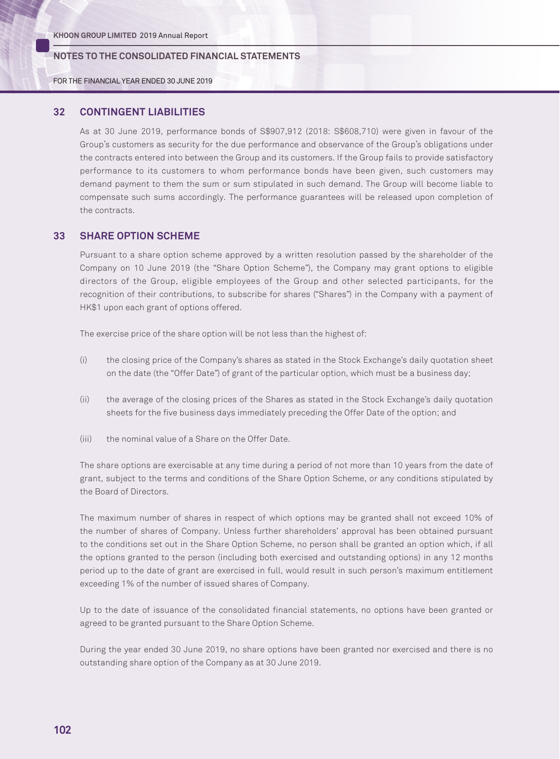FOR THE FINANCIAL YEAR ENDED 30 JUNE 2019

## **32 CONTINGENT LIABILITIES**

As at 30 June 2019, performance bonds of S\$907,912 (2018: S\$608,710) were given in favour of the Group's customers as security for the due performance and observance of the Group's obligations under the contracts entered into between the Group and its customers. If the Group fails to provide satisfactory performance to its customers to whom performance bonds have been given, such customers may demand payment to them the sum or sum stipulated in such demand. The Group will become liable to compensate such sums accordingly. The performance guarantees will be released upon completion of the contracts.

# **33 SHARE OPTION SCHEME**

Pursuant to a share option scheme approved by a written resolution passed by the shareholder of the Company on 10 June 2019 (the "Share Option Scheme"), the Company may grant options to eligible directors of the Group, eligible employees of the Group and other selected participants, for the recognition of their contributions, to subscribe for shares ("Shares") in the Company with a payment of HK\$1 upon each grant of options offered.

The exercise price of the share option will be not less than the highest of:

- (i) the closing price of the Company's shares as stated in the Stock Exchange's daily quotation sheet on the date (the "Offer Date") of grant of the particular option, which must be a business day;
- (ii) the average of the closing prices of the Shares as stated in the Stock Exchange's daily quotation sheets for the five business days immediately preceding the Offer Date of the option; and
- (iii) the nominal value of a Share on the Offer Date.

The share options are exercisable at any time during a period of not more than 10 years from the date of grant, subject to the terms and conditions of the Share Option Scheme, or any conditions stipulated by the Board of Directors.

The maximum number of shares in respect of which options may be granted shall not exceed 10% of the number of shares of Company. Unless further shareholders' approval has been obtained pursuant to the conditions set out in the Share Option Scheme, no person shall be granted an option which, if all the options granted to the person (including both exercised and outstanding options) in any 12 months period up to the date of grant are exercised in full, would result in such person's maximum entitlement exceeding 1% of the number of issued shares of Company.

Up to the date of issuance of the consolidated financial statements, no options have been granted or agreed to be granted pursuant to the Share Option Scheme.

During the year ended 30 June 2019, no share options have been granted nor exercised and there is no outstanding share option of the Company as at 30 June 2019.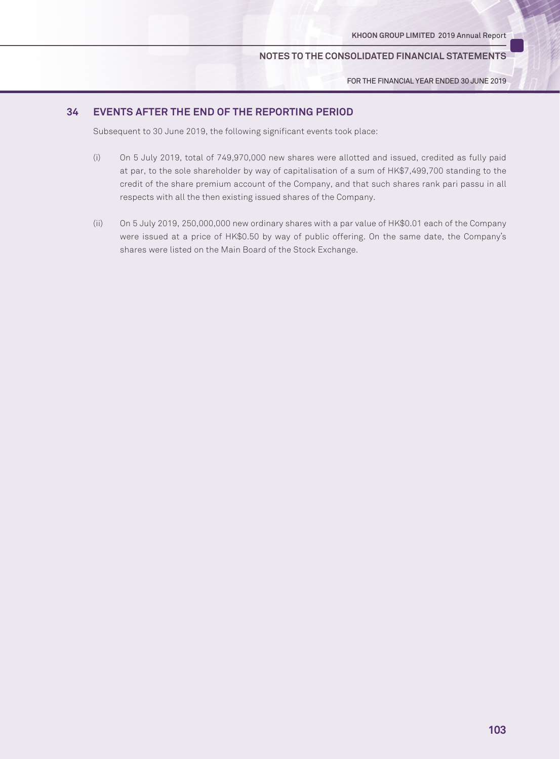FOR THE FINANCIAL YEAR ENDED 30 JUNE 2019

# **34 EVENTS AFTER THE END OF THE REPORTING PERIOD**

Subsequent to 30 June 2019, the following significant events took place:

- (i) On 5 July 2019, total of 749,970,000 new shares were allotted and issued, credited as fully paid at par, to the sole shareholder by way of capitalisation of a sum of HK\$7,499,700 standing to the credit of the share premium account of the Company, and that such shares rank pari passu in all respects with all the then existing issued shares of the Company.
- (ii) On 5 July 2019, 250,000,000 new ordinary shares with a par value of HK\$0.01 each of the Company were issued at a price of HK\$0.50 by way of public offering. On the same date, the Company's shares were listed on the Main Board of the Stock Exchange.